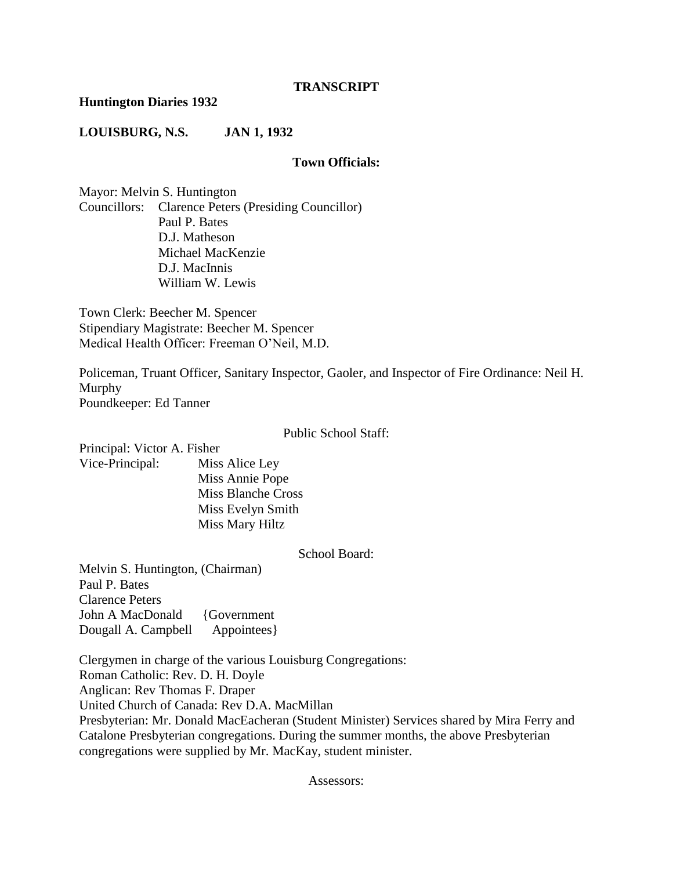#### **TRANSCRIPT**

#### **Huntington Diaries 1932**

#### **LOUISBURG, N.S. JAN 1, 1932**

#### **Town Officials:**

Mayor: Melvin S. Huntington Councillors: Clarence Peters (Presiding Councillor) Paul P. Bates D.J. Matheson Michael MacKenzie D.J. MacInnis William W. Lewis

Town Clerk: Beecher M. Spencer Stipendiary Magistrate: Beecher M. Spencer Medical Health Officer: Freeman O'Neil, M.D.

Policeman, Truant Officer, Sanitary Inspector, Gaoler, and Inspector of Fire Ordinance: Neil H. Murphy Poundkeeper: Ed Tanner

Public School Staff:

Principal: Victor A. Fisher

Vice-Principal: Miss Alice Ley Miss Annie Pope Miss Blanche Cross Miss Evelyn Smith Miss Mary Hiltz

School Board:

Melvin S. Huntington, (Chairman) Paul P. Bates Clarence Peters John A MacDonald {Government} Dougall A. Campbell Appointees}

Clergymen in charge of the various Louisburg Congregations: Roman Catholic: Rev. D. H. Doyle Anglican: Rev Thomas F. Draper United Church of Canada: Rev D.A. MacMillan Presbyterian: Mr. Donald MacEacheran (Student Minister) Services shared by Mira Ferry and Catalone Presbyterian congregations. During the summer months, the above Presbyterian congregations were supplied by Mr. MacKay, student minister.

Assessors: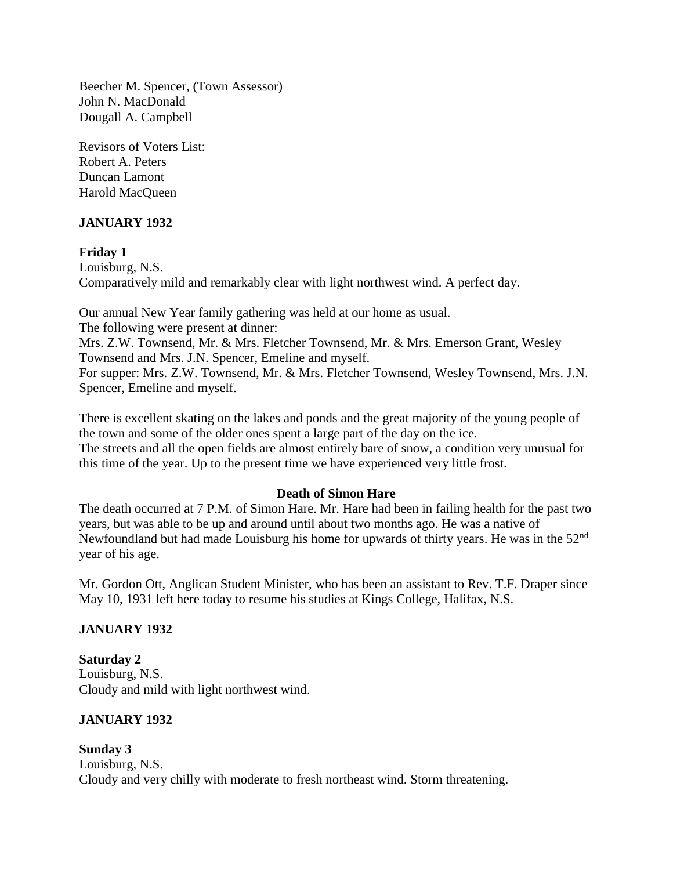Beecher M. Spencer, (Town Assessor) John N. MacDonald Dougall A. Campbell

Revisors of Voters List: Robert A. Peters Duncan Lamont Harold MacQueen

# **JANUARY 1932**

**Friday 1** Louisburg, N.S. Comparatively mild and remarkably clear with light northwest wind. A perfect day.

Our annual New Year family gathering was held at our home as usual. The following were present at dinner: Mrs. Z.W. Townsend, Mr. & Mrs. Fletcher Townsend, Mr. & Mrs. Emerson Grant, Wesley Townsend and Mrs. J.N. Spencer, Emeline and myself. For supper: Mrs. Z.W. Townsend, Mr. & Mrs. Fletcher Townsend, Wesley Townsend, Mrs. J.N. Spencer, Emeline and myself.

There is excellent skating on the lakes and ponds and the great majority of the young people of the town and some of the older ones spent a large part of the day on the ice. The streets and all the open fields are almost entirely bare of snow, a condition very unusual for this time of the year. Up to the present time we have experienced very little frost.

#### **Death of Simon Hare**

The death occurred at 7 P.M. of Simon Hare. Mr. Hare had been in failing health for the past two years, but was able to be up and around until about two months ago. He was a native of Newfoundland but had made Louisburg his home for upwards of thirty years. He was in the 52<sup>nd</sup> year of his age.

Mr. Gordon Ott, Anglican Student Minister, who has been an assistant to Rev. T.F. Draper since May 10, 1931 left here today to resume his studies at Kings College, Halifax, N.S.

# **JANUARY 1932**

**Saturday 2** Louisburg, N.S. Cloudy and mild with light northwest wind.

# **JANUARY 1932**

**Sunday 3** Louisburg, N.S. Cloudy and very chilly with moderate to fresh northeast wind. Storm threatening.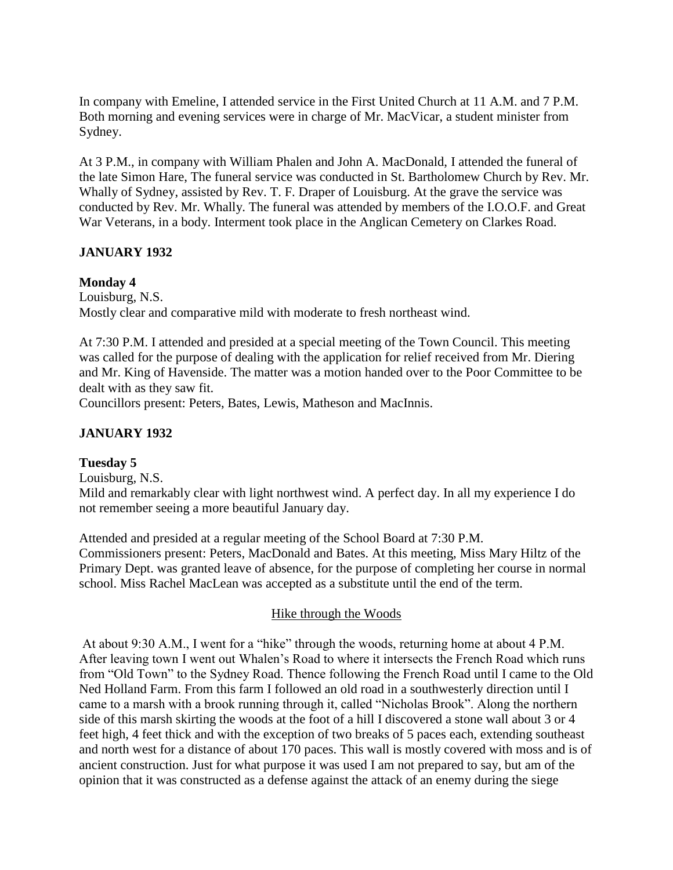In company with Emeline, I attended service in the First United Church at 11 A.M. and 7 P.M. Both morning and evening services were in charge of Mr. MacVicar, a student minister from Sydney.

At 3 P.M., in company with William Phalen and John A. MacDonald, I attended the funeral of the late Simon Hare, The funeral service was conducted in St. Bartholomew Church by Rev. Mr. Whally of Sydney, assisted by Rev. T. F. Draper of Louisburg. At the grave the service was conducted by Rev. Mr. Whally. The funeral was attended by members of the I.O.O.F. and Great War Veterans, in a body. Interment took place in the Anglican Cemetery on Clarkes Road.

# **JANUARY 1932**

# **Monday 4**

Louisburg, N.S. Mostly clear and comparative mild with moderate to fresh northeast wind.

At 7:30 P.M. I attended and presided at a special meeting of the Town Council. This meeting was called for the purpose of dealing with the application for relief received from Mr. Diering and Mr. King of Havenside. The matter was a motion handed over to the Poor Committee to be dealt with as they saw fit.

Councillors present: Peters, Bates, Lewis, Matheson and MacInnis.

# **JANUARY 1932**

# **Tuesday 5**

Louisburg, N.S. Mild and remarkably clear with light northwest wind. A perfect day. In all my experience I do not remember seeing a more beautiful January day.

Attended and presided at a regular meeting of the School Board at 7:30 P.M. Commissioners present: Peters, MacDonald and Bates. At this meeting, Miss Mary Hiltz of the Primary Dept. was granted leave of absence, for the purpose of completing her course in normal school. Miss Rachel MacLean was accepted as a substitute until the end of the term.

# Hike through the Woods

At about 9:30 A.M., I went for a "hike" through the woods, returning home at about 4 P.M. After leaving town I went out Whalen's Road to where it intersects the French Road which runs from "Old Town" to the Sydney Road. Thence following the French Road until I came to the Old Ned Holland Farm. From this farm I followed an old road in a southwesterly direction until I came to a marsh with a brook running through it, called "Nicholas Brook". Along the northern side of this marsh skirting the woods at the foot of a hill I discovered a stone wall about 3 or 4 feet high, 4 feet thick and with the exception of two breaks of 5 paces each, extending southeast and north west for a distance of about 170 paces. This wall is mostly covered with moss and is of ancient construction. Just for what purpose it was used I am not prepared to say, but am of the opinion that it was constructed as a defense against the attack of an enemy during the siege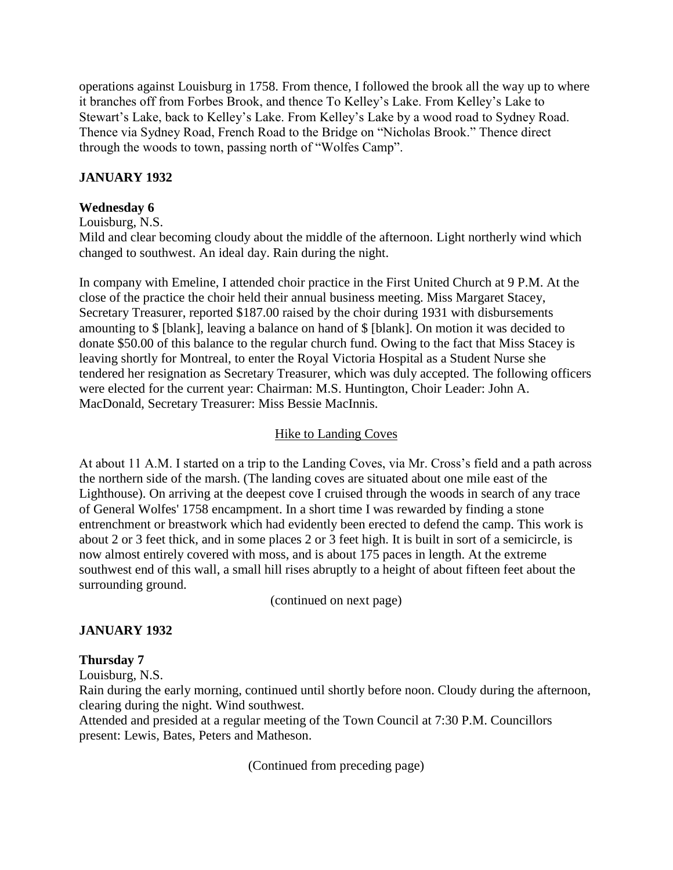operations against Louisburg in 1758. From thence, I followed the brook all the way up to where it branches off from Forbes Brook, and thence To Kelley's Lake. From Kelley's Lake to Stewart's Lake, back to Kelley's Lake. From Kelley's Lake by a wood road to Sydney Road. Thence via Sydney Road, French Road to the Bridge on "Nicholas Brook." Thence direct through the woods to town, passing north of "Wolfes Camp".

# **JANUARY 1932**

# **Wednesday 6**

Louisburg, N.S.

Mild and clear becoming cloudy about the middle of the afternoon. Light northerly wind which changed to southwest. An ideal day. Rain during the night.

In company with Emeline, I attended choir practice in the First United Church at 9 P.M. At the close of the practice the choir held their annual business meeting. Miss Margaret Stacey, Secretary Treasurer, reported \$187.00 raised by the choir during 1931 with disbursements amounting to \$ [blank], leaving a balance on hand of \$ [blank]. On motion it was decided to donate \$50.00 of this balance to the regular church fund. Owing to the fact that Miss Stacey is leaving shortly for Montreal, to enter the Royal Victoria Hospital as a Student Nurse she tendered her resignation as Secretary Treasurer, which was duly accepted. The following officers were elected for the current year: Chairman: M.S. Huntington, Choir Leader: John A. MacDonald, Secretary Treasurer: Miss Bessie MacInnis.

# Hike to Landing Coves

At about 11 A.M. I started on a trip to the Landing Coves, via Mr. Cross's field and a path across the northern side of the marsh. (The landing coves are situated about one mile east of the Lighthouse). On arriving at the deepest cove I cruised through the woods in search of any trace of General Wolfes' 1758 encampment. In a short time I was rewarded by finding a stone entrenchment or breastwork which had evidently been erected to defend the camp. This work is about 2 or 3 feet thick, and in some places 2 or 3 feet high. It is built in sort of a semicircle, is now almost entirely covered with moss, and is about 175 paces in length. At the extreme southwest end of this wall, a small hill rises abruptly to a height of about fifteen feet about the surrounding ground.

(continued on next page)

# **JANUARY 1932**

# **Thursday 7**

Louisburg, N.S.

Rain during the early morning, continued until shortly before noon. Cloudy during the afternoon, clearing during the night. Wind southwest.

Attended and presided at a regular meeting of the Town Council at 7:30 P.M. Councillors present: Lewis, Bates, Peters and Matheson.

(Continued from preceding page)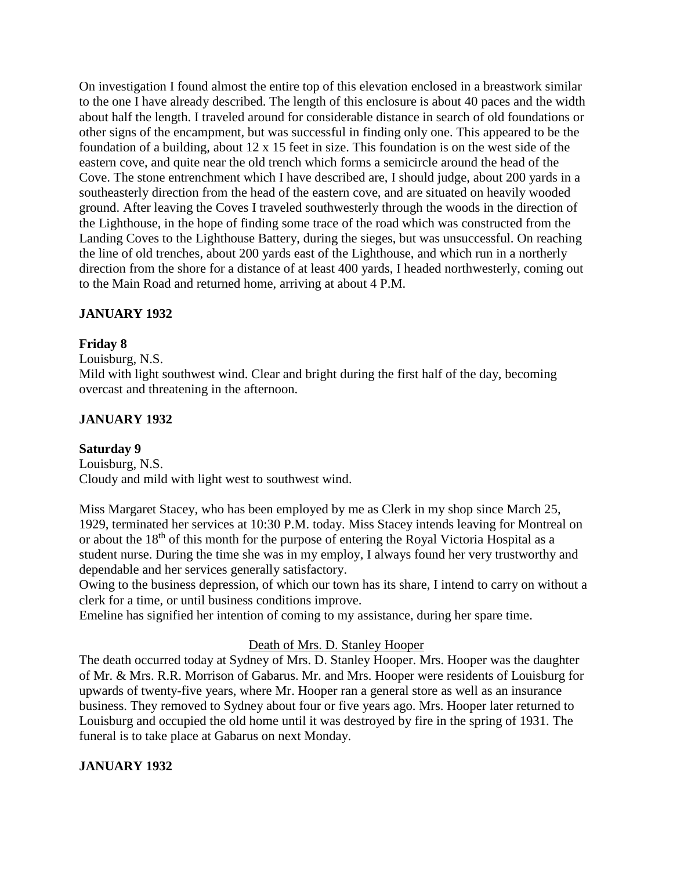On investigation I found almost the entire top of this elevation enclosed in a breastwork similar to the one I have already described. The length of this enclosure is about 40 paces and the width about half the length. I traveled around for considerable distance in search of old foundations or other signs of the encampment, but was successful in finding only one. This appeared to be the foundation of a building, about 12 x 15 feet in size. This foundation is on the west side of the eastern cove, and quite near the old trench which forms a semicircle around the head of the Cove. The stone entrenchment which I have described are, I should judge, about 200 yards in a southeasterly direction from the head of the eastern cove, and are situated on heavily wooded ground. After leaving the Coves I traveled southwesterly through the woods in the direction of the Lighthouse, in the hope of finding some trace of the road which was constructed from the Landing Coves to the Lighthouse Battery, during the sieges, but was unsuccessful. On reaching the line of old trenches, about 200 yards east of the Lighthouse, and which run in a northerly direction from the shore for a distance of at least 400 yards, I headed northwesterly, coming out to the Main Road and returned home, arriving at about 4 P.M.

# **JANUARY 1932**

# **Friday 8**

Louisburg, N.S.

Mild with light southwest wind. Clear and bright during the first half of the day, becoming overcast and threatening in the afternoon.

# **JANUARY 1932**

# **Saturday 9**

Louisburg, N.S. Cloudy and mild with light west to southwest wind.

Miss Margaret Stacey, who has been employed by me as Clerk in my shop since March 25, 1929, terminated her services at 10:30 P.M. today. Miss Stacey intends leaving for Montreal on or about the 18<sup>th</sup> of this month for the purpose of entering the Royal Victoria Hospital as a student nurse. During the time she was in my employ, I always found her very trustworthy and dependable and her services generally satisfactory.

Owing to the business depression, of which our town has its share, I intend to carry on without a clerk for a time, or until business conditions improve.

Emeline has signified her intention of coming to my assistance, during her spare time.

# Death of Mrs. D. Stanley Hooper

The death occurred today at Sydney of Mrs. D. Stanley Hooper. Mrs. Hooper was the daughter of Mr. & Mrs. R.R. Morrison of Gabarus. Mr. and Mrs. Hooper were residents of Louisburg for upwards of twenty-five years, where Mr. Hooper ran a general store as well as an insurance business. They removed to Sydney about four or five years ago. Mrs. Hooper later returned to Louisburg and occupied the old home until it was destroyed by fire in the spring of 1931. The funeral is to take place at Gabarus on next Monday.

# **JANUARY 1932**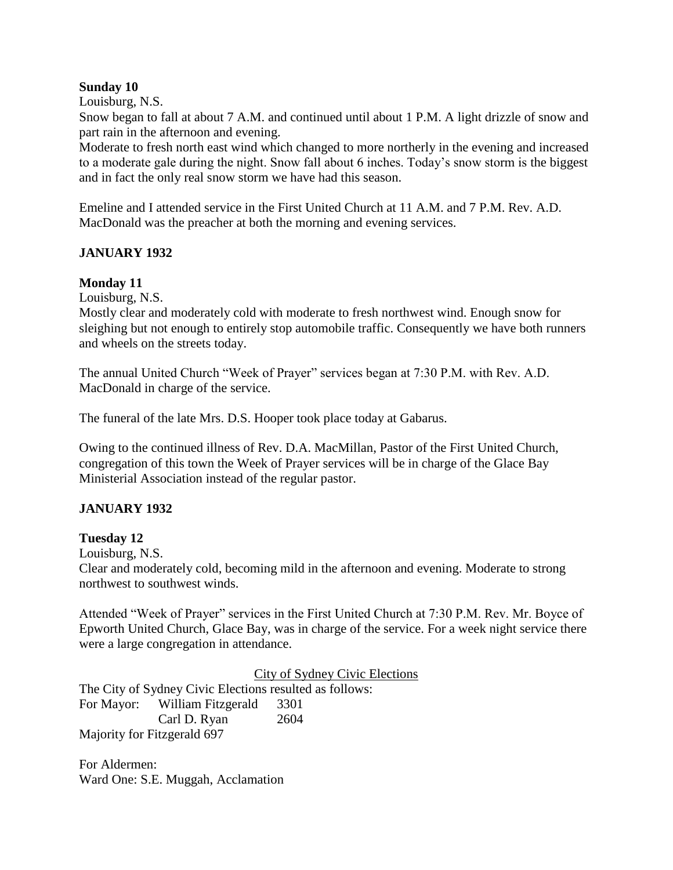#### **Sunday 10**

Louisburg, N.S.

Snow began to fall at about 7 A.M. and continued until about 1 P.M. A light drizzle of snow and part rain in the afternoon and evening.

Moderate to fresh north east wind which changed to more northerly in the evening and increased to a moderate gale during the night. Snow fall about 6 inches. Today's snow storm is the biggest and in fact the only real snow storm we have had this season.

Emeline and I attended service in the First United Church at 11 A.M. and 7 P.M. Rev. A.D. MacDonald was the preacher at both the morning and evening services.

# **JANUARY 1932**

# **Monday 11**

Louisburg, N.S.

Mostly clear and moderately cold with moderate to fresh northwest wind. Enough snow for sleighing but not enough to entirely stop automobile traffic. Consequently we have both runners and wheels on the streets today.

The annual United Church "Week of Prayer" services began at 7:30 P.M. with Rev. A.D. MacDonald in charge of the service.

The funeral of the late Mrs. D.S. Hooper took place today at Gabarus.

Owing to the continued illness of Rev. D.A. MacMillan, Pastor of the First United Church, congregation of this town the Week of Prayer services will be in charge of the Glace Bay Ministerial Association instead of the regular pastor.

# **JANUARY 1932**

# **Tuesday 12**

Louisburg, N.S.

Clear and moderately cold, becoming mild in the afternoon and evening. Moderate to strong northwest to southwest winds.

Attended "Week of Prayer" services in the First United Church at 7:30 P.M. Rev. Mr. Boyce of Epworth United Church, Glace Bay, was in charge of the service. For a week night service there were a large congregation in attendance.

City of Sydney Civic Elections

The City of Sydney Civic Elections resulted as follows: For Mayor: William Fitzgerald 3301 Carl D. Ryan 2604 Majority for Fitzgerald 697

For Aldermen: Ward One: S.E. Muggah, Acclamation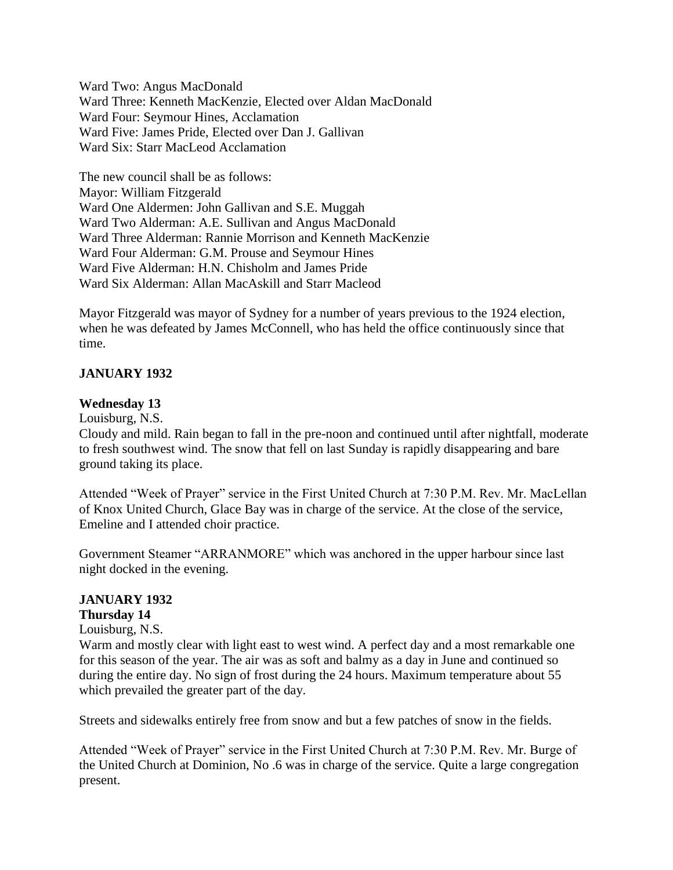Ward Two: Angus MacDonald Ward Three: Kenneth MacKenzie, Elected over Aldan MacDonald Ward Four: Seymour Hines, Acclamation Ward Five: James Pride, Elected over Dan J. Gallivan Ward Six: Starr MacLeod Acclamation

The new council shall be as follows: Mayor: William Fitzgerald Ward One Aldermen: John Gallivan and S.E. Muggah Ward Two Alderman: A.E. Sullivan and Angus MacDonald Ward Three Alderman: Rannie Morrison and Kenneth MacKenzie Ward Four Alderman: G.M. Prouse and Seymour Hines Ward Five Alderman: H.N. Chisholm and James Pride Ward Six Alderman: Allan MacAskill and Starr Macleod

Mayor Fitzgerald was mayor of Sydney for a number of years previous to the 1924 election, when he was defeated by James McConnell, who has held the office continuously since that time.

### **JANUARY 1932**

#### **Wednesday 13**

Louisburg, N.S.

Cloudy and mild. Rain began to fall in the pre-noon and continued until after nightfall, moderate to fresh southwest wind. The snow that fell on last Sunday is rapidly disappearing and bare ground taking its place.

Attended "Week of Prayer" service in the First United Church at 7:30 P.M. Rev. Mr. MacLellan of Knox United Church, Glace Bay was in charge of the service. At the close of the service, Emeline and I attended choir practice.

Government Steamer "ARRANMORE" which was anchored in the upper harbour since last night docked in the evening.

#### **JANUARY 1932**

### **Thursday 14**

#### Louisburg, N.S.

Warm and mostly clear with light east to west wind. A perfect day and a most remarkable one for this season of the year. The air was as soft and balmy as a day in June and continued so during the entire day. No sign of frost during the 24 hours. Maximum temperature about 55 which prevailed the greater part of the day.

Streets and sidewalks entirely free from snow and but a few patches of snow in the fields.

Attended "Week of Prayer" service in the First United Church at 7:30 P.M. Rev. Mr. Burge of the United Church at Dominion, No .6 was in charge of the service. Quite a large congregation present.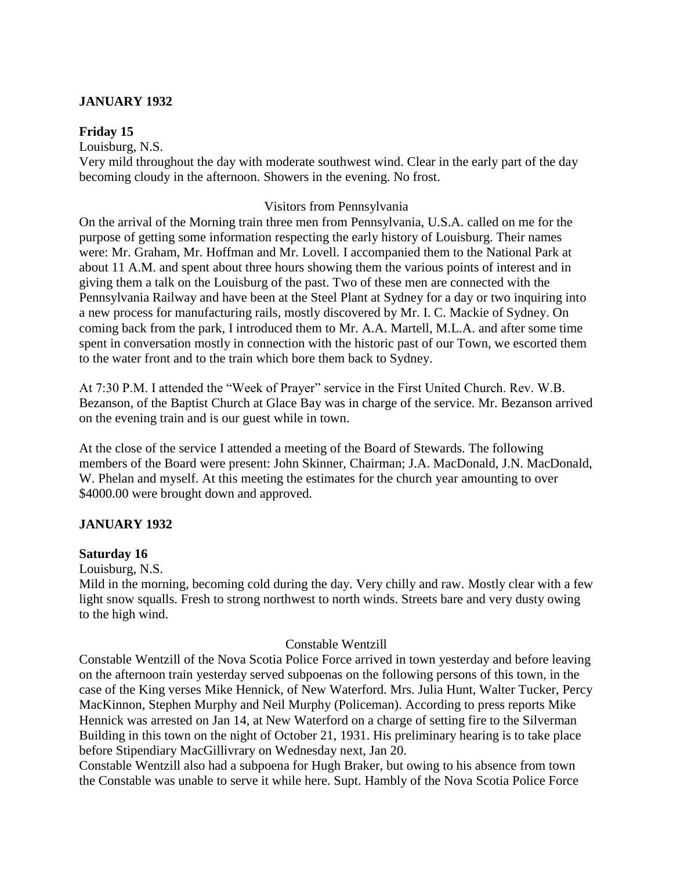### **JANUARY 1932**

#### **Friday 15**

Louisburg, N.S. Very mild throughout the day with moderate southwest wind. Clear in the early part of the day becoming cloudy in the afternoon. Showers in the evening. No frost.

#### Visitors from Pennsylvania

On the arrival of the Morning train three men from Pennsylvania, U.S.A. called on me for the purpose of getting some information respecting the early history of Louisburg. Their names were: Mr. Graham, Mr. Hoffman and Mr. Lovell. I accompanied them to the National Park at about 11 A.M. and spent about three hours showing them the various points of interest and in giving them a talk on the Louisburg of the past. Two of these men are connected with the Pennsylvania Railway and have been at the Steel Plant at Sydney for a day or two inquiring into a new process for manufacturing rails, mostly discovered by Mr. I. C. Mackie of Sydney. On coming back from the park, I introduced them to Mr. A.A. Martell, M.L.A. and after some time spent in conversation mostly in connection with the historic past of our Town, we escorted them to the water front and to the train which bore them back to Sydney.

At 7:30 P.M. I attended the "Week of Prayer" service in the First United Church. Rev. W.B. Bezanson, of the Baptist Church at Glace Bay was in charge of the service. Mr. Bezanson arrived on the evening train and is our guest while in town.

At the close of the service I attended a meeting of the Board of Stewards. The following members of the Board were present: John Skinner, Chairman; J.A. MacDonald, J.N. MacDonald, W. Phelan and myself. At this meeting the estimates for the church year amounting to over \$4000.00 were brought down and approved.

#### **JANUARY 1932**

#### **Saturday 16**

Louisburg, N.S.

Mild in the morning, becoming cold during the day. Very chilly and raw. Mostly clear with a few light snow squalls. Fresh to strong northwest to north winds. Streets bare and very dusty owing to the high wind.

#### Constable Wentzill

Constable Wentzill of the Nova Scotia Police Force arrived in town yesterday and before leaving on the afternoon train yesterday served subpoenas on the following persons of this town, in the case of the King verses Mike Hennick, of New Waterford. Mrs. Julia Hunt, Walter Tucker, Percy MacKinnon, Stephen Murphy and Neil Murphy (Policeman). According to press reports Mike Hennick was arrested on Jan 14, at New Waterford on a charge of setting fire to the Silverman Building in this town on the night of October 21, 1931. His preliminary hearing is to take place before Stipendiary MacGillivrary on Wednesday next, Jan 20.

Constable Wentzill also had a subpoena for Hugh Braker, but owing to his absence from town the Constable was unable to serve it while here. Supt. Hambly of the Nova Scotia Police Force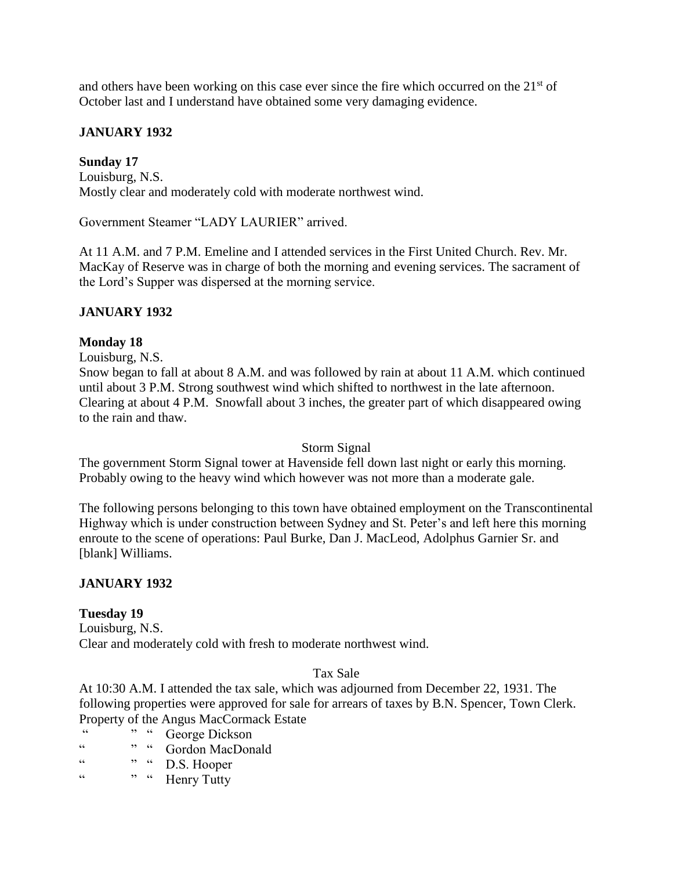and others have been working on this case ever since the fire which occurred on the  $21<sup>st</sup>$  of October last and I understand have obtained some very damaging evidence.

### **JANUARY 1932**

### **Sunday 17**

Louisburg, N.S. Mostly clear and moderately cold with moderate northwest wind.

Government Steamer "LADY LAURIER" arrived.

At 11 A.M. and 7 P.M. Emeline and I attended services in the First United Church. Rev. Mr. MacKay of Reserve was in charge of both the morning and evening services. The sacrament of the Lord's Supper was dispersed at the morning service.

#### **JANUARY 1932**

#### **Monday 18**

Louisburg, N.S.

Snow began to fall at about 8 A.M. and was followed by rain at about 11 A.M. which continued until about 3 P.M. Strong southwest wind which shifted to northwest in the late afternoon. Clearing at about 4 P.M. Snowfall about 3 inches, the greater part of which disappeared owing to the rain and thaw.

#### Storm Signal

The government Storm Signal tower at Havenside fell down last night or early this morning. Probably owing to the heavy wind which however was not more than a moderate gale.

The following persons belonging to this town have obtained employment on the Transcontinental Highway which is under construction between Sydney and St. Peter's and left here this morning enroute to the scene of operations: Paul Burke, Dan J. MacLeod, Adolphus Garnier Sr. and [blank] Williams.

#### **JANUARY 1932**

#### **Tuesday 19**

Louisburg, N.S. Clear and moderately cold with fresh to moderate northwest wind.

#### Tax Sale

At 10:30 A.M. I attended the tax sale, which was adjourned from December 22, 1931. The following properties were approved for sale for arrears of taxes by B.N. Spencer, Town Clerk. Property of the Angus MacCormack Estate

- " " " George Dickson
- " " "  $Gordon MacDonald$ <br>" "  $R R Conper$
- D.S. Hooper
- " " " Henry Tutty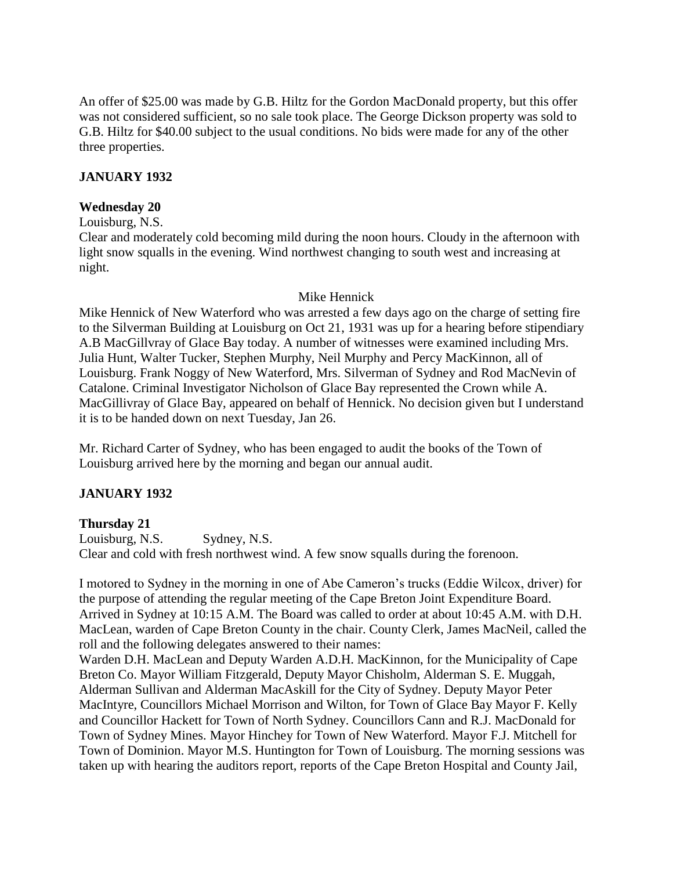An offer of \$25.00 was made by G.B. Hiltz for the Gordon MacDonald property, but this offer was not considered sufficient, so no sale took place. The George Dickson property was sold to G.B. Hiltz for \$40.00 subject to the usual conditions. No bids were made for any of the other three properties.

### **JANUARY 1932**

#### **Wednesday 20**

Louisburg, N.S.

Clear and moderately cold becoming mild during the noon hours. Cloudy in the afternoon with light snow squalls in the evening. Wind northwest changing to south west and increasing at night.

#### Mike Hennick

Mike Hennick of New Waterford who was arrested a few days ago on the charge of setting fire to the Silverman Building at Louisburg on Oct 21, 1931 was up for a hearing before stipendiary A.B MacGillvray of Glace Bay today. A number of witnesses were examined including Mrs. Julia Hunt, Walter Tucker, Stephen Murphy, Neil Murphy and Percy MacKinnon, all of Louisburg. Frank Noggy of New Waterford, Mrs. Silverman of Sydney and Rod MacNevin of Catalone. Criminal Investigator Nicholson of Glace Bay represented the Crown while A. MacGillivray of Glace Bay, appeared on behalf of Hennick. No decision given but I understand it is to be handed down on next Tuesday, Jan 26.

Mr. Richard Carter of Sydney, who has been engaged to audit the books of the Town of Louisburg arrived here by the morning and began our annual audit.

#### **JANUARY 1932**

#### **Thursday 21**

Louisburg, N.S. Sydney, N.S. Clear and cold with fresh northwest wind. A few snow squalls during the forenoon.

I motored to Sydney in the morning in one of Abe Cameron's trucks (Eddie Wilcox, driver) for the purpose of attending the regular meeting of the Cape Breton Joint Expenditure Board. Arrived in Sydney at 10:15 A.M. The Board was called to order at about 10:45 A.M. with D.H. MacLean, warden of Cape Breton County in the chair. County Clerk, James MacNeil, called the roll and the following delegates answered to their names:

Warden D.H. MacLean and Deputy Warden A.D.H. MacKinnon, for the Municipality of Cape Breton Co. Mayor William Fitzgerald, Deputy Mayor Chisholm, Alderman S. E. Muggah, Alderman Sullivan and Alderman MacAskill for the City of Sydney. Deputy Mayor Peter MacIntyre, Councillors Michael Morrison and Wilton, for Town of Glace Bay Mayor F. Kelly and Councillor Hackett for Town of North Sydney. Councillors Cann and R.J. MacDonald for Town of Sydney Mines. Mayor Hinchey for Town of New Waterford. Mayor F.J. Mitchell for Town of Dominion. Mayor M.S. Huntington for Town of Louisburg. The morning sessions was taken up with hearing the auditors report, reports of the Cape Breton Hospital and County Jail,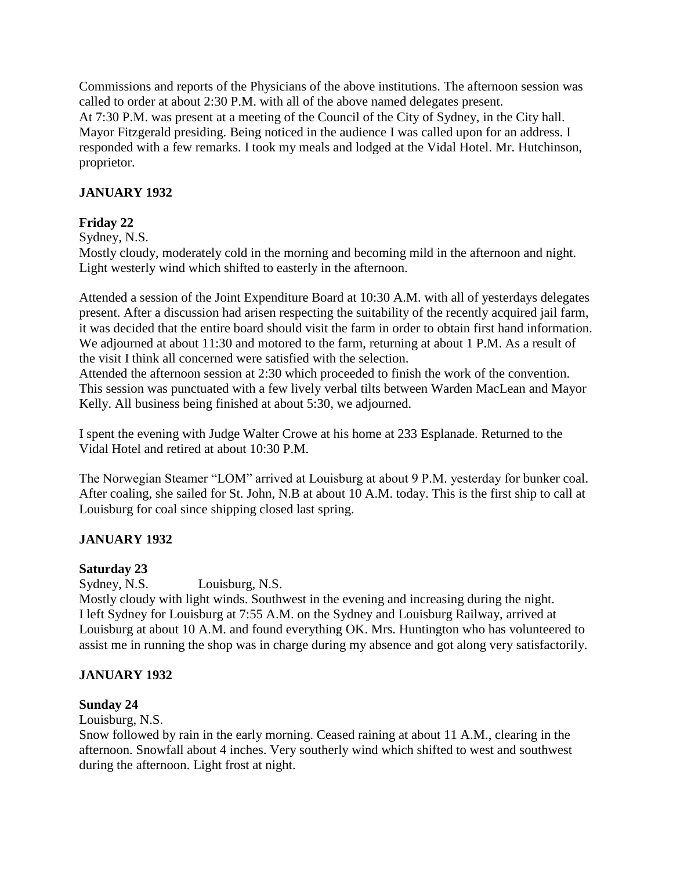Commissions and reports of the Physicians of the above institutions. The afternoon session was called to order at about 2:30 P.M. with all of the above named delegates present. At 7:30 P.M. was present at a meeting of the Council of the City of Sydney, in the City hall. Mayor Fitzgerald presiding. Being noticed in the audience I was called upon for an address. I responded with a few remarks. I took my meals and lodged at the Vidal Hotel. Mr. Hutchinson, proprietor.

# **JANUARY 1932**

# **Friday 22**

Sydney, N.S.

Mostly cloudy, moderately cold in the morning and becoming mild in the afternoon and night. Light westerly wind which shifted to easterly in the afternoon.

Attended a session of the Joint Expenditure Board at 10:30 A.M. with all of yesterdays delegates present. After a discussion had arisen respecting the suitability of the recently acquired jail farm, it was decided that the entire board should visit the farm in order to obtain first hand information. We adjourned at about 11:30 and motored to the farm, returning at about 1 P.M. As a result of the visit I think all concerned were satisfied with the selection.

Attended the afternoon session at 2:30 which proceeded to finish the work of the convention. This session was punctuated with a few lively verbal tilts between Warden MacLean and Mayor Kelly. All business being finished at about 5:30, we adjourned.

I spent the evening with Judge Walter Crowe at his home at 233 Esplanade. Returned to the Vidal Hotel and retired at about 10:30 P.M.

The Norwegian Steamer "LOM" arrived at Louisburg at about 9 P.M. yesterday for bunker coal. After coaling, she sailed for St. John, N.B at about 10 A.M. today. This is the first ship to call at Louisburg for coal since shipping closed last spring.

# **JANUARY 1932**

# **Saturday 23**

Sydney, N.S. Louisburg, N.S.

Mostly cloudy with light winds. Southwest in the evening and increasing during the night. I left Sydney for Louisburg at 7:55 A.M. on the Sydney and Louisburg Railway, arrived at Louisburg at about 10 A.M. and found everything OK. Mrs. Huntington who has volunteered to assist me in running the shop was in charge during my absence and got along very satisfactorily.

# **JANUARY 1932**

# **Sunday 24**

Louisburg, N.S.

Snow followed by rain in the early morning. Ceased raining at about 11 A.M., clearing in the afternoon. Snowfall about 4 inches. Very southerly wind which shifted to west and southwest during the afternoon. Light frost at night.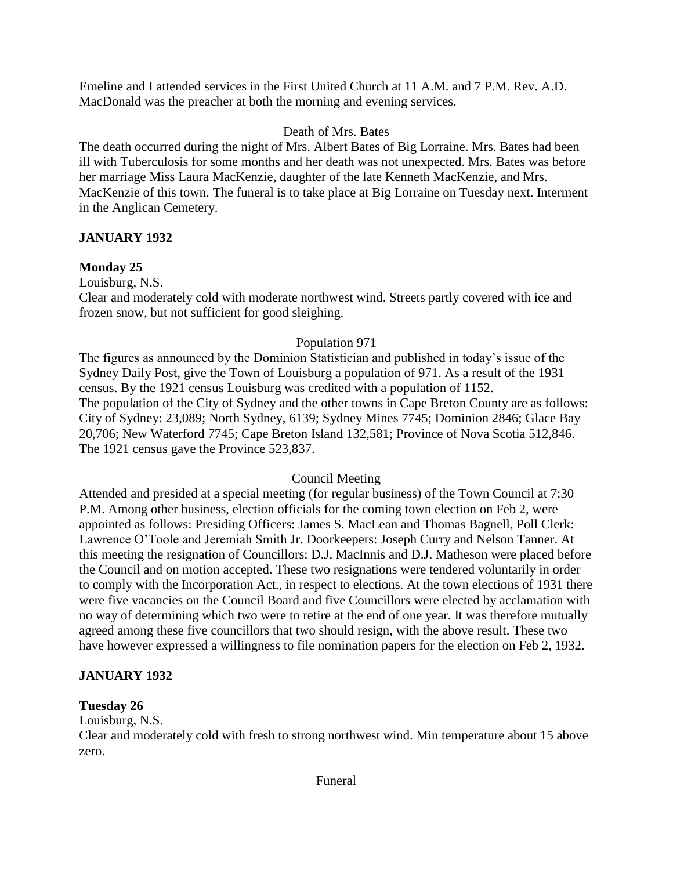Emeline and I attended services in the First United Church at 11 A.M. and 7 P.M. Rev. A.D. MacDonald was the preacher at both the morning and evening services.

# Death of Mrs. Bates

The death occurred during the night of Mrs. Albert Bates of Big Lorraine. Mrs. Bates had been ill with Tuberculosis for some months and her death was not unexpected. Mrs. Bates was before her marriage Miss Laura MacKenzie, daughter of the late Kenneth MacKenzie, and Mrs. MacKenzie of this town. The funeral is to take place at Big Lorraine on Tuesday next. Interment in the Anglican Cemetery.

# **JANUARY 1932**

# **Monday 25**

Louisburg, N.S.

Clear and moderately cold with moderate northwest wind. Streets partly covered with ice and frozen snow, but not sufficient for good sleighing.

# Population 971

The figures as announced by the Dominion Statistician and published in today's issue of the Sydney Daily Post, give the Town of Louisburg a population of 971. As a result of the 1931 census. By the 1921 census Louisburg was credited with a population of 1152. The population of the City of Sydney and the other towns in Cape Breton County are as follows: City of Sydney: 23,089; North Sydney, 6139; Sydney Mines 7745; Dominion 2846; Glace Bay 20,706; New Waterford 7745; Cape Breton Island 132,581; Province of Nova Scotia 512,846. The 1921 census gave the Province 523,837.

# Council Meeting

Attended and presided at a special meeting (for regular business) of the Town Council at 7:30 P.M. Among other business, election officials for the coming town election on Feb 2, were appointed as follows: Presiding Officers: James S. MacLean and Thomas Bagnell, Poll Clerk: Lawrence O'Toole and Jeremiah Smith Jr. Doorkeepers: Joseph Curry and Nelson Tanner. At this meeting the resignation of Councillors: D.J. MacInnis and D.J. Matheson were placed before the Council and on motion accepted. These two resignations were tendered voluntarily in order to comply with the Incorporation Act., in respect to elections. At the town elections of 1931 there were five vacancies on the Council Board and five Councillors were elected by acclamation with no way of determining which two were to retire at the end of one year. It was therefore mutually agreed among these five councillors that two should resign, with the above result. These two have however expressed a willingness to file nomination papers for the election on Feb 2, 1932.

# **JANUARY 1932**

# **Tuesday 26**

Louisburg, N.S.

Clear and moderately cold with fresh to strong northwest wind. Min temperature about 15 above zero.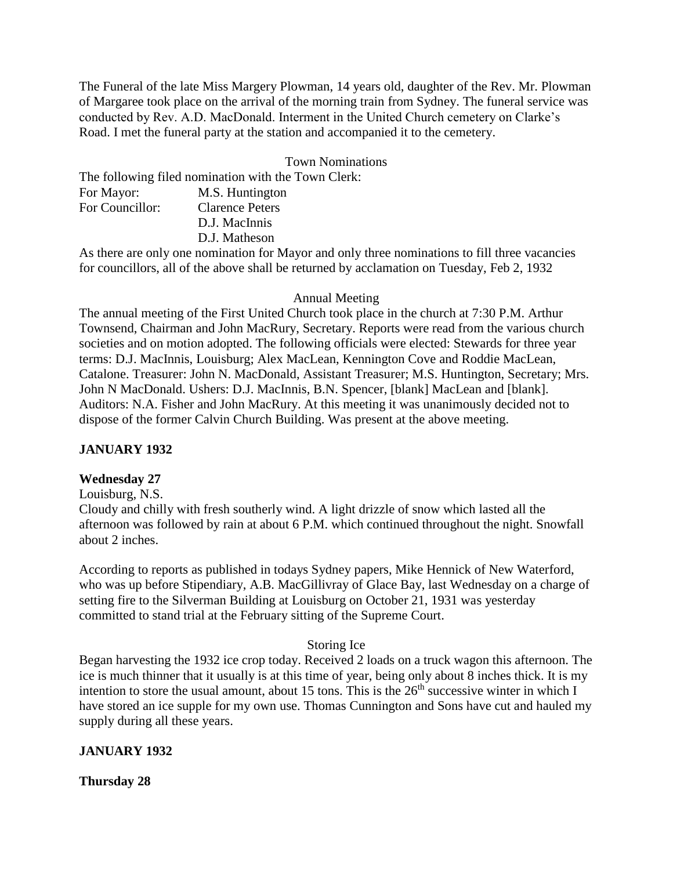The Funeral of the late Miss Margery Plowman, 14 years old, daughter of the Rev. Mr. Plowman of Margaree took place on the arrival of the morning train from Sydney. The funeral service was conducted by Rev. A.D. MacDonald. Interment in the United Church cemetery on Clarke's Road. I met the funeral party at the station and accompanied it to the cemetery.

#### Town Nominations

The following filed nomination with the Town Clerk: For Mayor: M.S. Huntington For Councillor: Clarence Peters D.J. MacInnis D.J. Matheson

As there are only one nomination for Mayor and only three nominations to fill three vacancies for councillors, all of the above shall be returned by acclamation on Tuesday, Feb 2, 1932

### Annual Meeting

The annual meeting of the First United Church took place in the church at 7:30 P.M. Arthur Townsend, Chairman and John MacRury, Secretary. Reports were read from the various church societies and on motion adopted. The following officials were elected: Stewards for three year terms: D.J. MacInnis, Louisburg; Alex MacLean, Kennington Cove and Roddie MacLean, Catalone. Treasurer: John N. MacDonald, Assistant Treasurer; M.S. Huntington, Secretary; Mrs. John N MacDonald. Ushers: D.J. MacInnis, B.N. Spencer, [blank] MacLean and [blank]. Auditors: N.A. Fisher and John MacRury. At this meeting it was unanimously decided not to dispose of the former Calvin Church Building. Was present at the above meeting.

# **JANUARY 1932**

# **Wednesday 27**

Louisburg, N.S.

Cloudy and chilly with fresh southerly wind. A light drizzle of snow which lasted all the afternoon was followed by rain at about 6 P.M. which continued throughout the night. Snowfall about 2 inches.

According to reports as published in todays Sydney papers, Mike Hennick of New Waterford, who was up before Stipendiary, A.B. MacGillivray of Glace Bay, last Wednesday on a charge of setting fire to the Silverman Building at Louisburg on October 21, 1931 was yesterday committed to stand trial at the February sitting of the Supreme Court.

# Storing Ice

Began harvesting the 1932 ice crop today. Received 2 loads on a truck wagon this afternoon. The ice is much thinner that it usually is at this time of year, being only about 8 inches thick. It is my intention to store the usual amount, about 15 tons. This is the  $26<sup>th</sup>$  successive winter in which I have stored an ice supple for my own use. Thomas Cunnington and Sons have cut and hauled my supply during all these years.

# **JANUARY 1932**

**Thursday 28**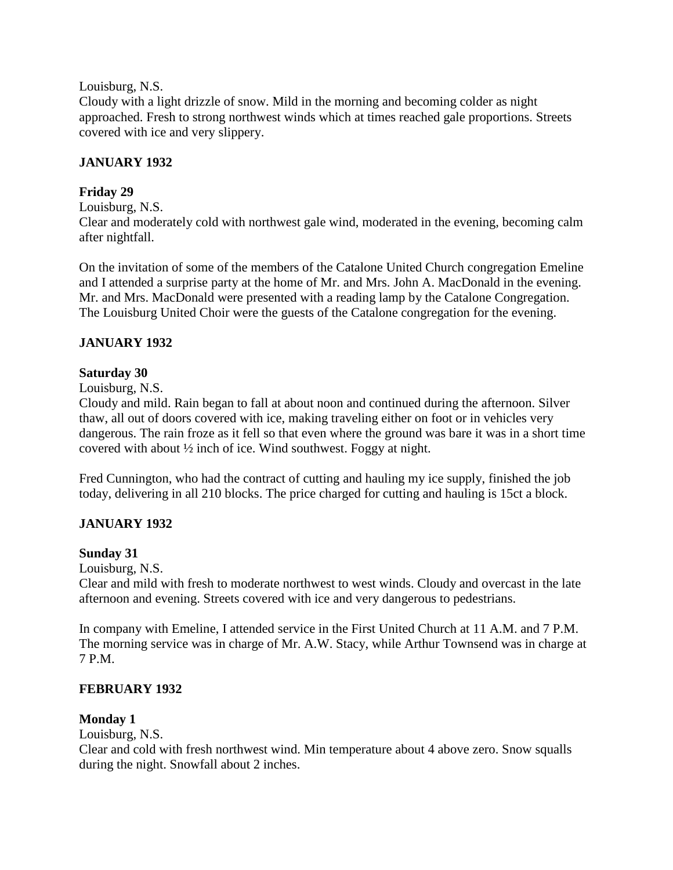Louisburg, N.S.

Cloudy with a light drizzle of snow. Mild in the morning and becoming colder as night approached. Fresh to strong northwest winds which at times reached gale proportions. Streets covered with ice and very slippery.

# **JANUARY 1932**

# **Friday 29**

Louisburg, N.S.

Clear and moderately cold with northwest gale wind, moderated in the evening, becoming calm after nightfall.

On the invitation of some of the members of the Catalone United Church congregation Emeline and I attended a surprise party at the home of Mr. and Mrs. John A. MacDonald in the evening. Mr. and Mrs. MacDonald were presented with a reading lamp by the Catalone Congregation. The Louisburg United Choir were the guests of the Catalone congregation for the evening.

# **JANUARY 1932**

# **Saturday 30**

Louisburg, N.S.

Cloudy and mild. Rain began to fall at about noon and continued during the afternoon. Silver thaw, all out of doors covered with ice, making traveling either on foot or in vehicles very dangerous. The rain froze as it fell so that even where the ground was bare it was in a short time covered with about ½ inch of ice. Wind southwest. Foggy at night.

Fred Cunnington, who had the contract of cutting and hauling my ice supply, finished the job today, delivering in all 210 blocks. The price charged for cutting and hauling is 15ct a block.

# **JANUARY 1932**

# **Sunday 31**

Louisburg, N.S.

Clear and mild with fresh to moderate northwest to west winds. Cloudy and overcast in the late afternoon and evening. Streets covered with ice and very dangerous to pedestrians.

In company with Emeline, I attended service in the First United Church at 11 A.M. and 7 P.M. The morning service was in charge of Mr. A.W. Stacy, while Arthur Townsend was in charge at 7 P.M.

# **FEBRUARY 1932**

# **Monday 1**

Louisburg, N.S.

Clear and cold with fresh northwest wind. Min temperature about 4 above zero. Snow squalls during the night. Snowfall about 2 inches.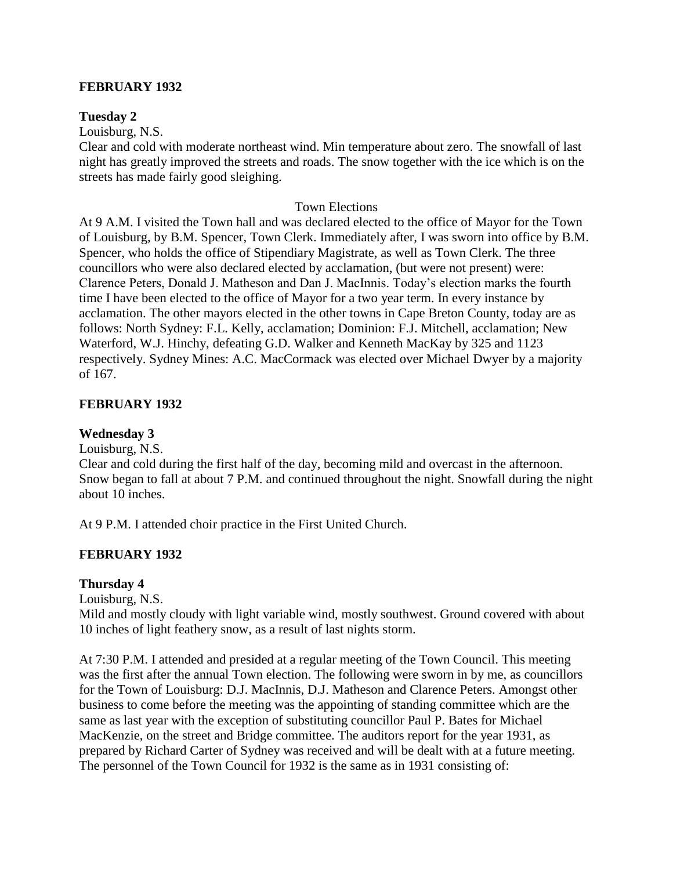#### **FEBRUARY 1932**

#### **Tuesday 2**

Louisburg, N.S.

Clear and cold with moderate northeast wind. Min temperature about zero. The snowfall of last night has greatly improved the streets and roads. The snow together with the ice which is on the streets has made fairly good sleighing.

#### Town Elections

At 9 A.M. I visited the Town hall and was declared elected to the office of Mayor for the Town of Louisburg, by B.M. Spencer, Town Clerk. Immediately after, I was sworn into office by B.M. Spencer, who holds the office of Stipendiary Magistrate, as well as Town Clerk. The three councillors who were also declared elected by acclamation, (but were not present) were: Clarence Peters, Donald J. Matheson and Dan J. MacInnis. Today's election marks the fourth time I have been elected to the office of Mayor for a two year term. In every instance by acclamation. The other mayors elected in the other towns in Cape Breton County, today are as follows: North Sydney: F.L. Kelly, acclamation; Dominion: F.J. Mitchell, acclamation; New Waterford, W.J. Hinchy, defeating G.D. Walker and Kenneth MacKay by 325 and 1123 respectively. Sydney Mines: A.C. MacCormack was elected over Michael Dwyer by a majority of 167.

#### **FEBRUARY 1932**

### **Wednesday 3**

Louisburg, N.S.

Clear and cold during the first half of the day, becoming mild and overcast in the afternoon. Snow began to fall at about 7 P.M. and continued throughout the night. Snowfall during the night about 10 inches.

At 9 P.M. I attended choir practice in the First United Church.

#### **FEBRUARY 1932**

#### **Thursday 4**

Louisburg, N.S.

Mild and mostly cloudy with light variable wind, mostly southwest. Ground covered with about 10 inches of light feathery snow, as a result of last nights storm.

At 7:30 P.M. I attended and presided at a regular meeting of the Town Council. This meeting was the first after the annual Town election. The following were sworn in by me, as councillors for the Town of Louisburg: D.J. MacInnis, D.J. Matheson and Clarence Peters. Amongst other business to come before the meeting was the appointing of standing committee which are the same as last year with the exception of substituting councillor Paul P. Bates for Michael MacKenzie, on the street and Bridge committee. The auditors report for the year 1931, as prepared by Richard Carter of Sydney was received and will be dealt with at a future meeting. The personnel of the Town Council for 1932 is the same as in 1931 consisting of: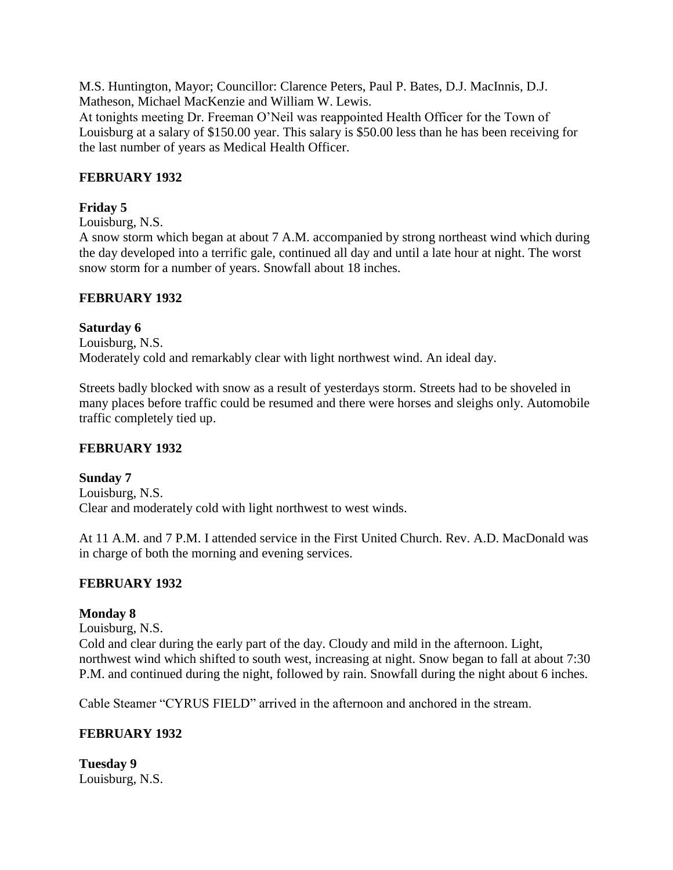M.S. Huntington, Mayor; Councillor: Clarence Peters, Paul P. Bates, D.J. MacInnis, D.J. Matheson, Michael MacKenzie and William W. Lewis.

At tonights meeting Dr. Freeman O'Neil was reappointed Health Officer for the Town of Louisburg at a salary of \$150.00 year. This salary is \$50.00 less than he has been receiving for the last number of years as Medical Health Officer.

# **FEBRUARY 1932**

# **Friday 5**

Louisburg, N.S.

A snow storm which began at about 7 A.M. accompanied by strong northeast wind which during the day developed into a terrific gale, continued all day and until a late hour at night. The worst snow storm for a number of years. Snowfall about 18 inches.

# **FEBRUARY 1932**

**Saturday 6** Louisburg, N.S. Moderately cold and remarkably clear with light northwest wind. An ideal day.

Streets badly blocked with snow as a result of yesterdays storm. Streets had to be shoveled in many places before traffic could be resumed and there were horses and sleighs only. Automobile traffic completely tied up.

# **FEBRUARY 1932**

**Sunday 7** Louisburg, N.S. Clear and moderately cold with light northwest to west winds.

At 11 A.M. and 7 P.M. I attended service in the First United Church. Rev. A.D. MacDonald was in charge of both the morning and evening services.

# **FEBRUARY 1932**

# **Monday 8**

Louisburg, N.S.

Cold and clear during the early part of the day. Cloudy and mild in the afternoon. Light, northwest wind which shifted to south west, increasing at night. Snow began to fall at about 7:30 P.M. and continued during the night, followed by rain. Snowfall during the night about 6 inches.

Cable Steamer "CYRUS FIELD" arrived in the afternoon and anchored in the stream.

# **FEBRUARY 1932**

**Tuesday 9** Louisburg, N.S.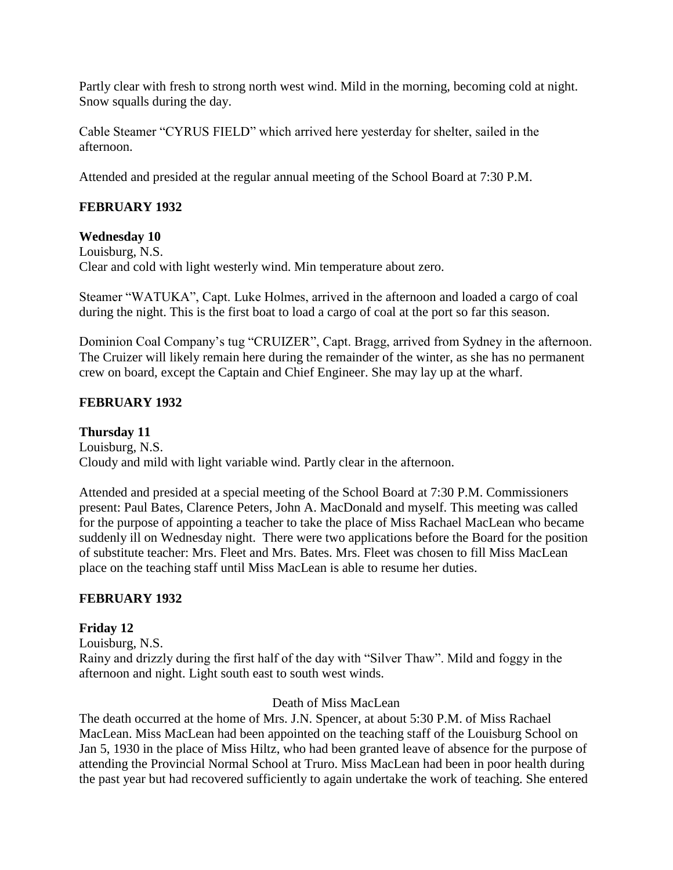Partly clear with fresh to strong north west wind. Mild in the morning, becoming cold at night. Snow squalls during the day.

Cable Steamer "CYRUS FIELD" which arrived here yesterday for shelter, sailed in the afternoon.

Attended and presided at the regular annual meeting of the School Board at 7:30 P.M.

# **FEBRUARY 1932**

### **Wednesday 10**

Louisburg, N.S. Clear and cold with light westerly wind. Min temperature about zero.

Steamer "WATUKA", Capt. Luke Holmes, arrived in the afternoon and loaded a cargo of coal during the night. This is the first boat to load a cargo of coal at the port so far this season.

Dominion Coal Company's tug "CRUIZER", Capt. Bragg, arrived from Sydney in the afternoon. The Cruizer will likely remain here during the remainder of the winter, as she has no permanent crew on board, except the Captain and Chief Engineer. She may lay up at the wharf.

# **FEBRUARY 1932**

**Thursday 11** Louisburg, N.S. Cloudy and mild with light variable wind. Partly clear in the afternoon.

Attended and presided at a special meeting of the School Board at 7:30 P.M. Commissioners present: Paul Bates, Clarence Peters, John A. MacDonald and myself. This meeting was called for the purpose of appointing a teacher to take the place of Miss Rachael MacLean who became suddenly ill on Wednesday night. There were two applications before the Board for the position of substitute teacher: Mrs. Fleet and Mrs. Bates. Mrs. Fleet was chosen to fill Miss MacLean place on the teaching staff until Miss MacLean is able to resume her duties.

# **FEBRUARY 1932**

# **Friday 12**

Louisburg, N.S.

Rainy and drizzly during the first half of the day with "Silver Thaw". Mild and foggy in the afternoon and night. Light south east to south west winds.

#### Death of Miss MacLean

The death occurred at the home of Mrs. J.N. Spencer, at about 5:30 P.M. of Miss Rachael MacLean. Miss MacLean had been appointed on the teaching staff of the Louisburg School on Jan 5, 1930 in the place of Miss Hiltz, who had been granted leave of absence for the purpose of attending the Provincial Normal School at Truro. Miss MacLean had been in poor health during the past year but had recovered sufficiently to again undertake the work of teaching. She entered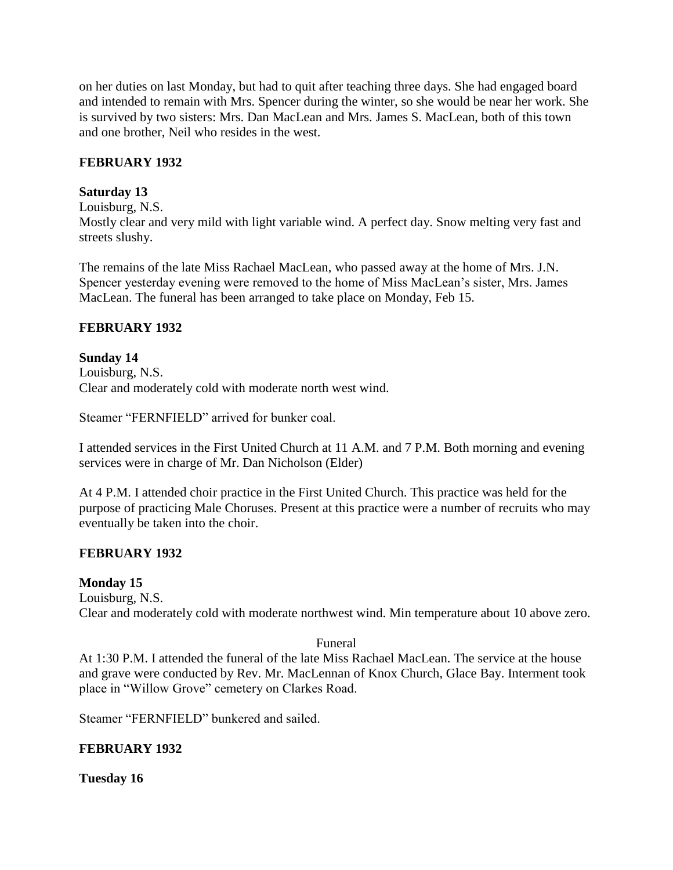on her duties on last Monday, but had to quit after teaching three days. She had engaged board and intended to remain with Mrs. Spencer during the winter, so she would be near her work. She is survived by two sisters: Mrs. Dan MacLean and Mrs. James S. MacLean, both of this town and one brother, Neil who resides in the west.

### **FEBRUARY 1932**

### **Saturday 13**

Louisburg, N.S.

Mostly clear and very mild with light variable wind. A perfect day. Snow melting very fast and streets slushy.

The remains of the late Miss Rachael MacLean, who passed away at the home of Mrs. J.N. Spencer yesterday evening were removed to the home of Miss MacLean's sister, Mrs. James MacLean. The funeral has been arranged to take place on Monday, Feb 15.

# **FEBRUARY 1932**

#### **Sunday 14** Louisburg, N.S. Clear and moderately cold with moderate north west wind.

Steamer "FERNFIELD" arrived for bunker coal.

I attended services in the First United Church at 11 A.M. and 7 P.M. Both morning and evening services were in charge of Mr. Dan Nicholson (Elder)

At 4 P.M. I attended choir practice in the First United Church. This practice was held for the purpose of practicing Male Choruses. Present at this practice were a number of recruits who may eventually be taken into the choir.

# **FEBRUARY 1932**

# **Monday 15**

Louisburg, N.S.

Clear and moderately cold with moderate northwest wind. Min temperature about 10 above zero.

#### Funeral

At 1:30 P.M. I attended the funeral of the late Miss Rachael MacLean. The service at the house and grave were conducted by Rev. Mr. MacLennan of Knox Church, Glace Bay. Interment took place in "Willow Grove" cemetery on Clarkes Road.

Steamer "FERNFIELD" bunkered and sailed.

# **FEBRUARY 1932**

# **Tuesday 16**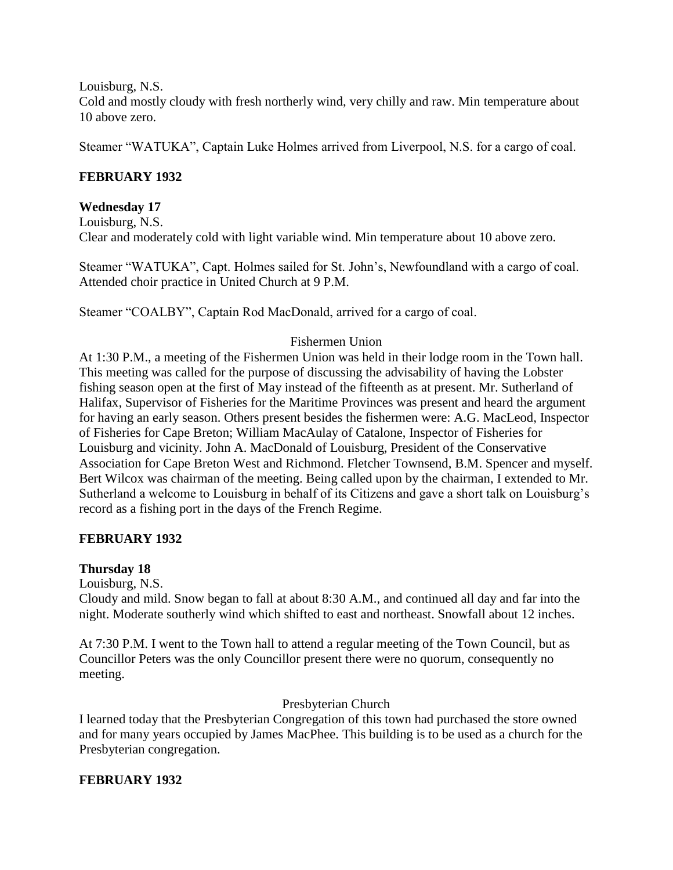Louisburg, N.S.

Cold and mostly cloudy with fresh northerly wind, very chilly and raw. Min temperature about 10 above zero.

Steamer "WATUKA", Captain Luke Holmes arrived from Liverpool, N.S. for a cargo of coal.

### **FEBRUARY 1932**

#### **Wednesday 17**

Louisburg, N.S. Clear and moderately cold with light variable wind. Min temperature about 10 above zero.

Steamer "WATUKA", Capt. Holmes sailed for St. John's, Newfoundland with a cargo of coal. Attended choir practice in United Church at 9 P.M.

Steamer "COALBY", Captain Rod MacDonald, arrived for a cargo of coal.

### Fishermen Union

At 1:30 P.M., a meeting of the Fishermen Union was held in their lodge room in the Town hall. This meeting was called for the purpose of discussing the advisability of having the Lobster fishing season open at the first of May instead of the fifteenth as at present. Mr. Sutherland of Halifax, Supervisor of Fisheries for the Maritime Provinces was present and heard the argument for having an early season. Others present besides the fishermen were: A.G. MacLeod, Inspector of Fisheries for Cape Breton; William MacAulay of Catalone, Inspector of Fisheries for Louisburg and vicinity. John A. MacDonald of Louisburg, President of the Conservative Association for Cape Breton West and Richmond. Fletcher Townsend, B.M. Spencer and myself. Bert Wilcox was chairman of the meeting. Being called upon by the chairman, I extended to Mr. Sutherland a welcome to Louisburg in behalf of its Citizens and gave a short talk on Louisburg's record as a fishing port in the days of the French Regime.

#### **FEBRUARY 1932**

#### **Thursday 18**

Louisburg, N.S.

Cloudy and mild. Snow began to fall at about 8:30 A.M., and continued all day and far into the night. Moderate southerly wind which shifted to east and northeast. Snowfall about 12 inches.

At 7:30 P.M. I went to the Town hall to attend a regular meeting of the Town Council, but as Councillor Peters was the only Councillor present there were no quorum, consequently no meeting.

#### Presbyterian Church

I learned today that the Presbyterian Congregation of this town had purchased the store owned and for many years occupied by James MacPhee. This building is to be used as a church for the Presbyterian congregation.

#### **FEBRUARY 1932**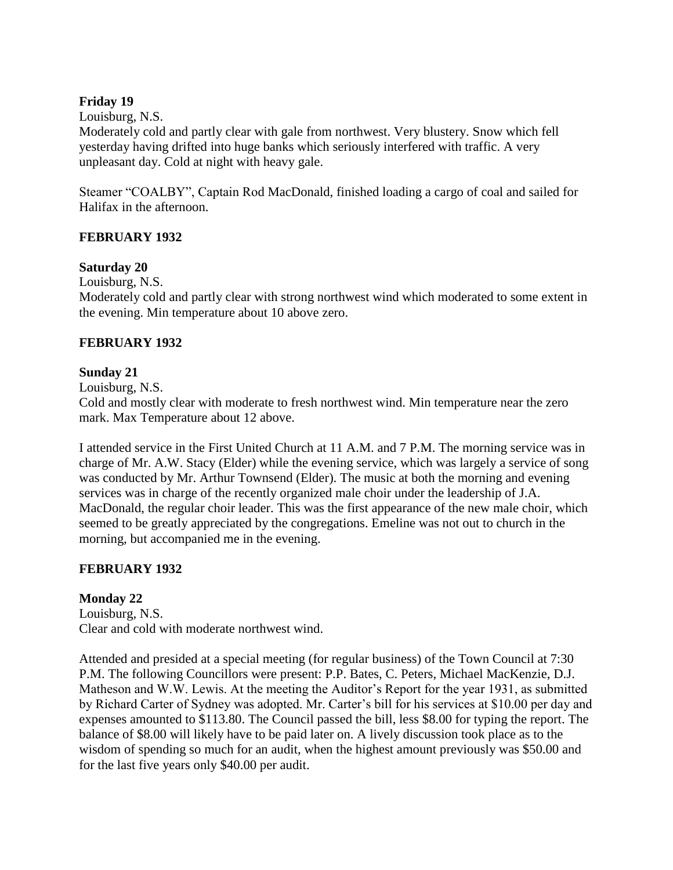### **Friday 19**

Louisburg, N.S.

Moderately cold and partly clear with gale from northwest. Very blustery. Snow which fell yesterday having drifted into huge banks which seriously interfered with traffic. A very unpleasant day. Cold at night with heavy gale.

Steamer "COALBY", Captain Rod MacDonald, finished loading a cargo of coal and sailed for Halifax in the afternoon.

### **FEBRUARY 1932**

### **Saturday 20**

Louisburg, N.S.

Moderately cold and partly clear with strong northwest wind which moderated to some extent in the evening. Min temperature about 10 above zero.

### **FEBRUARY 1932**

### **Sunday 21**

Louisburg, N.S.

Cold and mostly clear with moderate to fresh northwest wind. Min temperature near the zero mark. Max Temperature about 12 above.

I attended service in the First United Church at 11 A.M. and 7 P.M. The morning service was in charge of Mr. A.W. Stacy (Elder) while the evening service, which was largely a service of song was conducted by Mr. Arthur Townsend (Elder). The music at both the morning and evening services was in charge of the recently organized male choir under the leadership of J.A. MacDonald, the regular choir leader. This was the first appearance of the new male choir, which seemed to be greatly appreciated by the congregations. Emeline was not out to church in the morning, but accompanied me in the evening.

# **FEBRUARY 1932**

# **Monday 22**

Louisburg, N.S. Clear and cold with moderate northwest wind.

Attended and presided at a special meeting (for regular business) of the Town Council at 7:30 P.M. The following Councillors were present: P.P. Bates, C. Peters, Michael MacKenzie, D.J. Matheson and W.W. Lewis. At the meeting the Auditor's Report for the year 1931, as submitted by Richard Carter of Sydney was adopted. Mr. Carter's bill for his services at \$10.00 per day and expenses amounted to \$113.80. The Council passed the bill, less \$8.00 for typing the report. The balance of \$8.00 will likely have to be paid later on. A lively discussion took place as to the wisdom of spending so much for an audit, when the highest amount previously was \$50.00 and for the last five years only \$40.00 per audit.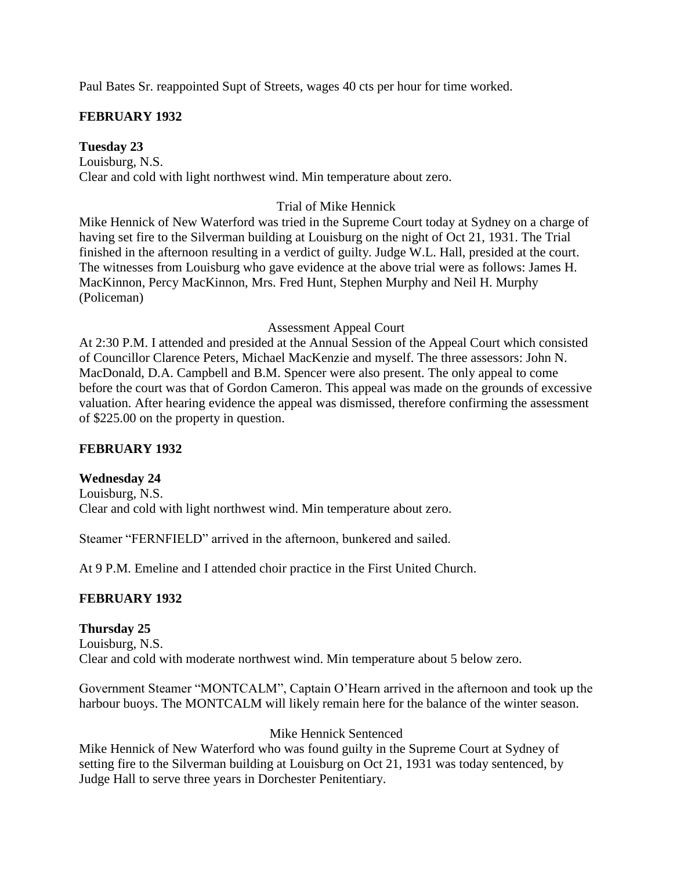Paul Bates Sr. reappointed Supt of Streets, wages 40 cts per hour for time worked.

# **FEBRUARY 1932**

**Tuesday 23** Louisburg, N.S. Clear and cold with light northwest wind. Min temperature about zero.

# Trial of Mike Hennick

Mike Hennick of New Waterford was tried in the Supreme Court today at Sydney on a charge of having set fire to the Silverman building at Louisburg on the night of Oct 21, 1931. The Trial finished in the afternoon resulting in a verdict of guilty. Judge W.L. Hall, presided at the court. The witnesses from Louisburg who gave evidence at the above trial were as follows: James H. MacKinnon, Percy MacKinnon, Mrs. Fred Hunt, Stephen Murphy and Neil H. Murphy (Policeman)

#### Assessment Appeal Court

At 2:30 P.M. I attended and presided at the Annual Session of the Appeal Court which consisted of Councillor Clarence Peters, Michael MacKenzie and myself. The three assessors: John N. MacDonald, D.A. Campbell and B.M. Spencer were also present. The only appeal to come before the court was that of Gordon Cameron. This appeal was made on the grounds of excessive valuation. After hearing evidence the appeal was dismissed, therefore confirming the assessment of \$225.00 on the property in question.

#### **FEBRUARY 1932**

#### **Wednesday 24**

Louisburg, N.S. Clear and cold with light northwest wind. Min temperature about zero.

Steamer "FERNFIELD" arrived in the afternoon, bunkered and sailed.

At 9 P.M. Emeline and I attended choir practice in the First United Church.

# **FEBRUARY 1932**

# **Thursday 25**

Louisburg, N.S. Clear and cold with moderate northwest wind. Min temperature about 5 below zero.

Government Steamer "MONTCALM", Captain O'Hearn arrived in the afternoon and took up the harbour buoys. The MONTCALM will likely remain here for the balance of the winter season.

# Mike Hennick Sentenced

Mike Hennick of New Waterford who was found guilty in the Supreme Court at Sydney of setting fire to the Silverman building at Louisburg on Oct 21, 1931 was today sentenced, by Judge Hall to serve three years in Dorchester Penitentiary.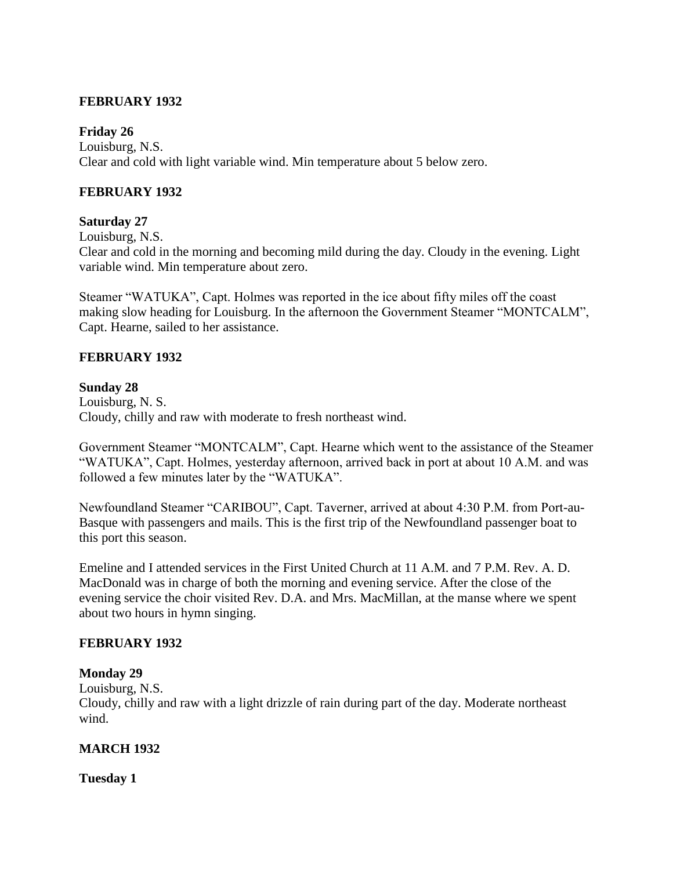#### **FEBRUARY 1932**

#### **Friday 26**

Louisburg, N.S. Clear and cold with light variable wind. Min temperature about 5 below zero.

#### **FEBRUARY 1932**

#### **Saturday 27**

Louisburg, N.S.

Clear and cold in the morning and becoming mild during the day. Cloudy in the evening. Light variable wind. Min temperature about zero.

Steamer "WATUKA", Capt. Holmes was reported in the ice about fifty miles off the coast making slow heading for Louisburg. In the afternoon the Government Steamer "MONTCALM", Capt. Hearne, sailed to her assistance.

### **FEBRUARY 1932**

#### **Sunday 28**

Louisburg, N. S. Cloudy, chilly and raw with moderate to fresh northeast wind.

Government Steamer "MONTCALM", Capt. Hearne which went to the assistance of the Steamer "WATUKA", Capt. Holmes, yesterday afternoon, arrived back in port at about 10 A.M. and was followed a few minutes later by the "WATUKA".

Newfoundland Steamer "CARIBOU", Capt. Taverner, arrived at about 4:30 P.M. from Port-au-Basque with passengers and mails. This is the first trip of the Newfoundland passenger boat to this port this season.

Emeline and I attended services in the First United Church at 11 A.M. and 7 P.M. Rev. A. D. MacDonald was in charge of both the morning and evening service. After the close of the evening service the choir visited Rev. D.A. and Mrs. MacMillan, at the manse where we spent about two hours in hymn singing.

#### **FEBRUARY 1932**

#### **Monday 29**

Louisburg, N.S.

Cloudy, chilly and raw with a light drizzle of rain during part of the day. Moderate northeast wind.

#### **MARCH 1932**

#### **Tuesday 1**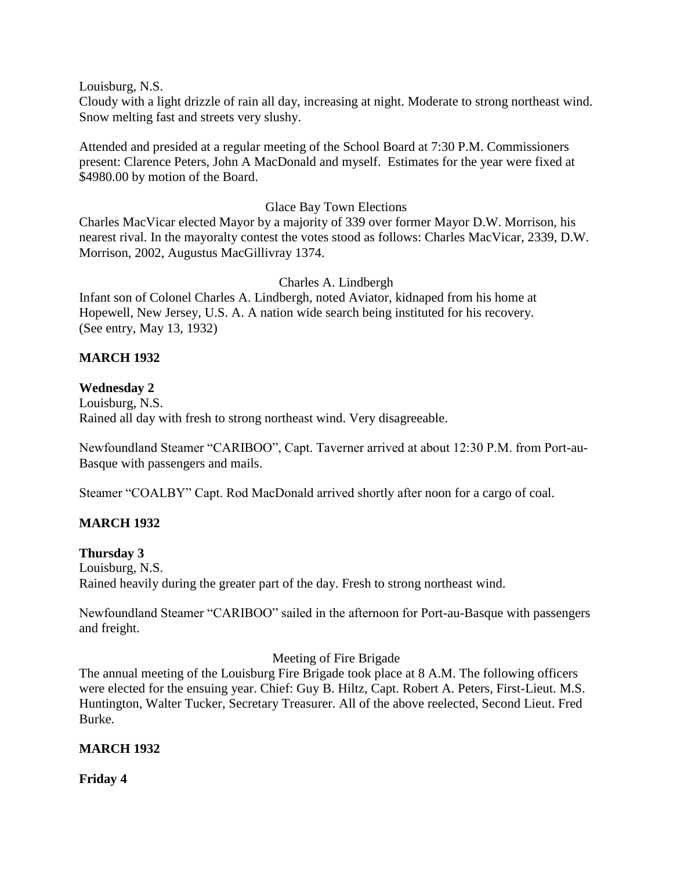Louisburg, N.S.

Cloudy with a light drizzle of rain all day, increasing at night. Moderate to strong northeast wind. Snow melting fast and streets very slushy.

Attended and presided at a regular meeting of the School Board at 7:30 P.M. Commissioners present: Clarence Peters, John A MacDonald and myself. Estimates for the year were fixed at \$4980.00 by motion of the Board.

#### Glace Bay Town Elections

Charles MacVicar elected Mayor by a majority of 339 over former Mayor D.W. Morrison, his nearest rival. In the mayoralty contest the votes stood as follows: Charles MacVicar, 2339, D.W. Morrison, 2002, Augustus MacGillivray 1374.

#### Charles A. Lindbergh

Infant son of Colonel Charles A. Lindbergh, noted Aviator, kidnaped from his home at Hopewell, New Jersey, U.S. A. A nation wide search being instituted for his recovery. (See entry, May 13, 1932)

### **MARCH 1932**

### **Wednesday 2**

Louisburg, N.S. Rained all day with fresh to strong northeast wind. Very disagreeable.

Newfoundland Steamer "CARIBOO", Capt. Taverner arrived at about 12:30 P.M. from Port-au-Basque with passengers and mails.

Steamer "COALBY" Capt. Rod MacDonald arrived shortly after noon for a cargo of coal.

# **MARCH 1932**

#### **Thursday 3**

Louisburg, N.S. Rained heavily during the greater part of the day. Fresh to strong northeast wind.

Newfoundland Steamer "CARIBOO" sailed in the afternoon for Port-au-Basque with passengers and freight.

#### Meeting of Fire Brigade

The annual meeting of the Louisburg Fire Brigade took place at 8 A.M. The following officers were elected for the ensuing year. Chief: Guy B. Hiltz, Capt. Robert A. Peters, First-Lieut. M.S. Huntington, Walter Tucker, Secretary Treasurer. All of the above reelected, Second Lieut. Fred Burke.

#### **MARCH 1932**

**Friday 4**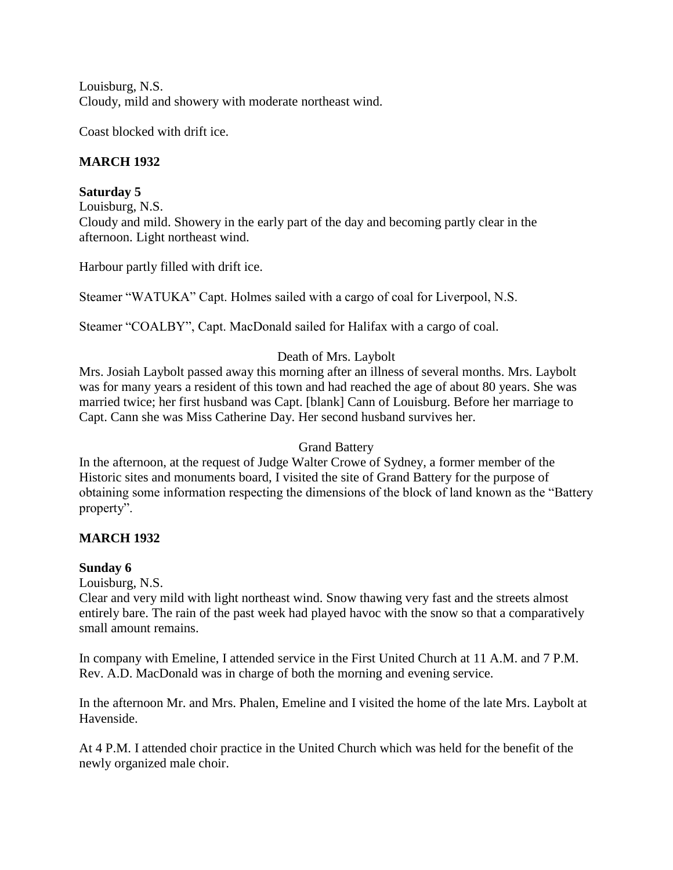Louisburg, N.S. Cloudy, mild and showery with moderate northeast wind.

Coast blocked with drift ice.

# **MARCH 1932**

# **Saturday 5**

Louisburg, N.S. Cloudy and mild. Showery in the early part of the day and becoming partly clear in the afternoon. Light northeast wind.

Harbour partly filled with drift ice.

Steamer "WATUKA" Capt. Holmes sailed with a cargo of coal for Liverpool, N.S.

Steamer "COALBY", Capt. MacDonald sailed for Halifax with a cargo of coal.

# Death of Mrs. Laybolt

Mrs. Josiah Laybolt passed away this morning after an illness of several months. Mrs. Laybolt was for many years a resident of this town and had reached the age of about 80 years. She was married twice; her first husband was Capt. [blank] Cann of Louisburg. Before her marriage to Capt. Cann she was Miss Catherine Day. Her second husband survives her.

# Grand Battery

In the afternoon, at the request of Judge Walter Crowe of Sydney, a former member of the Historic sites and monuments board, I visited the site of Grand Battery for the purpose of obtaining some information respecting the dimensions of the block of land known as the "Battery property".

# **MARCH 1932**

# **Sunday 6**

Louisburg, N.S.

Clear and very mild with light northeast wind. Snow thawing very fast and the streets almost entirely bare. The rain of the past week had played havoc with the snow so that a comparatively small amount remains.

In company with Emeline, I attended service in the First United Church at 11 A.M. and 7 P.M. Rev. A.D. MacDonald was in charge of both the morning and evening service.

In the afternoon Mr. and Mrs. Phalen, Emeline and I visited the home of the late Mrs. Laybolt at Havenside.

At 4 P.M. I attended choir practice in the United Church which was held for the benefit of the newly organized male choir.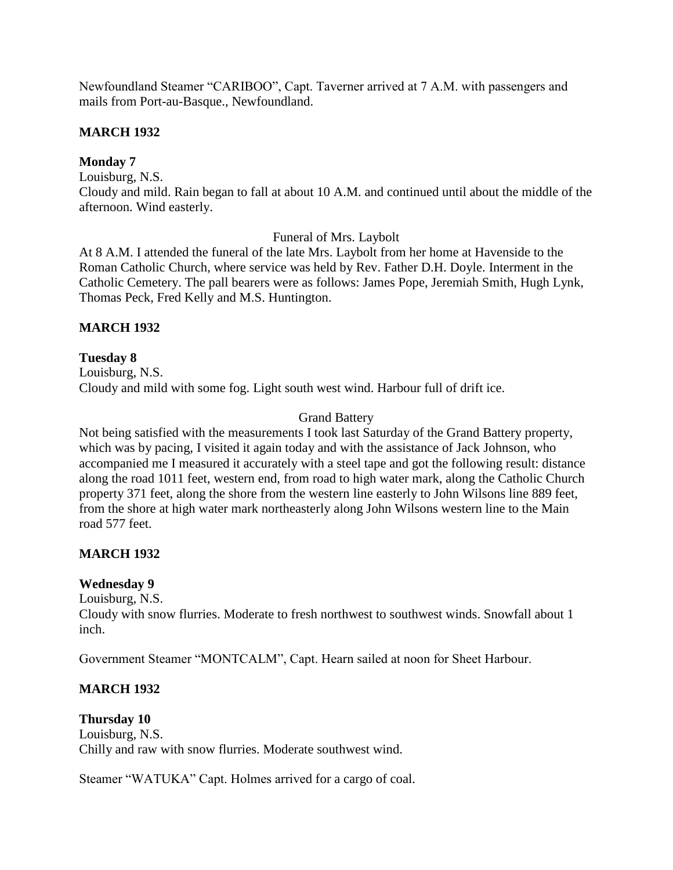Newfoundland Steamer "CARIBOO", Capt. Taverner arrived at 7 A.M. with passengers and mails from Port-au-Basque., Newfoundland.

### **MARCH 1932**

### **Monday 7**

Louisburg, N.S.

Cloudy and mild. Rain began to fall at about 10 A.M. and continued until about the middle of the afternoon. Wind easterly.

Funeral of Mrs. Laybolt

At 8 A.M. I attended the funeral of the late Mrs. Laybolt from her home at Havenside to the Roman Catholic Church, where service was held by Rev. Father D.H. Doyle. Interment in the Catholic Cemetery. The pall bearers were as follows: James Pope, Jeremiah Smith, Hugh Lynk, Thomas Peck, Fred Kelly and M.S. Huntington.

### **MARCH 1932**

### **Tuesday 8**

Louisburg, N.S. Cloudy and mild with some fog. Light south west wind. Harbour full of drift ice.

# Grand Battery

Not being satisfied with the measurements I took last Saturday of the Grand Battery property, which was by pacing, I visited it again today and with the assistance of Jack Johnson, who accompanied me I measured it accurately with a steel tape and got the following result: distance along the road 1011 feet, western end, from road to high water mark, along the Catholic Church property 371 feet, along the shore from the western line easterly to John Wilsons line 889 feet, from the shore at high water mark northeasterly along John Wilsons western line to the Main road 577 feet.

# **MARCH 1932**

#### **Wednesday 9**

Louisburg, N.S.

Cloudy with snow flurries. Moderate to fresh northwest to southwest winds. Snowfall about 1 inch.

Government Steamer "MONTCALM", Capt. Hearn sailed at noon for Sheet Harbour.

# **MARCH 1932**

#### **Thursday 10**

Louisburg, N.S. Chilly and raw with snow flurries. Moderate southwest wind.

Steamer "WATUKA" Capt. Holmes arrived for a cargo of coal.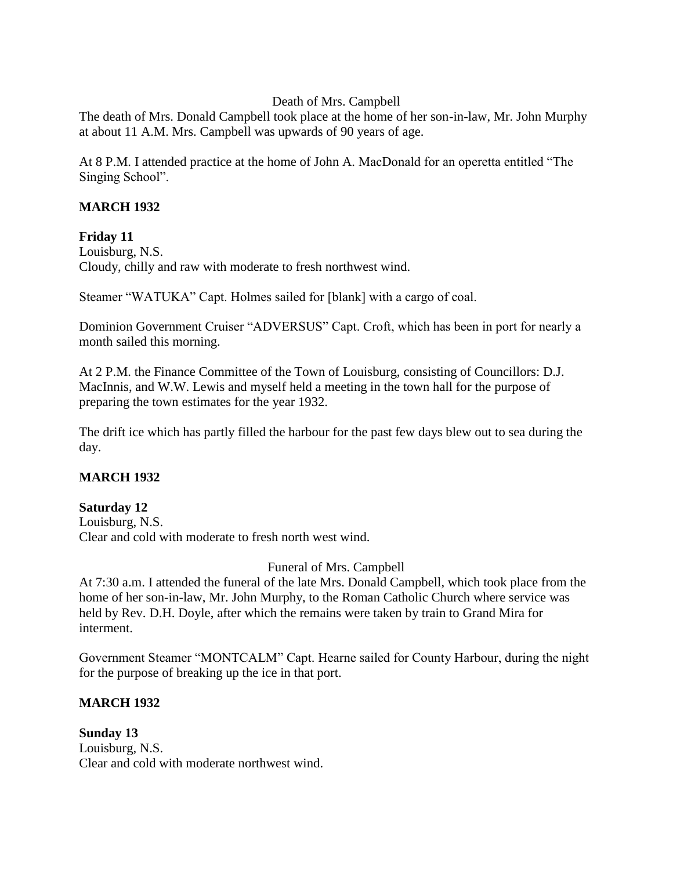### Death of Mrs. Campbell

The death of Mrs. Donald Campbell took place at the home of her son-in-law, Mr. John Murphy at about 11 A.M. Mrs. Campbell was upwards of 90 years of age.

At 8 P.M. I attended practice at the home of John A. MacDonald for an operetta entitled "The Singing School".

### **MARCH 1932**

#### **Friday 11**

Louisburg, N.S. Cloudy, chilly and raw with moderate to fresh northwest wind.

Steamer "WATUKA" Capt. Holmes sailed for [blank] with a cargo of coal.

Dominion Government Cruiser "ADVERSUS" Capt. Croft, which has been in port for nearly a month sailed this morning.

At 2 P.M. the Finance Committee of the Town of Louisburg, consisting of Councillors: D.J. MacInnis, and W.W. Lewis and myself held a meeting in the town hall for the purpose of preparing the town estimates for the year 1932.

The drift ice which has partly filled the harbour for the past few days blew out to sea during the day.

# **MARCH 1932**

#### **Saturday 12** Louisburg, N.S. Clear and cold with moderate to fresh north west wind.

Funeral of Mrs. Campbell

At 7:30 a.m. I attended the funeral of the late Mrs. Donald Campbell, which took place from the home of her son-in-law, Mr. John Murphy, to the Roman Catholic Church where service was held by Rev. D.H. Doyle, after which the remains were taken by train to Grand Mira for interment.

Government Steamer "MONTCALM" Capt. Hearne sailed for County Harbour, during the night for the purpose of breaking up the ice in that port.

# **MARCH 1932**

**Sunday 13** Louisburg, N.S. Clear and cold with moderate northwest wind.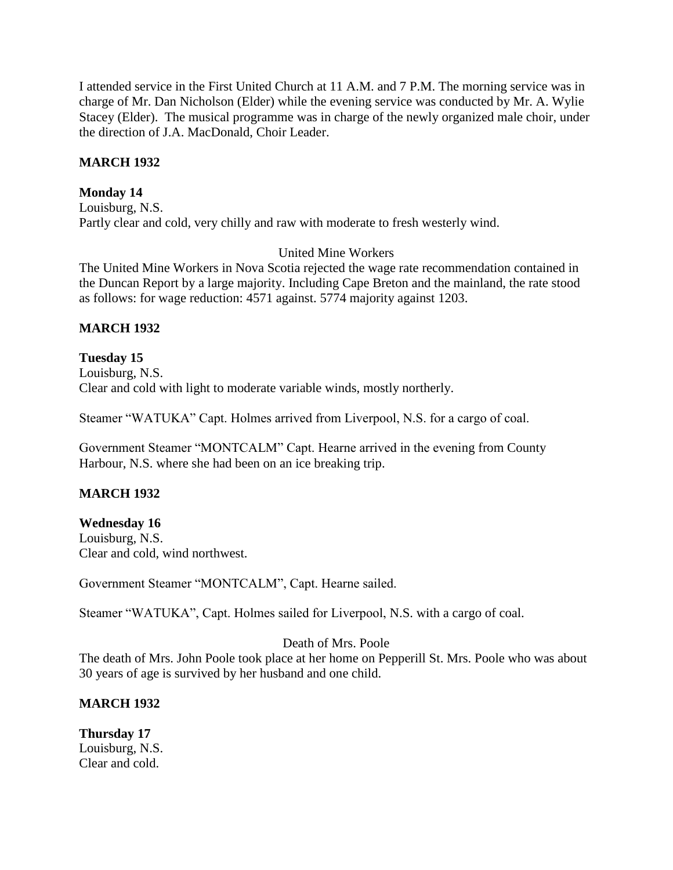I attended service in the First United Church at 11 A.M. and 7 P.M. The morning service was in charge of Mr. Dan Nicholson (Elder) while the evening service was conducted by Mr. A. Wylie Stacey (Elder). The musical programme was in charge of the newly organized male choir, under the direction of J.A. MacDonald, Choir Leader.

### **MARCH 1932**

### **Monday 14**

Louisburg, N.S. Partly clear and cold, very chilly and raw with moderate to fresh westerly wind.

# United Mine Workers

The United Mine Workers in Nova Scotia rejected the wage rate recommendation contained in the Duncan Report by a large majority. Including Cape Breton and the mainland, the rate stood as follows: for wage reduction: 4571 against. 5774 majority against 1203.

### **MARCH 1932**

**Tuesday 15** Louisburg, N.S. Clear and cold with light to moderate variable winds, mostly northerly.

Steamer "WATUKA" Capt. Holmes arrived from Liverpool, N.S. for a cargo of coal.

Government Steamer "MONTCALM" Capt. Hearne arrived in the evening from County Harbour, N.S. where she had been on an ice breaking trip.

# **MARCH 1932**

#### **Wednesday 16**

Louisburg, N.S. Clear and cold, wind northwest.

Government Steamer "MONTCALM", Capt. Hearne sailed.

Steamer "WATUKA", Capt. Holmes sailed for Liverpool, N.S. with a cargo of coal.

Death of Mrs. Poole

The death of Mrs. John Poole took place at her home on Pepperill St. Mrs. Poole who was about 30 years of age is survived by her husband and one child.

# **MARCH 1932**

**Thursday 17** Louisburg, N.S. Clear and cold.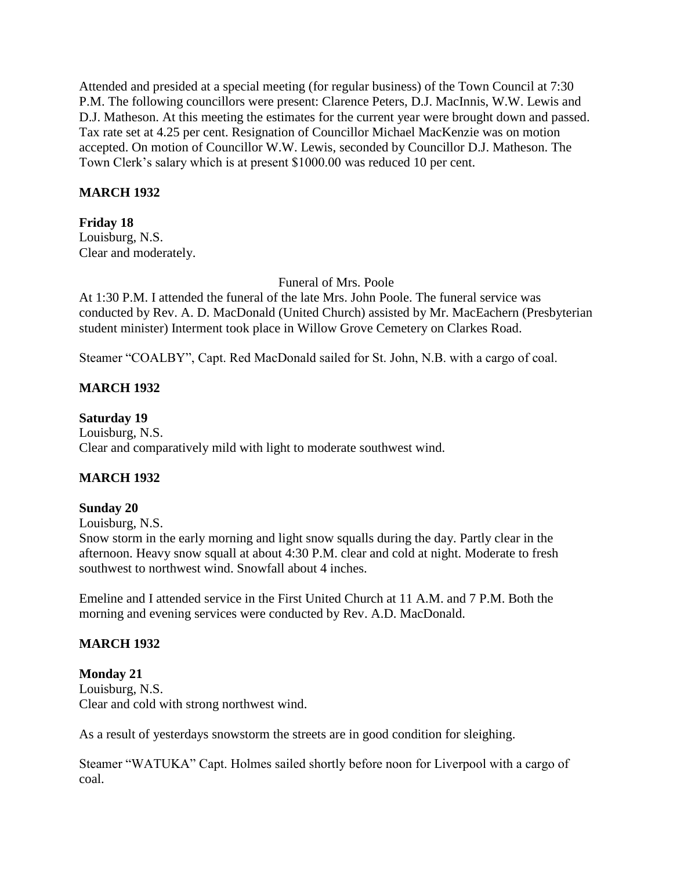Attended and presided at a special meeting (for regular business) of the Town Council at 7:30 P.M. The following councillors were present: Clarence Peters, D.J. MacInnis, W.W. Lewis and D.J. Matheson. At this meeting the estimates for the current year were brought down and passed. Tax rate set at 4.25 per cent. Resignation of Councillor Michael MacKenzie was on motion accepted. On motion of Councillor W.W. Lewis, seconded by Councillor D.J. Matheson. The Town Clerk's salary which is at present \$1000.00 was reduced 10 per cent.

### **MARCH 1932**

# **Friday 18**

Louisburg, N.S. Clear and moderately.

Funeral of Mrs. Poole

At 1:30 P.M. I attended the funeral of the late Mrs. John Poole. The funeral service was conducted by Rev. A. D. MacDonald (United Church) assisted by Mr. MacEachern (Presbyterian student minister) Interment took place in Willow Grove Cemetery on Clarkes Road.

Steamer "COALBY", Capt. Red MacDonald sailed for St. John, N.B. with a cargo of coal.

### **MARCH 1932**

#### **Saturday 19**

Louisburg, N.S. Clear and comparatively mild with light to moderate southwest wind.

# **MARCH 1932**

#### **Sunday 20**

Louisburg, N.S.

Snow storm in the early morning and light snow squalls during the day. Partly clear in the afternoon. Heavy snow squall at about 4:30 P.M. clear and cold at night. Moderate to fresh southwest to northwest wind. Snowfall about 4 inches.

Emeline and I attended service in the First United Church at 11 A.M. and 7 P.M. Both the morning and evening services were conducted by Rev. A.D. MacDonald.

# **MARCH 1932**

#### **Monday 21**

Louisburg, N.S. Clear and cold with strong northwest wind.

As a result of yesterdays snowstorm the streets are in good condition for sleighing.

Steamer "WATUKA" Capt. Holmes sailed shortly before noon for Liverpool with a cargo of coal.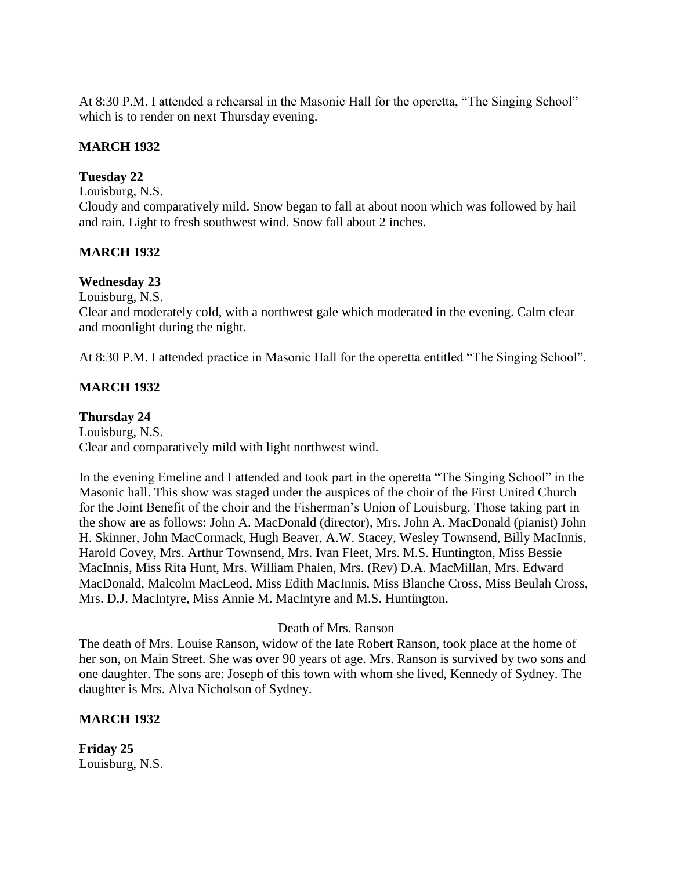At 8:30 P.M. I attended a rehearsal in the Masonic Hall for the operetta, "The Singing School" which is to render on next Thursday evening.

# **MARCH 1932**

### **Tuesday 22**

Louisburg, N.S.

Cloudy and comparatively mild. Snow began to fall at about noon which was followed by hail and rain. Light to fresh southwest wind. Snow fall about 2 inches.

### **MARCH 1932**

#### **Wednesday 23**

Louisburg, N.S.

Clear and moderately cold, with a northwest gale which moderated in the evening. Calm clear and moonlight during the night.

At 8:30 P.M. I attended practice in Masonic Hall for the operetta entitled "The Singing School".

### **MARCH 1932**

#### **Thursday 24**

Louisburg, N.S. Clear and comparatively mild with light northwest wind.

In the evening Emeline and I attended and took part in the operetta "The Singing School" in the Masonic hall. This show was staged under the auspices of the choir of the First United Church for the Joint Benefit of the choir and the Fisherman's Union of Louisburg. Those taking part in the show are as follows: John A. MacDonald (director), Mrs. John A. MacDonald (pianist) John H. Skinner, John MacCormack, Hugh Beaver, A.W. Stacey, Wesley Townsend, Billy MacInnis, Harold Covey, Mrs. Arthur Townsend, Mrs. Ivan Fleet, Mrs. M.S. Huntington, Miss Bessie MacInnis, Miss Rita Hunt, Mrs. William Phalen, Mrs. (Rev) D.A. MacMillan, Mrs. Edward MacDonald, Malcolm MacLeod, Miss Edith MacInnis, Miss Blanche Cross, Miss Beulah Cross, Mrs. D.J. MacIntyre, Miss Annie M. MacIntyre and M.S. Huntington.

### Death of Mrs. Ranson

The death of Mrs. Louise Ranson, widow of the late Robert Ranson, took place at the home of her son, on Main Street. She was over 90 years of age. Mrs. Ranson is survived by two sons and one daughter. The sons are: Joseph of this town with whom she lived, Kennedy of Sydney. The daughter is Mrs. Alva Nicholson of Sydney.

#### **MARCH 1932**

**Friday 25** Louisburg, N.S.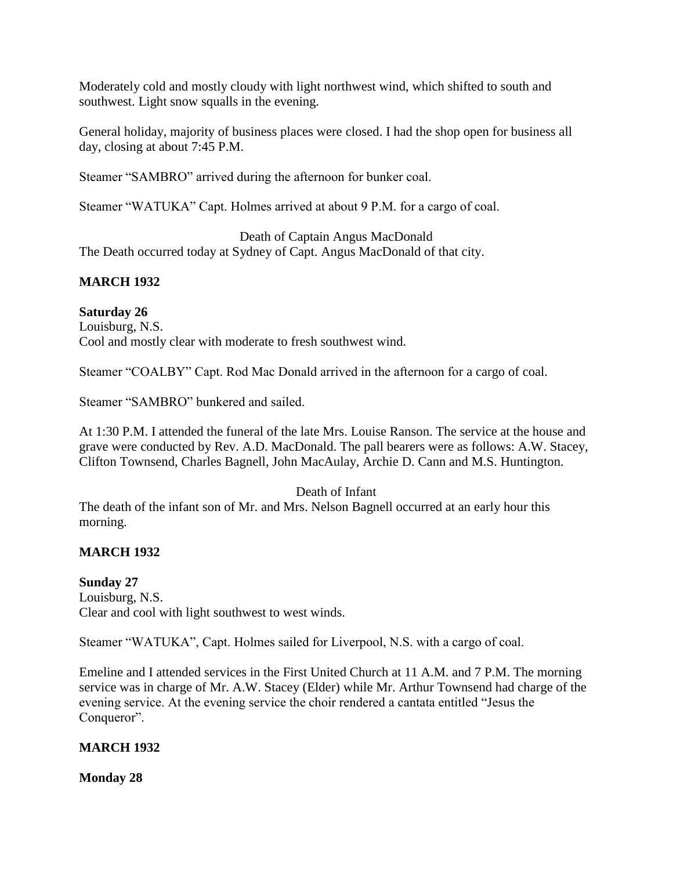Moderately cold and mostly cloudy with light northwest wind, which shifted to south and southwest. Light snow squalls in the evening.

General holiday, majority of business places were closed. I had the shop open for business all day, closing at about 7:45 P.M.

Steamer "SAMBRO" arrived during the afternoon for bunker coal.

Steamer "WATUKA" Capt. Holmes arrived at about 9 P.M. for a cargo of coal.

Death of Captain Angus MacDonald The Death occurred today at Sydney of Capt. Angus MacDonald of that city.

# **MARCH 1932**

# **Saturday 26**

Louisburg, N.S. Cool and mostly clear with moderate to fresh southwest wind.

Steamer "COALBY" Capt. Rod Mac Donald arrived in the afternoon for a cargo of coal.

Steamer "SAMBRO" bunkered and sailed.

At 1:30 P.M. I attended the funeral of the late Mrs. Louise Ranson. The service at the house and grave were conducted by Rev. A.D. MacDonald. The pall bearers were as follows: A.W. Stacey, Clifton Townsend, Charles Bagnell, John MacAulay, Archie D. Cann and M.S. Huntington.

# Death of Infant

The death of the infant son of Mr. and Mrs. Nelson Bagnell occurred at an early hour this morning.

# **MARCH 1932**

# **Sunday 27**

Louisburg, N.S. Clear and cool with light southwest to west winds.

Steamer "WATUKA", Capt. Holmes sailed for Liverpool, N.S. with a cargo of coal.

Emeline and I attended services in the First United Church at 11 A.M. and 7 P.M. The morning service was in charge of Mr. A.W. Stacey (Elder) while Mr. Arthur Townsend had charge of the evening service. At the evening service the choir rendered a cantata entitled "Jesus the Conqueror".

# **MARCH 1932**

**Monday 28**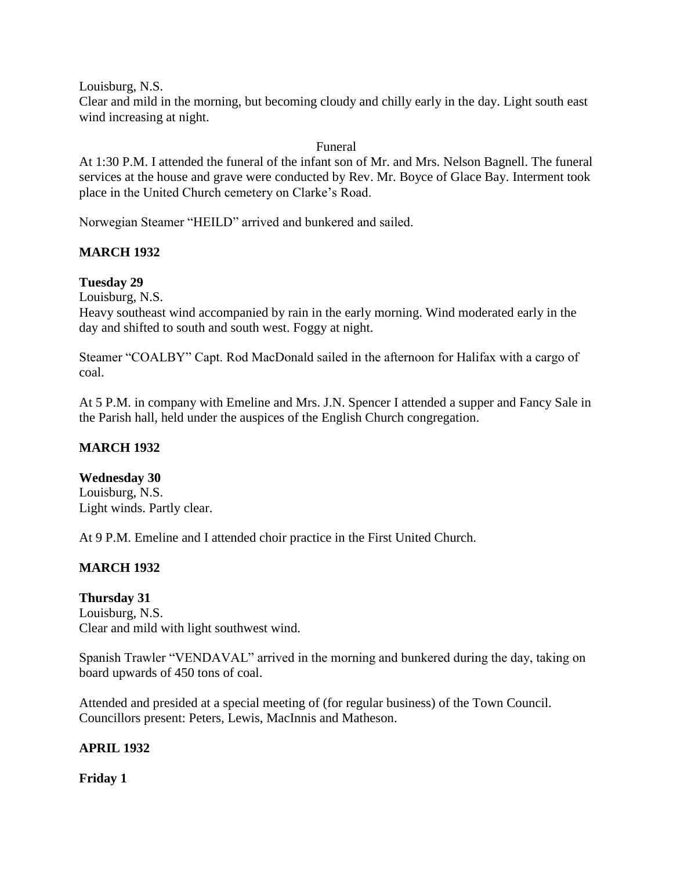Louisburg, N.S.

Clear and mild in the morning, but becoming cloudy and chilly early in the day. Light south east wind increasing at night.

### Funeral

At 1:30 P.M. I attended the funeral of the infant son of Mr. and Mrs. Nelson Bagnell. The funeral services at the house and grave were conducted by Rev. Mr. Boyce of Glace Bay. Interment took place in the United Church cemetery on Clarke's Road.

Norwegian Steamer "HEILD" arrived and bunkered and sailed.

# **MARCH 1932**

# **Tuesday 29**

Louisburg, N.S.

Heavy southeast wind accompanied by rain in the early morning. Wind moderated early in the day and shifted to south and south west. Foggy at night.

Steamer "COALBY" Capt. Rod MacDonald sailed in the afternoon for Halifax with a cargo of coal.

At 5 P.M. in company with Emeline and Mrs. J.N. Spencer I attended a supper and Fancy Sale in the Parish hall, held under the auspices of the English Church congregation.

# **MARCH 1932**

#### **Wednesday 30**

Louisburg, N.S. Light winds. Partly clear.

At 9 P.M. Emeline and I attended choir practice in the First United Church.

# **MARCH 1932**

**Thursday 31** Louisburg, N.S. Clear and mild with light southwest wind.

Spanish Trawler "VENDAVAL" arrived in the morning and bunkered during the day, taking on board upwards of 450 tons of coal.

Attended and presided at a special meeting of (for regular business) of the Town Council. Councillors present: Peters, Lewis, MacInnis and Matheson.

#### **APRIL 1932**

**Friday 1**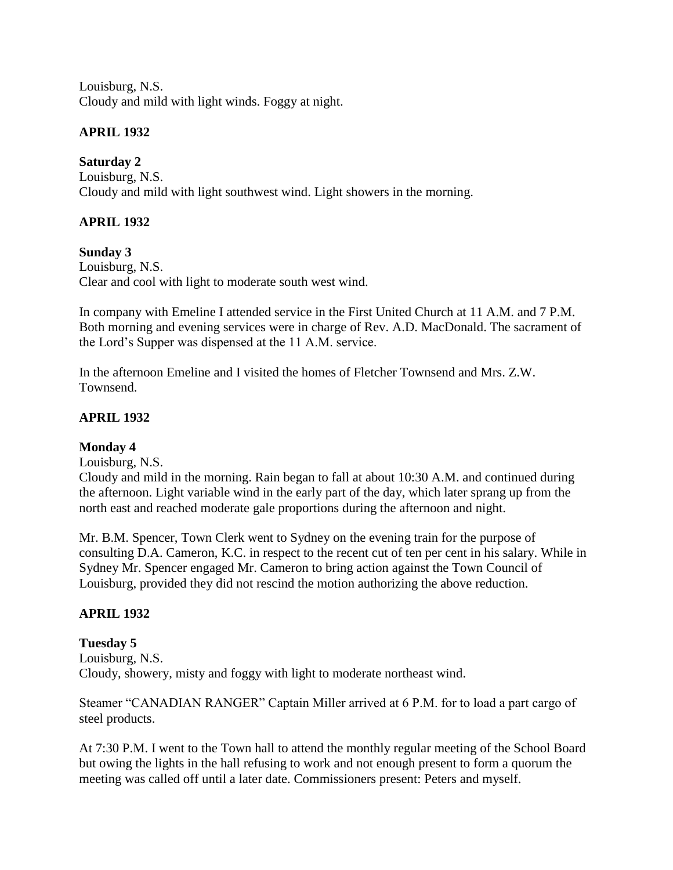Louisburg, N.S. Cloudy and mild with light winds. Foggy at night.

# **APRIL 1932**

**Saturday 2**

Louisburg, N.S. Cloudy and mild with light southwest wind. Light showers in the morning.

# **APRIL 1932**

**Sunday 3** Louisburg, N.S. Clear and cool with light to moderate south west wind.

In company with Emeline I attended service in the First United Church at 11 A.M. and 7 P.M. Both morning and evening services were in charge of Rev. A.D. MacDonald. The sacrament of the Lord's Supper was dispensed at the 11 A.M. service.

In the afternoon Emeline and I visited the homes of Fletcher Townsend and Mrs. Z.W. Townsend.

# **APRIL 1932**

# **Monday 4**

Louisburg, N.S.

Cloudy and mild in the morning. Rain began to fall at about 10:30 A.M. and continued during the afternoon. Light variable wind in the early part of the day, which later sprang up from the north east and reached moderate gale proportions during the afternoon and night.

Mr. B.M. Spencer, Town Clerk went to Sydney on the evening train for the purpose of consulting D.A. Cameron, K.C. in respect to the recent cut of ten per cent in his salary. While in Sydney Mr. Spencer engaged Mr. Cameron to bring action against the Town Council of Louisburg, provided they did not rescind the motion authorizing the above reduction.

# **APRIL 1932**

# **Tuesday 5**

Louisburg, N.S. Cloudy, showery, misty and foggy with light to moderate northeast wind.

Steamer "CANADIAN RANGER" Captain Miller arrived at 6 P.M. for to load a part cargo of steel products.

At 7:30 P.M. I went to the Town hall to attend the monthly regular meeting of the School Board but owing the lights in the hall refusing to work and not enough present to form a quorum the meeting was called off until a later date. Commissioners present: Peters and myself.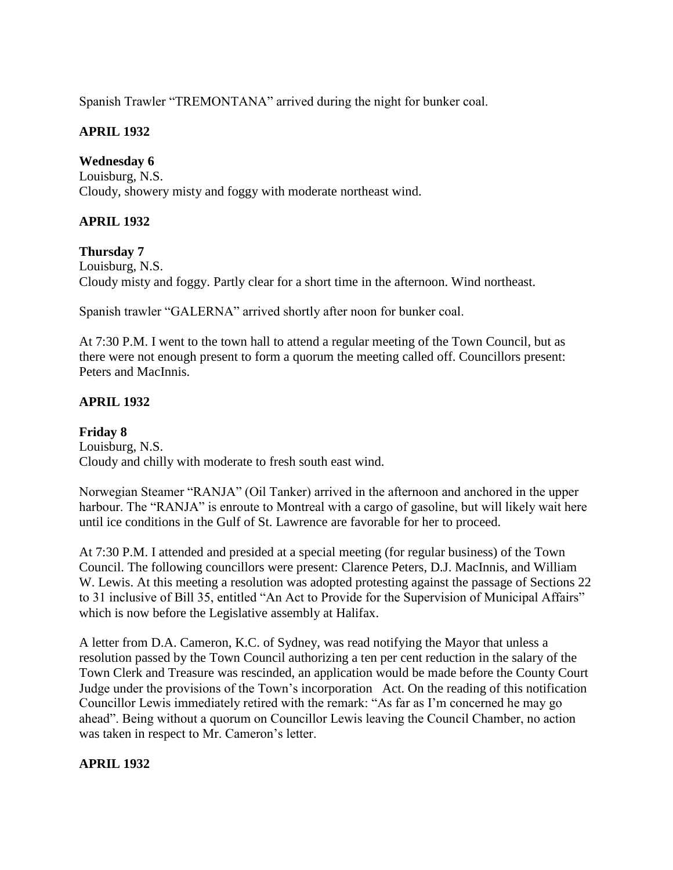Spanish Trawler "TREMONTANA" arrived during the night for bunker coal.

# **APRIL 1932**

**Wednesday 6** Louisburg, N.S. Cloudy, showery misty and foggy with moderate northeast wind.

# **APRIL 1932**

**Thursday 7** Louisburg, N.S. Cloudy misty and foggy. Partly clear for a short time in the afternoon. Wind northeast.

Spanish trawler "GALERNA" arrived shortly after noon for bunker coal.

At 7:30 P.M. I went to the town hall to attend a regular meeting of the Town Council, but as there were not enough present to form a quorum the meeting called off. Councillors present: Peters and MacInnis.

# **APRIL 1932**

# **Friday 8**

Louisburg, N.S. Cloudy and chilly with moderate to fresh south east wind.

Norwegian Steamer "RANJA" (Oil Tanker) arrived in the afternoon and anchored in the upper harbour. The "RANJA" is enroute to Montreal with a cargo of gasoline, but will likely wait here until ice conditions in the Gulf of St. Lawrence are favorable for her to proceed.

At 7:30 P.M. I attended and presided at a special meeting (for regular business) of the Town Council. The following councillors were present: Clarence Peters, D.J. MacInnis, and William W. Lewis. At this meeting a resolution was adopted protesting against the passage of Sections 22 to 31 inclusive of Bill 35, entitled "An Act to Provide for the Supervision of Municipal Affairs" which is now before the Legislative assembly at Halifax.

A letter from D.A. Cameron, K.C. of Sydney, was read notifying the Mayor that unless a resolution passed by the Town Council authorizing a ten per cent reduction in the salary of the Town Clerk and Treasure was rescinded, an application would be made before the County Court Judge under the provisions of the Town's incorporation Act. On the reading of this notification Councillor Lewis immediately retired with the remark: "As far as I'm concerned he may go ahead". Being without a quorum on Councillor Lewis leaving the Council Chamber, no action was taken in respect to Mr. Cameron's letter.

# **APRIL 1932**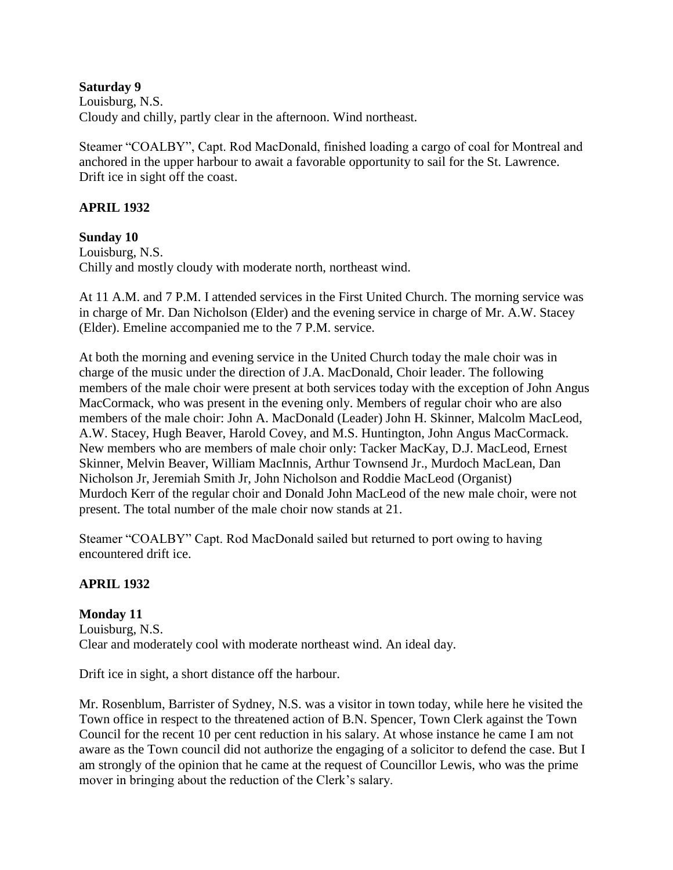#### **Saturday 9**

Louisburg, N.S. Cloudy and chilly, partly clear in the afternoon. Wind northeast.

Steamer "COALBY", Capt. Rod MacDonald, finished loading a cargo of coal for Montreal and anchored in the upper harbour to await a favorable opportunity to sail for the St. Lawrence. Drift ice in sight off the coast.

#### **APRIL 1932**

#### **Sunday 10**

Louisburg, N.S. Chilly and mostly cloudy with moderate north, northeast wind.

At 11 A.M. and 7 P.M. I attended services in the First United Church. The morning service was in charge of Mr. Dan Nicholson (Elder) and the evening service in charge of Mr. A.W. Stacey (Elder). Emeline accompanied me to the 7 P.M. service.

At both the morning and evening service in the United Church today the male choir was in charge of the music under the direction of J.A. MacDonald, Choir leader. The following members of the male choir were present at both services today with the exception of John Angus MacCormack, who was present in the evening only. Members of regular choir who are also members of the male choir: John A. MacDonald (Leader) John H. Skinner, Malcolm MacLeod, A.W. Stacey, Hugh Beaver, Harold Covey, and M.S. Huntington, John Angus MacCormack. New members who are members of male choir only: Tacker MacKay, D.J. MacLeod, Ernest Skinner, Melvin Beaver, William MacInnis, Arthur Townsend Jr., Murdoch MacLean, Dan Nicholson Jr, Jeremiah Smith Jr, John Nicholson and Roddie MacLeod (Organist) Murdoch Kerr of the regular choir and Donald John MacLeod of the new male choir, were not present. The total number of the male choir now stands at 21.

Steamer "COALBY" Capt. Rod MacDonald sailed but returned to port owing to having encountered drift ice.

# **APRIL 1932**

**Monday 11** Louisburg, N.S. Clear and moderately cool with moderate northeast wind. An ideal day.

Drift ice in sight, a short distance off the harbour.

Mr. Rosenblum, Barrister of Sydney, N.S. was a visitor in town today, while here he visited the Town office in respect to the threatened action of B.N. Spencer, Town Clerk against the Town Council for the recent 10 per cent reduction in his salary. At whose instance he came I am not aware as the Town council did not authorize the engaging of a solicitor to defend the case. But I am strongly of the opinion that he came at the request of Councillor Lewis, who was the prime mover in bringing about the reduction of the Clerk's salary.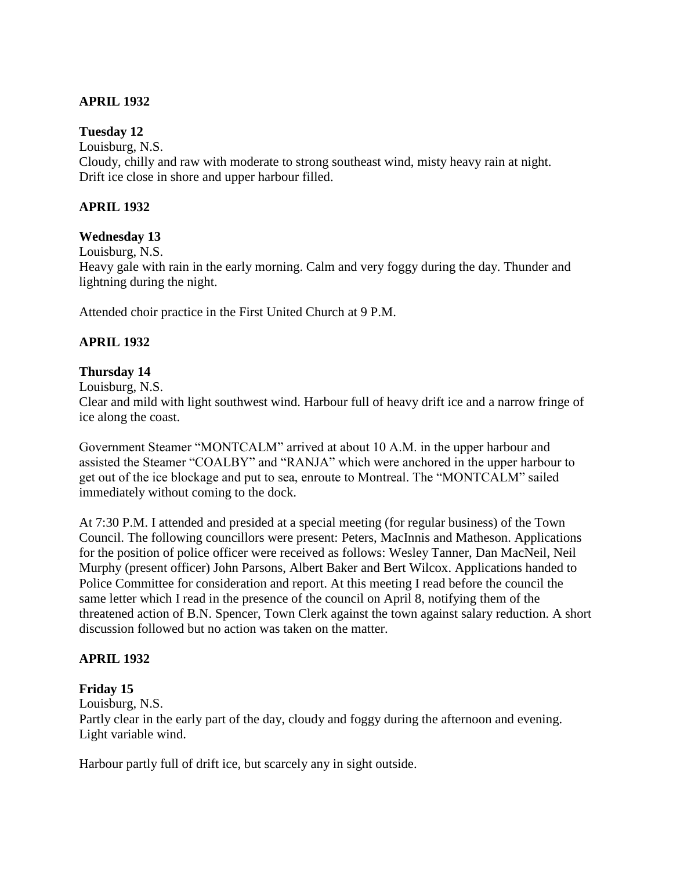# **APRIL 1932**

### **Tuesday 12**

Louisburg, N.S.

Cloudy, chilly and raw with moderate to strong southeast wind, misty heavy rain at night. Drift ice close in shore and upper harbour filled.

### **APRIL 1932**

### **Wednesday 13**

Louisburg, N.S.

Heavy gale with rain in the early morning. Calm and very foggy during the day. Thunder and lightning during the night.

Attended choir practice in the First United Church at 9 P.M.

### **APRIL 1932**

#### **Thursday 14**

Louisburg, N.S.

Clear and mild with light southwest wind. Harbour full of heavy drift ice and a narrow fringe of ice along the coast.

Government Steamer "MONTCALM" arrived at about 10 A.M. in the upper harbour and assisted the Steamer "COALBY" and "RANJA" which were anchored in the upper harbour to get out of the ice blockage and put to sea, enroute to Montreal. The "MONTCALM" sailed immediately without coming to the dock.

At 7:30 P.M. I attended and presided at a special meeting (for regular business) of the Town Council. The following councillors were present: Peters, MacInnis and Matheson. Applications for the position of police officer were received as follows: Wesley Tanner, Dan MacNeil, Neil Murphy (present officer) John Parsons, Albert Baker and Bert Wilcox. Applications handed to Police Committee for consideration and report. At this meeting I read before the council the same letter which I read in the presence of the council on April 8, notifying them of the threatened action of B.N. Spencer, Town Clerk against the town against salary reduction. A short discussion followed but no action was taken on the matter.

# **APRIL 1932**

**Friday 15**

Louisburg, N.S.

Partly clear in the early part of the day, cloudy and foggy during the afternoon and evening. Light variable wind.

Harbour partly full of drift ice, but scarcely any in sight outside.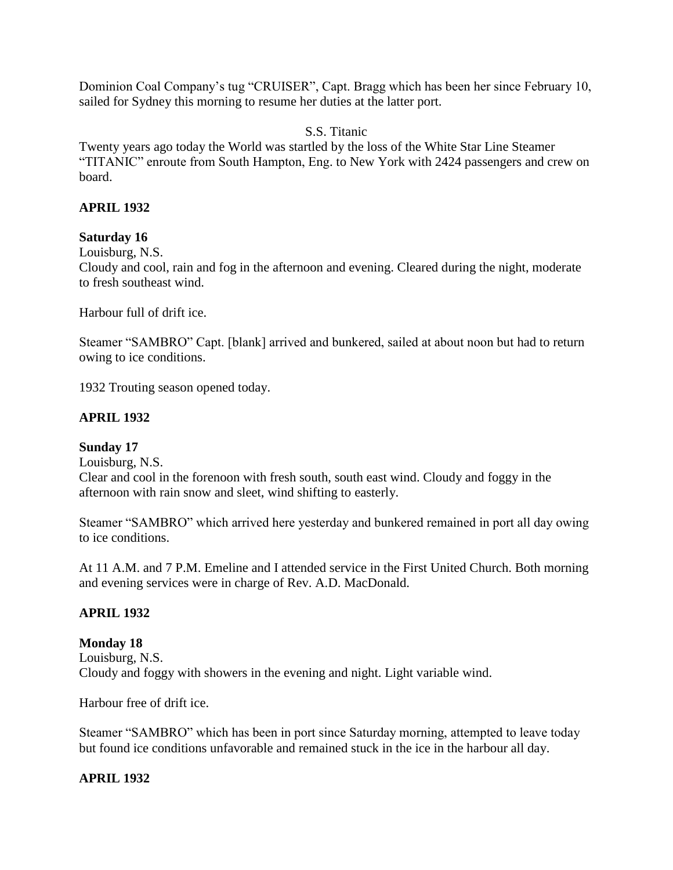Dominion Coal Company's tug "CRUISER", Capt. Bragg which has been her since February 10, sailed for Sydney this morning to resume her duties at the latter port.

S.S. Titanic

Twenty years ago today the World was startled by the loss of the White Star Line Steamer "TITANIC" enroute from South Hampton, Eng. to New York with 2424 passengers and crew on board.

### **APRIL 1932**

#### **Saturday 16**

Louisburg, N.S.

Cloudy and cool, rain and fog in the afternoon and evening. Cleared during the night, moderate to fresh southeast wind.

Harbour full of drift ice.

Steamer "SAMBRO" Capt. [blank] arrived and bunkered, sailed at about noon but had to return owing to ice conditions.

1932 Trouting season opened today.

### **APRIL 1932**

#### **Sunday 17**

Louisburg, N.S.

Clear and cool in the forenoon with fresh south, south east wind. Cloudy and foggy in the afternoon with rain snow and sleet, wind shifting to easterly.

Steamer "SAMBRO" which arrived here yesterday and bunkered remained in port all day owing to ice conditions.

At 11 A.M. and 7 P.M. Emeline and I attended service in the First United Church. Both morning and evening services were in charge of Rev. A.D. MacDonald.

#### **APRIL 1932**

#### **Monday 18**

Louisburg, N.S. Cloudy and foggy with showers in the evening and night. Light variable wind.

Harbour free of drift ice.

Steamer "SAMBRO" which has been in port since Saturday morning, attempted to leave today but found ice conditions unfavorable and remained stuck in the ice in the harbour all day.

#### **APRIL 1932**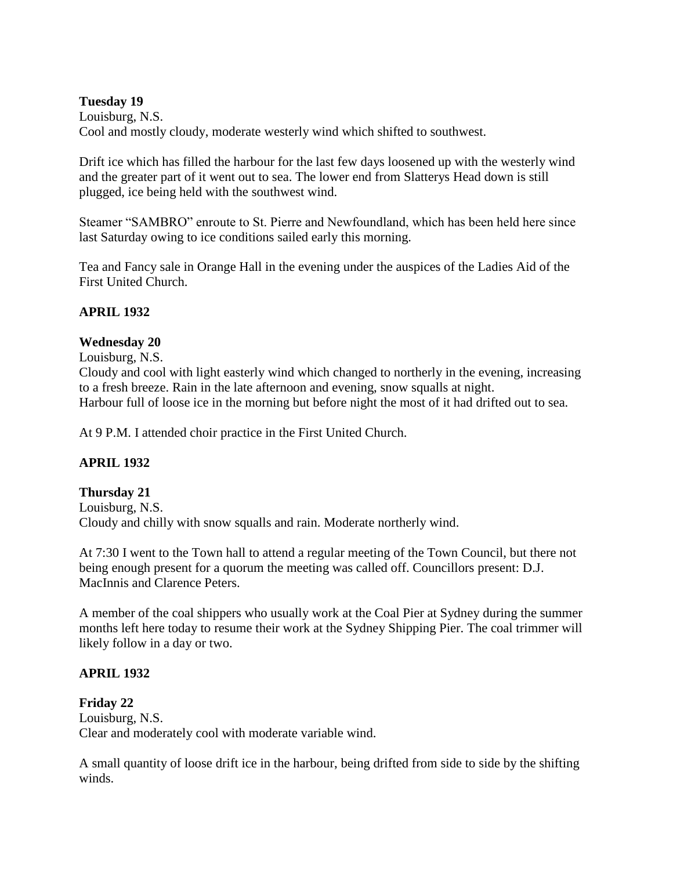### **Tuesday 19**

Louisburg, N.S. Cool and mostly cloudy, moderate westerly wind which shifted to southwest.

Drift ice which has filled the harbour for the last few days loosened up with the westerly wind and the greater part of it went out to sea. The lower end from Slatterys Head down is still plugged, ice being held with the southwest wind.

Steamer "SAMBRO" enroute to St. Pierre and Newfoundland, which has been held here since last Saturday owing to ice conditions sailed early this morning.

Tea and Fancy sale in Orange Hall in the evening under the auspices of the Ladies Aid of the First United Church.

## **APRIL 1932**

## **Wednesday 20**

Louisburg, N.S.

Cloudy and cool with light easterly wind which changed to northerly in the evening, increasing to a fresh breeze. Rain in the late afternoon and evening, snow squalls at night. Harbour full of loose ice in the morning but before night the most of it had drifted out to sea.

At 9 P.M. I attended choir practice in the First United Church.

## **APRIL 1932**

## **Thursday 21**

Louisburg, N.S. Cloudy and chilly with snow squalls and rain. Moderate northerly wind.

At 7:30 I went to the Town hall to attend a regular meeting of the Town Council, but there not being enough present for a quorum the meeting was called off. Councillors present: D.J. MacInnis and Clarence Peters.

A member of the coal shippers who usually work at the Coal Pier at Sydney during the summer months left here today to resume their work at the Sydney Shipping Pier. The coal trimmer will likely follow in a day or two.

## **APRIL 1932**

**Friday 22** Louisburg, N.S. Clear and moderately cool with moderate variable wind.

A small quantity of loose drift ice in the harbour, being drifted from side to side by the shifting winds.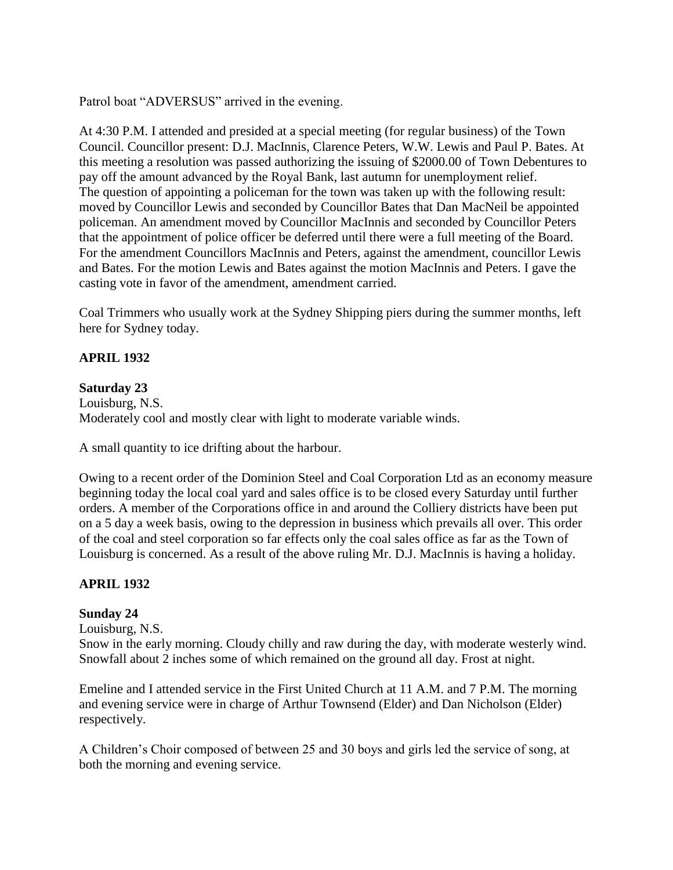Patrol boat "ADVERSUS" arrived in the evening.

At 4:30 P.M. I attended and presided at a special meeting (for regular business) of the Town Council. Councillor present: D.J. MacInnis, Clarence Peters, W.W. Lewis and Paul P. Bates. At this meeting a resolution was passed authorizing the issuing of \$2000.00 of Town Debentures to pay off the amount advanced by the Royal Bank, last autumn for unemployment relief. The question of appointing a policeman for the town was taken up with the following result: moved by Councillor Lewis and seconded by Councillor Bates that Dan MacNeil be appointed policeman. An amendment moved by Councillor MacInnis and seconded by Councillor Peters that the appointment of police officer be deferred until there were a full meeting of the Board. For the amendment Councillors MacInnis and Peters, against the amendment, councillor Lewis and Bates. For the motion Lewis and Bates against the motion MacInnis and Peters. I gave the casting vote in favor of the amendment, amendment carried.

Coal Trimmers who usually work at the Sydney Shipping piers during the summer months, left here for Sydney today.

## **APRIL 1932**

## **Saturday 23**

Louisburg, N.S. Moderately cool and mostly clear with light to moderate variable winds.

A small quantity to ice drifting about the harbour.

Owing to a recent order of the Dominion Steel and Coal Corporation Ltd as an economy measure beginning today the local coal yard and sales office is to be closed every Saturday until further orders. A member of the Corporations office in and around the Colliery districts have been put on a 5 day a week basis, owing to the depression in business which prevails all over. This order of the coal and steel corporation so far effects only the coal sales office as far as the Town of Louisburg is concerned. As a result of the above ruling Mr. D.J. MacInnis is having a holiday.

## **APRIL 1932**

# **Sunday 24**

Louisburg, N.S.

Snow in the early morning. Cloudy chilly and raw during the day, with moderate westerly wind. Snowfall about 2 inches some of which remained on the ground all day. Frost at night.

Emeline and I attended service in the First United Church at 11 A.M. and 7 P.M. The morning and evening service were in charge of Arthur Townsend (Elder) and Dan Nicholson (Elder) respectively.

A Children's Choir composed of between 25 and 30 boys and girls led the service of song, at both the morning and evening service.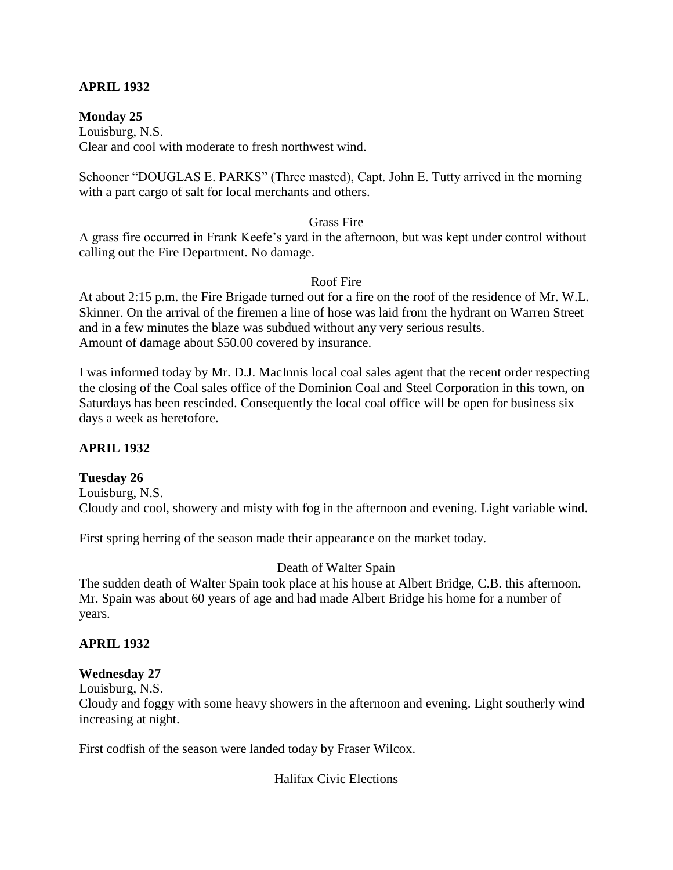## **APRIL 1932**

### **Monday 25**

Louisburg, N.S. Clear and cool with moderate to fresh northwest wind.

Schooner "DOUGLAS E. PARKS" (Three masted), Capt. John E. Tutty arrived in the morning with a part cargo of salt for local merchants and others.

#### Grass Fire

A grass fire occurred in Frank Keefe's yard in the afternoon, but was kept under control without calling out the Fire Department. No damage.

#### Roof Fire

At about 2:15 p.m. the Fire Brigade turned out for a fire on the roof of the residence of Mr. W.L. Skinner. On the arrival of the firemen a line of hose was laid from the hydrant on Warren Street and in a few minutes the blaze was subdued without any very serious results. Amount of damage about \$50.00 covered by insurance.

I was informed today by Mr. D.J. MacInnis local coal sales agent that the recent order respecting the closing of the Coal sales office of the Dominion Coal and Steel Corporation in this town, on Saturdays has been rescinded. Consequently the local coal office will be open for business six days a week as heretofore.

#### **APRIL 1932**

#### **Tuesday 26**

Louisburg, N.S. Cloudy and cool, showery and misty with fog in the afternoon and evening. Light variable wind.

First spring herring of the season made their appearance on the market today.

#### Death of Walter Spain

The sudden death of Walter Spain took place at his house at Albert Bridge, C.B. this afternoon. Mr. Spain was about 60 years of age and had made Albert Bridge his home for a number of years.

#### **APRIL 1932**

#### **Wednesday 27**

Louisburg, N.S.

Cloudy and foggy with some heavy showers in the afternoon and evening. Light southerly wind increasing at night.

First codfish of the season were landed today by Fraser Wilcox.

Halifax Civic Elections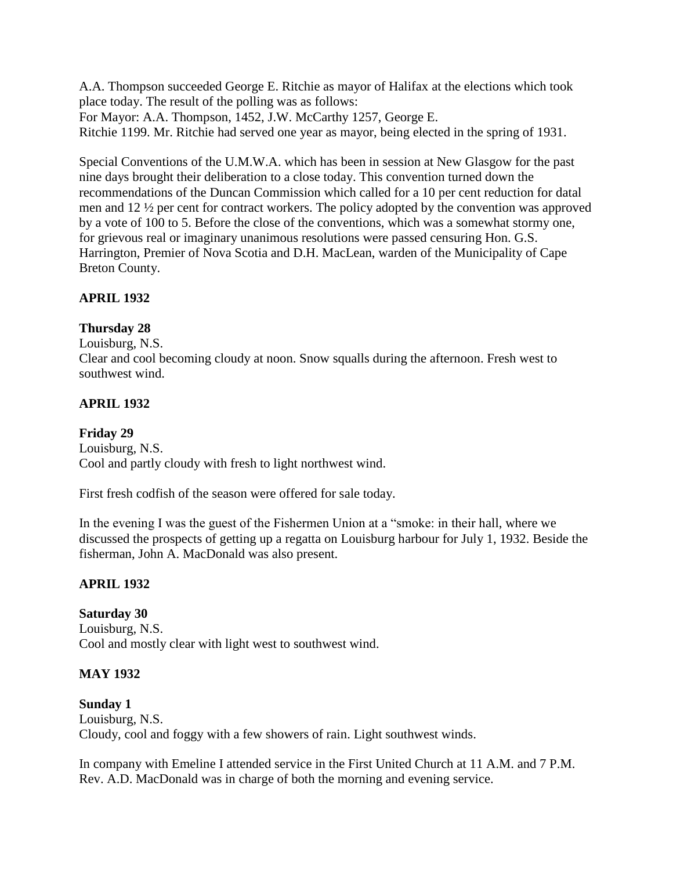A.A. Thompson succeeded George E. Ritchie as mayor of Halifax at the elections which took place today. The result of the polling was as follows: For Mayor: A.A. Thompson, 1452, J.W. McCarthy 1257, George E. Ritchie 1199. Mr. Ritchie had served one year as mayor, being elected in the spring of 1931.

Special Conventions of the U.M.W.A. which has been in session at New Glasgow for the past nine days brought their deliberation to a close today. This convention turned down the recommendations of the Duncan Commission which called for a 10 per cent reduction for datal men and 12 ½ per cent for contract workers. The policy adopted by the convention was approved by a vote of 100 to 5. Before the close of the conventions, which was a somewhat stormy one, for grievous real or imaginary unanimous resolutions were passed censuring Hon. G.S. Harrington, Premier of Nova Scotia and D.H. MacLean, warden of the Municipality of Cape Breton County.

## **APRIL 1932**

## **Thursday 28**

Louisburg, N.S. Clear and cool becoming cloudy at noon. Snow squalls during the afternoon. Fresh west to southwest wind.

# **APRIL 1932**

## **Friday 29**

Louisburg, N.S. Cool and partly cloudy with fresh to light northwest wind.

First fresh codfish of the season were offered for sale today.

In the evening I was the guest of the Fishermen Union at a "smoke: in their hall, where we discussed the prospects of getting up a regatta on Louisburg harbour for July 1, 1932. Beside the fisherman, John A. MacDonald was also present.

# **APRIL 1932**

**Saturday 30** Louisburg, N.S. Cool and mostly clear with light west to southwest wind.

## **MAY 1932**

**Sunday 1** Louisburg, N.S. Cloudy, cool and foggy with a few showers of rain. Light southwest winds.

In company with Emeline I attended service in the First United Church at 11 A.M. and 7 P.M. Rev. A.D. MacDonald was in charge of both the morning and evening service.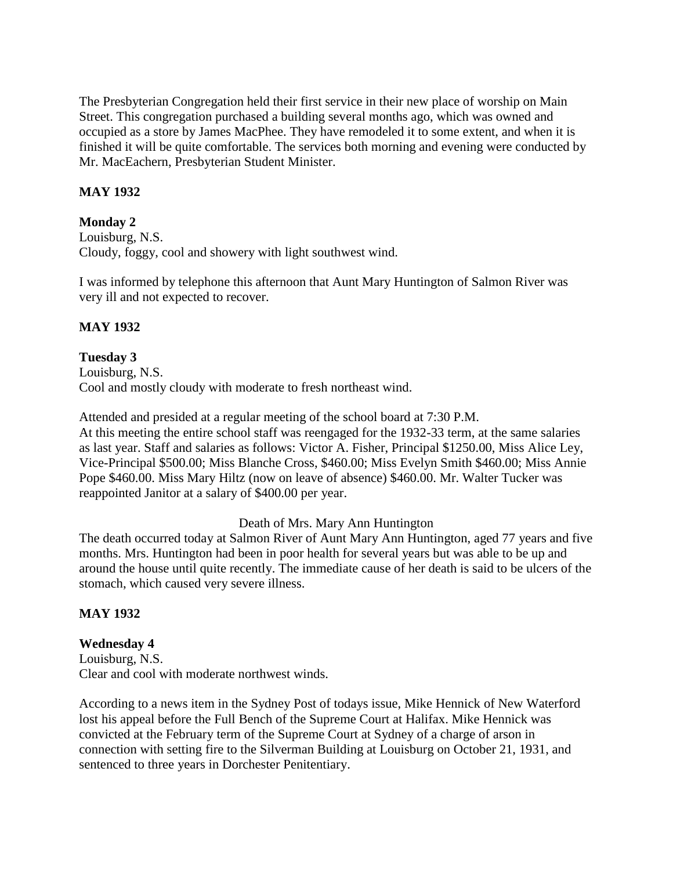The Presbyterian Congregation held their first service in their new place of worship on Main Street. This congregation purchased a building several months ago, which was owned and occupied as a store by James MacPhee. They have remodeled it to some extent, and when it is finished it will be quite comfortable. The services both morning and evening were conducted by Mr. MacEachern, Presbyterian Student Minister.

## **MAY 1932**

## **Monday 2**

Louisburg, N.S. Cloudy, foggy, cool and showery with light southwest wind.

I was informed by telephone this afternoon that Aunt Mary Huntington of Salmon River was very ill and not expected to recover.

# **MAY 1932**

**Tuesday 3** Louisburg, N.S. Cool and mostly cloudy with moderate to fresh northeast wind.

Attended and presided at a regular meeting of the school board at 7:30 P.M. At this meeting the entire school staff was reengaged for the 1932-33 term, at the same salaries as last year. Staff and salaries as follows: Victor A. Fisher, Principal \$1250.00, Miss Alice Ley, Vice-Principal \$500.00; Miss Blanche Cross, \$460.00; Miss Evelyn Smith \$460.00; Miss Annie Pope \$460.00. Miss Mary Hiltz (now on leave of absence) \$460.00. Mr. Walter Tucker was reappointed Janitor at a salary of \$400.00 per year.

## Death of Mrs. Mary Ann Huntington

The death occurred today at Salmon River of Aunt Mary Ann Huntington, aged 77 years and five months. Mrs. Huntington had been in poor health for several years but was able to be up and around the house until quite recently. The immediate cause of her death is said to be ulcers of the stomach, which caused very severe illness.

## **MAY 1932**

## **Wednesday 4**

Louisburg, N.S. Clear and cool with moderate northwest winds.

According to a news item in the Sydney Post of todays issue, Mike Hennick of New Waterford lost his appeal before the Full Bench of the Supreme Court at Halifax. Mike Hennick was convicted at the February term of the Supreme Court at Sydney of a charge of arson in connection with setting fire to the Silverman Building at Louisburg on October 21, 1931, and sentenced to three years in Dorchester Penitentiary.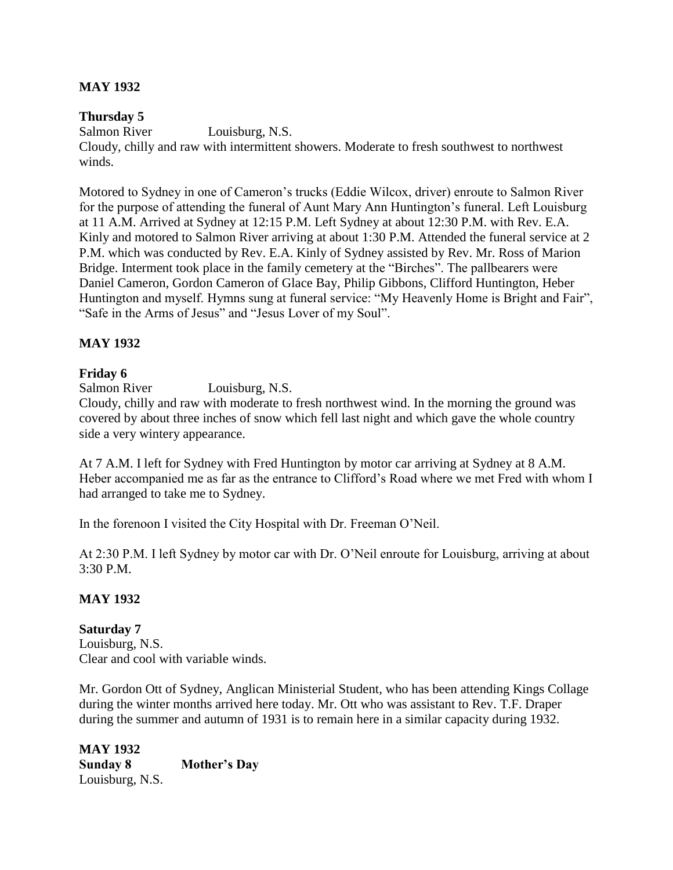### **MAY 1932**

### **Thursday 5**

Salmon River Louisburg, N.S. Cloudy, chilly and raw with intermittent showers. Moderate to fresh southwest to northwest winds.

Motored to Sydney in one of Cameron's trucks (Eddie Wilcox, driver) enroute to Salmon River for the purpose of attending the funeral of Aunt Mary Ann Huntington's funeral. Left Louisburg at 11 A.M. Arrived at Sydney at 12:15 P.M. Left Sydney at about 12:30 P.M. with Rev. E.A. Kinly and motored to Salmon River arriving at about 1:30 P.M. Attended the funeral service at 2 P.M. which was conducted by Rev. E.A. Kinly of Sydney assisted by Rev. Mr. Ross of Marion Bridge. Interment took place in the family cemetery at the "Birches". The pallbearers were Daniel Cameron, Gordon Cameron of Glace Bay, Philip Gibbons, Clifford Huntington, Heber Huntington and myself. Hymns sung at funeral service: "My Heavenly Home is Bright and Fair", "Safe in the Arms of Jesus" and "Jesus Lover of my Soul".

### **MAY 1932**

### **Friday 6**

Salmon River Louisburg, N.S.

Cloudy, chilly and raw with moderate to fresh northwest wind. In the morning the ground was covered by about three inches of snow which fell last night and which gave the whole country side a very wintery appearance.

At 7 A.M. I left for Sydney with Fred Huntington by motor car arriving at Sydney at 8 A.M. Heber accompanied me as far as the entrance to Clifford's Road where we met Fred with whom I had arranged to take me to Sydney.

In the forenoon I visited the City Hospital with Dr. Freeman O'Neil.

At 2:30 P.M. I left Sydney by motor car with Dr. O'Neil enroute for Louisburg, arriving at about 3:30 P.M.

## **MAY 1932**

**Saturday 7** Louisburg, N.S. Clear and cool with variable winds.

Mr. Gordon Ott of Sydney, Anglican Ministerial Student, who has been attending Kings Collage during the winter months arrived here today. Mr. Ott who was assistant to Rev. T.F. Draper during the summer and autumn of 1931 is to remain here in a similar capacity during 1932.

**MAY 1932 Sunday 8 Mother's Day** Louisburg, N.S.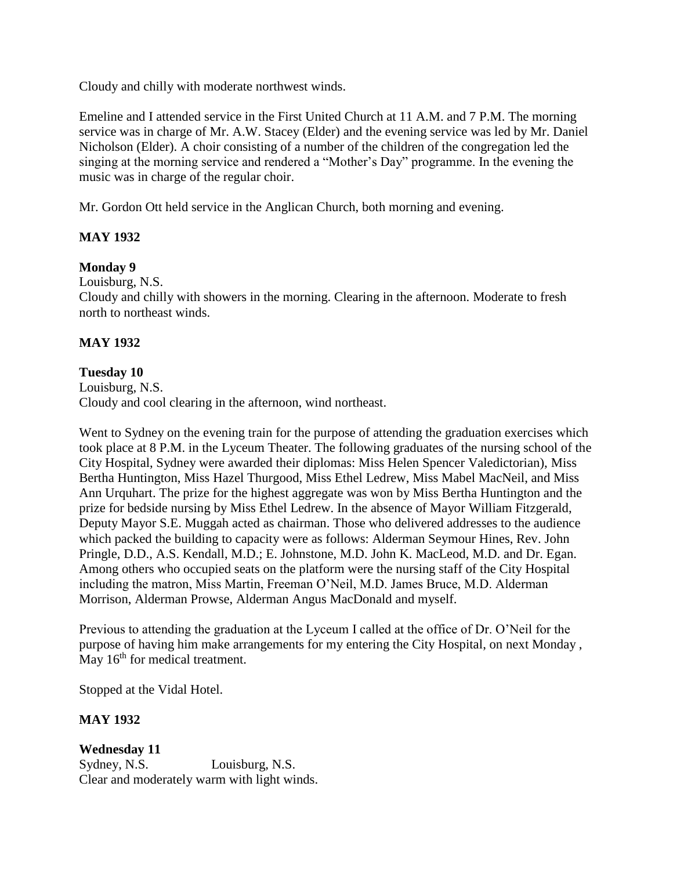Cloudy and chilly with moderate northwest winds.

Emeline and I attended service in the First United Church at 11 A.M. and 7 P.M. The morning service was in charge of Mr. A.W. Stacey (Elder) and the evening service was led by Mr. Daniel Nicholson (Elder). A choir consisting of a number of the children of the congregation led the singing at the morning service and rendered a "Mother's Day" programme. In the evening the music was in charge of the regular choir.

Mr. Gordon Ott held service in the Anglican Church, both morning and evening.

## **MAY 1932**

### **Monday 9**

Louisburg, N.S.

Cloudy and chilly with showers in the morning. Clearing in the afternoon. Moderate to fresh north to northeast winds.

### **MAY 1932**

#### **Tuesday 10**

Louisburg, N.S. Cloudy and cool clearing in the afternoon, wind northeast.

Went to Sydney on the evening train for the purpose of attending the graduation exercises which took place at 8 P.M. in the Lyceum Theater. The following graduates of the nursing school of the City Hospital, Sydney were awarded their diplomas: Miss Helen Spencer Valedictorian), Miss Bertha Huntington, Miss Hazel Thurgood, Miss Ethel Ledrew, Miss Mabel MacNeil, and Miss Ann Urquhart. The prize for the highest aggregate was won by Miss Bertha Huntington and the prize for bedside nursing by Miss Ethel Ledrew. In the absence of Mayor William Fitzgerald, Deputy Mayor S.E. Muggah acted as chairman. Those who delivered addresses to the audience which packed the building to capacity were as follows: Alderman Seymour Hines, Rev. John Pringle, D.D., A.S. Kendall, M.D.; E. Johnstone, M.D. John K. MacLeod, M.D. and Dr. Egan. Among others who occupied seats on the platform were the nursing staff of the City Hospital including the matron, Miss Martin, Freeman O'Neil, M.D. James Bruce, M.D. Alderman Morrison, Alderman Prowse, Alderman Angus MacDonald and myself.

Previous to attending the graduation at the Lyceum I called at the office of Dr. O'Neil for the purpose of having him make arrangements for my entering the City Hospital, on next Monday , May 16<sup>th</sup> for medical treatment.

Stopped at the Vidal Hotel.

## **MAY 1932**

**Wednesday 11** Sydney, N.S. Louisburg, N.S. Clear and moderately warm with light winds.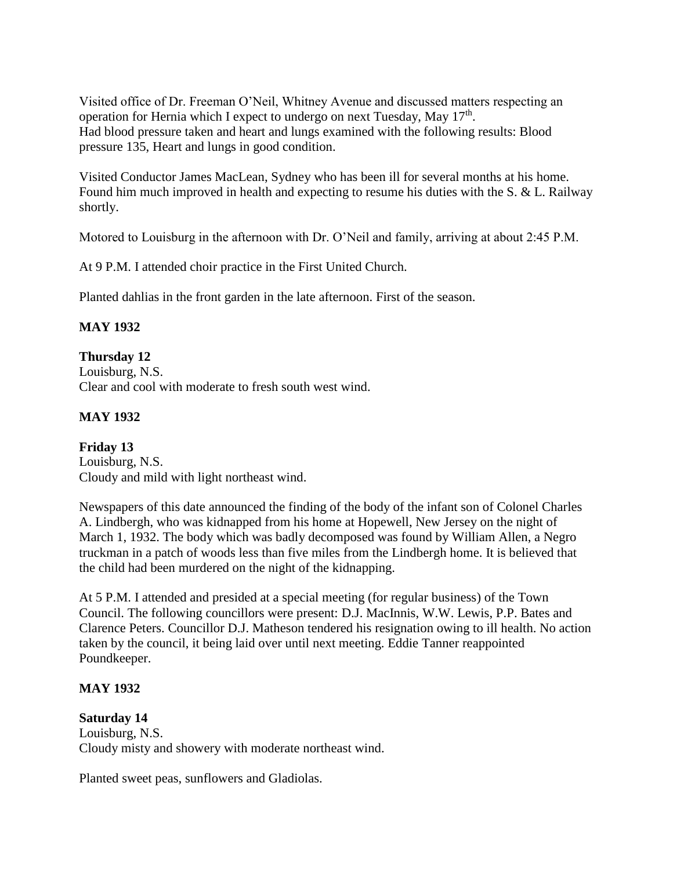Visited office of Dr. Freeman O'Neil, Whitney Avenue and discussed matters respecting an operation for Hernia which I expect to undergo on next Tuesday, May 17<sup>th</sup>. Had blood pressure taken and heart and lungs examined with the following results: Blood pressure 135, Heart and lungs in good condition.

Visited Conductor James MacLean, Sydney who has been ill for several months at his home. Found him much improved in health and expecting to resume his duties with the S. & L. Railway shortly.

Motored to Louisburg in the afternoon with Dr. O'Neil and family, arriving at about 2:45 P.M.

At 9 P.M. I attended choir practice in the First United Church.

Planted dahlias in the front garden in the late afternoon. First of the season.

## **MAY 1932**

#### **Thursday 12** Louisburg, N.S. Clear and cool with moderate to fresh south west wind.

# **MAY 1932**

**Friday 13** Louisburg, N.S. Cloudy and mild with light northeast wind.

Newspapers of this date announced the finding of the body of the infant son of Colonel Charles A. Lindbergh, who was kidnapped from his home at Hopewell, New Jersey on the night of March 1, 1932. The body which was badly decomposed was found by William Allen, a Negro truckman in a patch of woods less than five miles from the Lindbergh home. It is believed that the child had been murdered on the night of the kidnapping.

At 5 P.M. I attended and presided at a special meeting (for regular business) of the Town Council. The following councillors were present: D.J. MacInnis, W.W. Lewis, P.P. Bates and Clarence Peters. Councillor D.J. Matheson tendered his resignation owing to ill health. No action taken by the council, it being laid over until next meeting. Eddie Tanner reappointed Poundkeeper.

## **MAY 1932**

## **Saturday 14**

Louisburg, N.S. Cloudy misty and showery with moderate northeast wind.

Planted sweet peas, sunflowers and Gladiolas.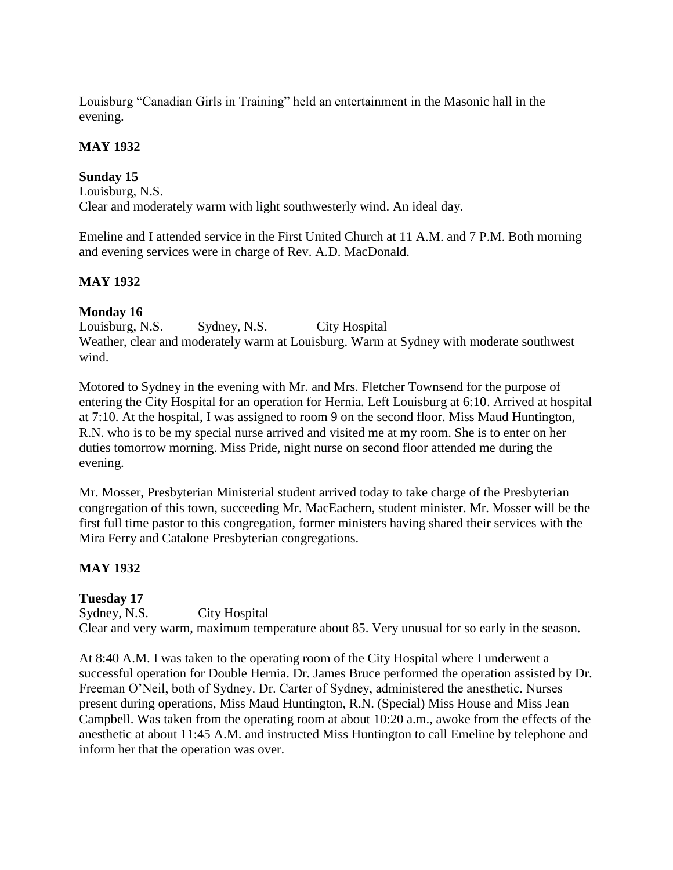Louisburg "Canadian Girls in Training" held an entertainment in the Masonic hall in the evening.

# **MAY 1932**

# **Sunday 15**

Louisburg, N.S. Clear and moderately warm with light southwesterly wind. An ideal day.

Emeline and I attended service in the First United Church at 11 A.M. and 7 P.M. Both morning and evening services were in charge of Rev. A.D. MacDonald.

# **MAY 1932**

## **Monday 16**

Louisburg, N.S. Sydney, N.S. City Hospital Weather, clear and moderately warm at Louisburg. Warm at Sydney with moderate southwest wind.

Motored to Sydney in the evening with Mr. and Mrs. Fletcher Townsend for the purpose of entering the City Hospital for an operation for Hernia. Left Louisburg at 6:10. Arrived at hospital at 7:10. At the hospital, I was assigned to room 9 on the second floor. Miss Maud Huntington, R.N. who is to be my special nurse arrived and visited me at my room. She is to enter on her duties tomorrow morning. Miss Pride, night nurse on second floor attended me during the evening.

Mr. Mosser, Presbyterian Ministerial student arrived today to take charge of the Presbyterian congregation of this town, succeeding Mr. MacEachern, student minister. Mr. Mosser will be the first full time pastor to this congregation, former ministers having shared their services with the Mira Ferry and Catalone Presbyterian congregations.

# **MAY 1932**

# **Tuesday 17**

Sydney, N.S. City Hospital

Clear and very warm, maximum temperature about 85. Very unusual for so early in the season.

At 8:40 A.M. I was taken to the operating room of the City Hospital where I underwent a successful operation for Double Hernia. Dr. James Bruce performed the operation assisted by Dr. Freeman O'Neil, both of Sydney. Dr. Carter of Sydney, administered the anesthetic. Nurses present during operations, Miss Maud Huntington, R.N. (Special) Miss House and Miss Jean Campbell. Was taken from the operating room at about 10:20 a.m., awoke from the effects of the anesthetic at about 11:45 A.M. and instructed Miss Huntington to call Emeline by telephone and inform her that the operation was over.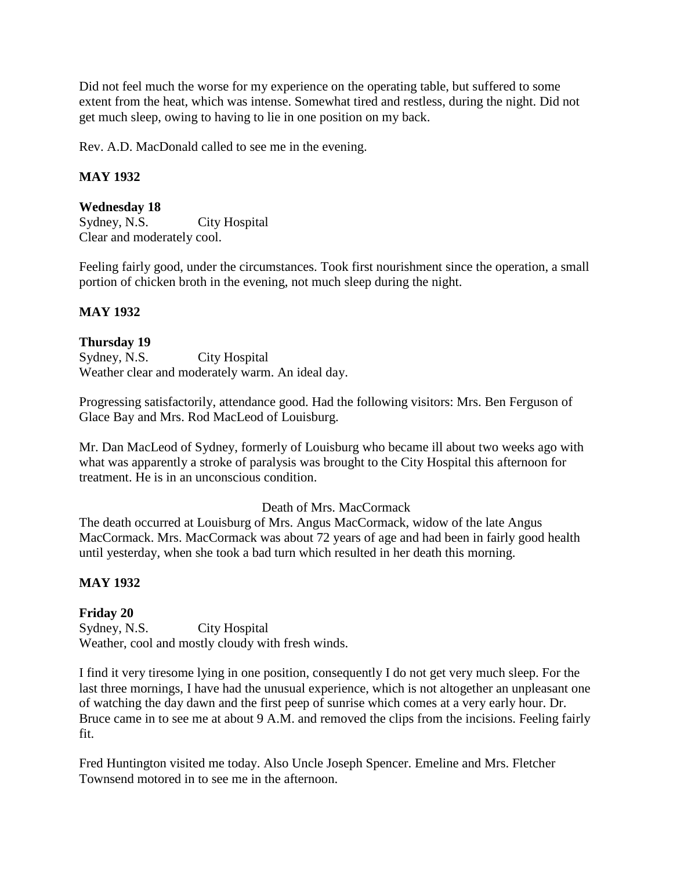Did not feel much the worse for my experience on the operating table, but suffered to some extent from the heat, which was intense. Somewhat tired and restless, during the night. Did not get much sleep, owing to having to lie in one position on my back.

Rev. A.D. MacDonald called to see me in the evening.

## **MAY 1932**

#### **Wednesday 18**

Sydney, N.S. City Hospital Clear and moderately cool.

Feeling fairly good, under the circumstances. Took first nourishment since the operation, a small portion of chicken broth in the evening, not much sleep during the night.

### **MAY 1932**

### **Thursday 19**

Sydney, N.S. City Hospital Weather clear and moderately warm. An ideal day.

Progressing satisfactorily, attendance good. Had the following visitors: Mrs. Ben Ferguson of Glace Bay and Mrs. Rod MacLeod of Louisburg.

Mr. Dan MacLeod of Sydney, formerly of Louisburg who became ill about two weeks ago with what was apparently a stroke of paralysis was brought to the City Hospital this afternoon for treatment. He is in an unconscious condition.

### Death of Mrs. MacCormack

The death occurred at Louisburg of Mrs. Angus MacCormack, widow of the late Angus MacCormack. Mrs. MacCormack was about 72 years of age and had been in fairly good health until yesterday, when she took a bad turn which resulted in her death this morning.

## **MAY 1932**

## **Friday 20**

Sydney, N.S. City Hospital Weather, cool and mostly cloudy with fresh winds.

I find it very tiresome lying in one position, consequently I do not get very much sleep. For the last three mornings, I have had the unusual experience, which is not altogether an unpleasant one of watching the day dawn and the first peep of sunrise which comes at a very early hour. Dr. Bruce came in to see me at about 9 A.M. and removed the clips from the incisions. Feeling fairly fit.

Fred Huntington visited me today. Also Uncle Joseph Spencer. Emeline and Mrs. Fletcher Townsend motored in to see me in the afternoon.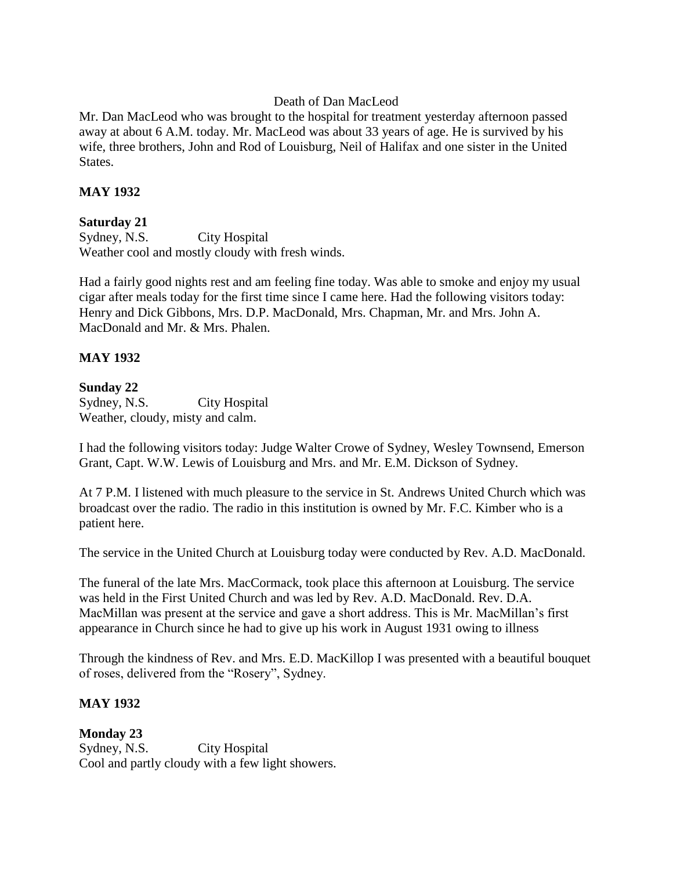### Death of Dan MacLeod

Mr. Dan MacLeod who was brought to the hospital for treatment yesterday afternoon passed away at about 6 A.M. today. Mr. MacLeod was about 33 years of age. He is survived by his wife, three brothers, John and Rod of Louisburg, Neil of Halifax and one sister in the United States.

#### **MAY 1932**

#### **Saturday 21**

Sydney, N.S. City Hospital Weather cool and mostly cloudy with fresh winds.

Had a fairly good nights rest and am feeling fine today. Was able to smoke and enjoy my usual cigar after meals today for the first time since I came here. Had the following visitors today: Henry and Dick Gibbons, Mrs. D.P. MacDonald, Mrs. Chapman, Mr. and Mrs. John A. MacDonald and Mr. & Mrs. Phalen.

### **MAY 1932**

### **Sunday 22**

Sydney, N.S. City Hospital Weather, cloudy, misty and calm.

I had the following visitors today: Judge Walter Crowe of Sydney, Wesley Townsend, Emerson Grant, Capt. W.W. Lewis of Louisburg and Mrs. and Mr. E.M. Dickson of Sydney.

At 7 P.M. I listened with much pleasure to the service in St. Andrews United Church which was broadcast over the radio. The radio in this institution is owned by Mr. F.C. Kimber who is a patient here.

The service in the United Church at Louisburg today were conducted by Rev. A.D. MacDonald.

The funeral of the late Mrs. MacCormack, took place this afternoon at Louisburg. The service was held in the First United Church and was led by Rev. A.D. MacDonald. Rev. D.A. MacMillan was present at the service and gave a short address. This is Mr. MacMillan's first appearance in Church since he had to give up his work in August 1931 owing to illness

Through the kindness of Rev. and Mrs. E.D. MacKillop I was presented with a beautiful bouquet of roses, delivered from the "Rosery", Sydney.

## **MAY 1932**

#### **Monday 23**

Sydney, N.S. City Hospital Cool and partly cloudy with a few light showers.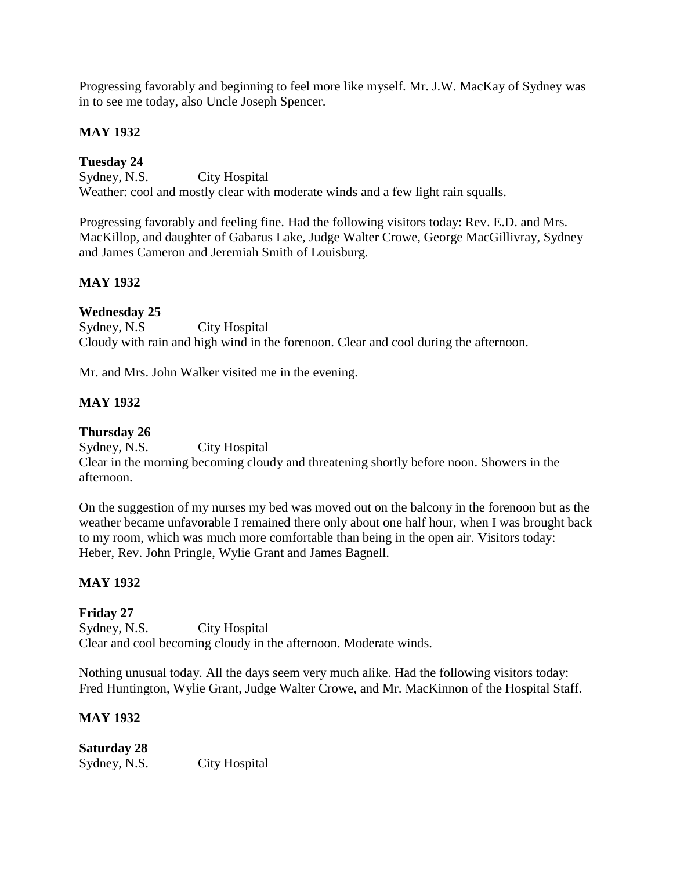Progressing favorably and beginning to feel more like myself. Mr. J.W. MacKay of Sydney was in to see me today, also Uncle Joseph Spencer.

### **MAY 1932**

## **Tuesday 24**

Sydney, N.S. City Hospital Weather: cool and mostly clear with moderate winds and a few light rain squalls.

Progressing favorably and feeling fine. Had the following visitors today: Rev. E.D. and Mrs. MacKillop, and daughter of Gabarus Lake, Judge Walter Crowe, George MacGillivray, Sydney and James Cameron and Jeremiah Smith of Louisburg.

## **MAY 1932**

### **Wednesday 25**

Sydney, N.S City Hospital Cloudy with rain and high wind in the forenoon. Clear and cool during the afternoon.

Mr. and Mrs. John Walker visited me in the evening.

## **MAY 1932**

## **Thursday 26**

Sydney, N.S. City Hospital

Clear in the morning becoming cloudy and threatening shortly before noon. Showers in the afternoon.

On the suggestion of my nurses my bed was moved out on the balcony in the forenoon but as the weather became unfavorable I remained there only about one half hour, when I was brought back to my room, which was much more comfortable than being in the open air. Visitors today: Heber, Rev. John Pringle, Wylie Grant and James Bagnell.

## **MAY 1932**

# **Friday 27**

Sydney, N.S. City Hospital Clear and cool becoming cloudy in the afternoon. Moderate winds.

Nothing unusual today. All the days seem very much alike. Had the following visitors today: Fred Huntington, Wylie Grant, Judge Walter Crowe, and Mr. MacKinnon of the Hospital Staff.

## **MAY 1932**

# **Saturday 28**

Sydney, N.S. City Hospital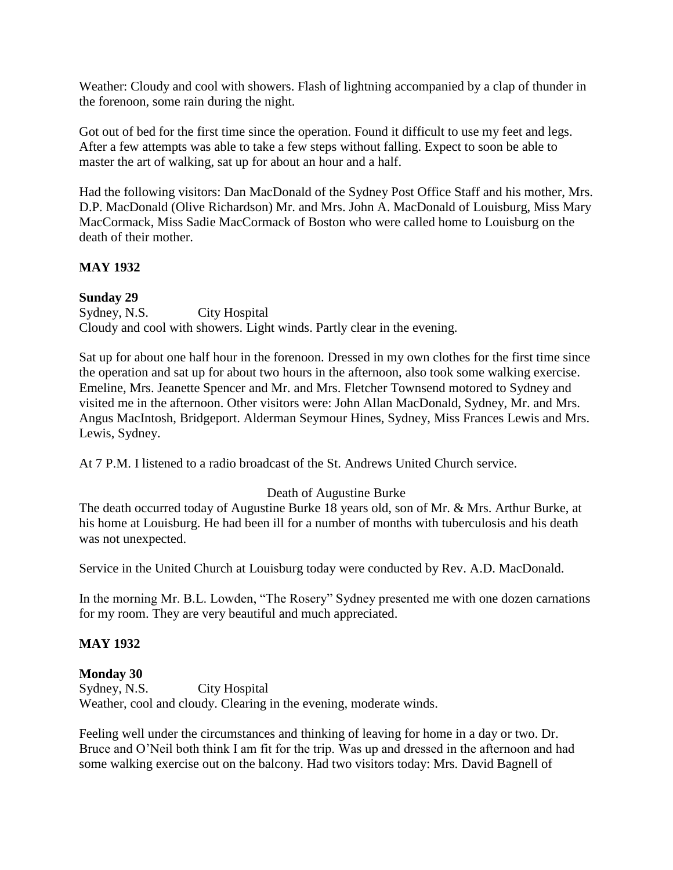Weather: Cloudy and cool with showers. Flash of lightning accompanied by a clap of thunder in the forenoon, some rain during the night.

Got out of bed for the first time since the operation. Found it difficult to use my feet and legs. After a few attempts was able to take a few steps without falling. Expect to soon be able to master the art of walking, sat up for about an hour and a half.

Had the following visitors: Dan MacDonald of the Sydney Post Office Staff and his mother, Mrs. D.P. MacDonald (Olive Richardson) Mr. and Mrs. John A. MacDonald of Louisburg, Miss Mary MacCormack, Miss Sadie MacCormack of Boston who were called home to Louisburg on the death of their mother.

## **MAY 1932**

### **Sunday 29**

Sydney, N.S. City Hospital Cloudy and cool with showers. Light winds. Partly clear in the evening.

Sat up for about one half hour in the forenoon. Dressed in my own clothes for the first time since the operation and sat up for about two hours in the afternoon, also took some walking exercise. Emeline, Mrs. Jeanette Spencer and Mr. and Mrs. Fletcher Townsend motored to Sydney and visited me in the afternoon. Other visitors were: John Allan MacDonald, Sydney, Mr. and Mrs. Angus MacIntosh, Bridgeport. Alderman Seymour Hines, Sydney, Miss Frances Lewis and Mrs. Lewis, Sydney.

At 7 P.M. I listened to a radio broadcast of the St. Andrews United Church service.

#### Death of Augustine Burke

The death occurred today of Augustine Burke 18 years old, son of Mr. & Mrs. Arthur Burke, at his home at Louisburg. He had been ill for a number of months with tuberculosis and his death was not unexpected.

Service in the United Church at Louisburg today were conducted by Rev. A.D. MacDonald.

In the morning Mr. B.L. Lowden, "The Rosery" Sydney presented me with one dozen carnations for my room. They are very beautiful and much appreciated.

## **MAY 1932**

## **Monday 30**

Sydney, N.S. City Hospital Weather, cool and cloudy. Clearing in the evening, moderate winds.

Feeling well under the circumstances and thinking of leaving for home in a day or two. Dr. Bruce and O'Neil both think I am fit for the trip. Was up and dressed in the afternoon and had some walking exercise out on the balcony. Had two visitors today: Mrs. David Bagnell of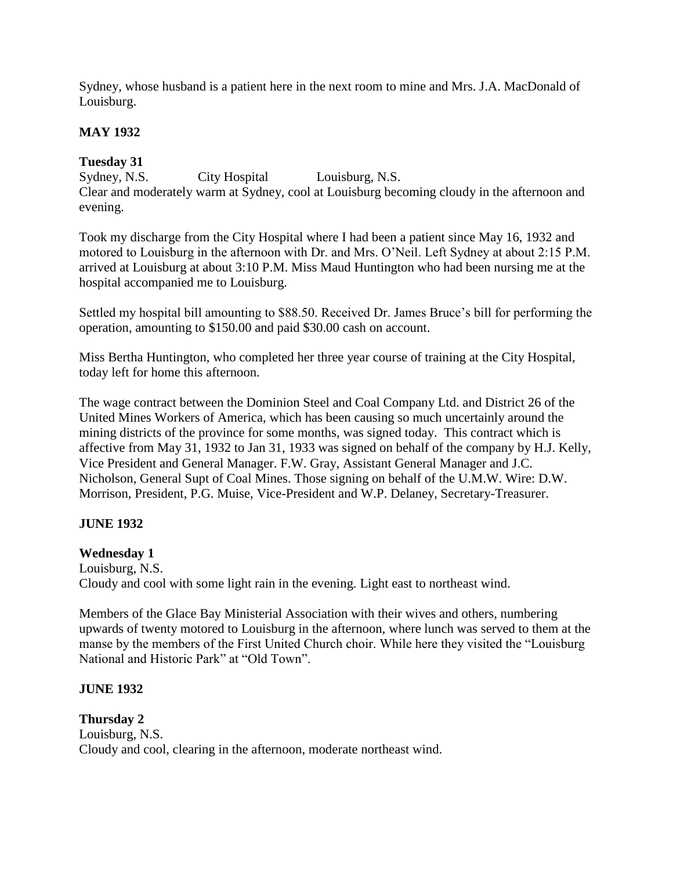Sydney, whose husband is a patient here in the next room to mine and Mrs. J.A. MacDonald of Louisburg.

# **MAY 1932**

# **Tuesday 31**

Sydney, N.S. City Hospital Louisburg, N.S. Clear and moderately warm at Sydney, cool at Louisburg becoming cloudy in the afternoon and evening.

Took my discharge from the City Hospital where I had been a patient since May 16, 1932 and motored to Louisburg in the afternoon with Dr. and Mrs. O'Neil. Left Sydney at about 2:15 P.M. arrived at Louisburg at about 3:10 P.M. Miss Maud Huntington who had been nursing me at the hospital accompanied me to Louisburg.

Settled my hospital bill amounting to \$88.50. Received Dr. James Bruce's bill for performing the operation, amounting to \$150.00 and paid \$30.00 cash on account.

Miss Bertha Huntington, who completed her three year course of training at the City Hospital, today left for home this afternoon.

The wage contract between the Dominion Steel and Coal Company Ltd. and District 26 of the United Mines Workers of America, which has been causing so much uncertainly around the mining districts of the province for some months, was signed today. This contract which is affective from May 31, 1932 to Jan 31, 1933 was signed on behalf of the company by H.J. Kelly, Vice President and General Manager. F.W. Gray, Assistant General Manager and J.C. Nicholson, General Supt of Coal Mines. Those signing on behalf of the U.M.W. Wire: D.W. Morrison, President, P.G. Muise, Vice-President and W.P. Delaney, Secretary-Treasurer.

# **JUNE 1932**

# **Wednesday 1**

Louisburg, N.S. Cloudy and cool with some light rain in the evening. Light east to northeast wind.

Members of the Glace Bay Ministerial Association with their wives and others, numbering upwards of twenty motored to Louisburg in the afternoon, where lunch was served to them at the manse by the members of the First United Church choir. While here they visited the "Louisburg National and Historic Park" at "Old Town".

# **JUNE 1932**

**Thursday 2** Louisburg, N.S. Cloudy and cool, clearing in the afternoon, moderate northeast wind.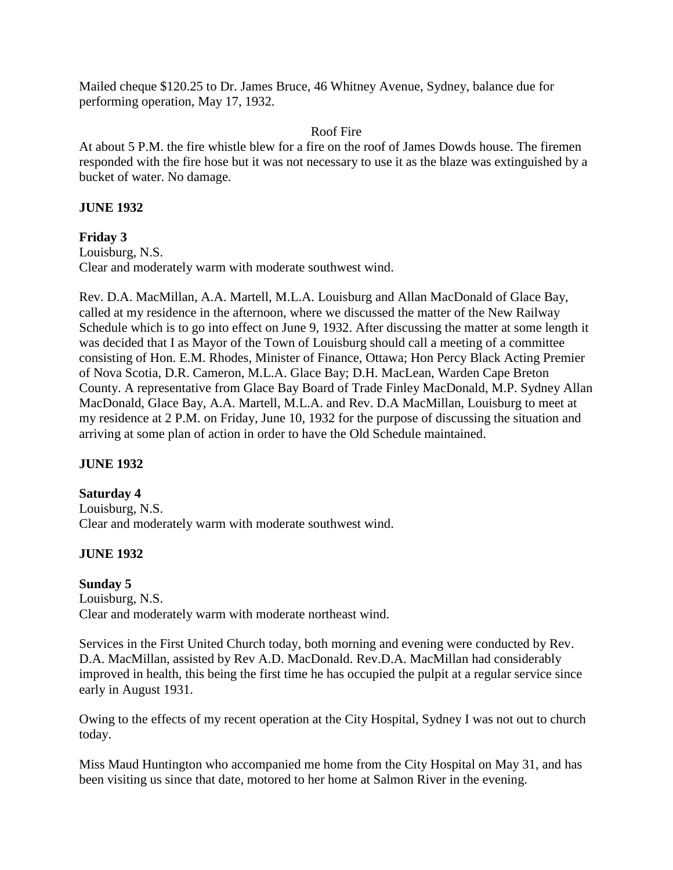Mailed cheque \$120.25 to Dr. James Bruce, 46 Whitney Avenue, Sydney, balance due for performing operation, May 17, 1932.

#### Roof Fire

At about 5 P.M. the fire whistle blew for a fire on the roof of James Dowds house. The firemen responded with the fire hose but it was not necessary to use it as the blaze was extinguished by a bucket of water. No damage.

#### **JUNE 1932**

#### **Friday 3**

Louisburg, N.S. Clear and moderately warm with moderate southwest wind.

Rev. D.A. MacMillan, A.A. Martell, M.L.A. Louisburg and Allan MacDonald of Glace Bay, called at my residence in the afternoon, where we discussed the matter of the New Railway Schedule which is to go into effect on June 9, 1932. After discussing the matter at some length it was decided that I as Mayor of the Town of Louisburg should call a meeting of a committee consisting of Hon. E.M. Rhodes, Minister of Finance, Ottawa; Hon Percy Black Acting Premier of Nova Scotia, D.R. Cameron, M.L.A. Glace Bay; D.H. MacLean, Warden Cape Breton County. A representative from Glace Bay Board of Trade Finley MacDonald, M.P. Sydney Allan MacDonald, Glace Bay, A.A. Martell, M.L.A. and Rev. D.A MacMillan, Louisburg to meet at my residence at 2 P.M. on Friday, June 10, 1932 for the purpose of discussing the situation and arriving at some plan of action in order to have the Old Schedule maintained.

## **JUNE 1932**

#### **Saturday 4**

Louisburg, N.S. Clear and moderately warm with moderate southwest wind.

## **JUNE 1932**

#### **Sunday 5**

Louisburg, N.S. Clear and moderately warm with moderate northeast wind.

Services in the First United Church today, both morning and evening were conducted by Rev. D.A. MacMillan, assisted by Rev A.D. MacDonald. Rev.D.A. MacMillan had considerably improved in health, this being the first time he has occupied the pulpit at a regular service since early in August 1931.

Owing to the effects of my recent operation at the City Hospital, Sydney I was not out to church today.

Miss Maud Huntington who accompanied me home from the City Hospital on May 31, and has been visiting us since that date, motored to her home at Salmon River in the evening.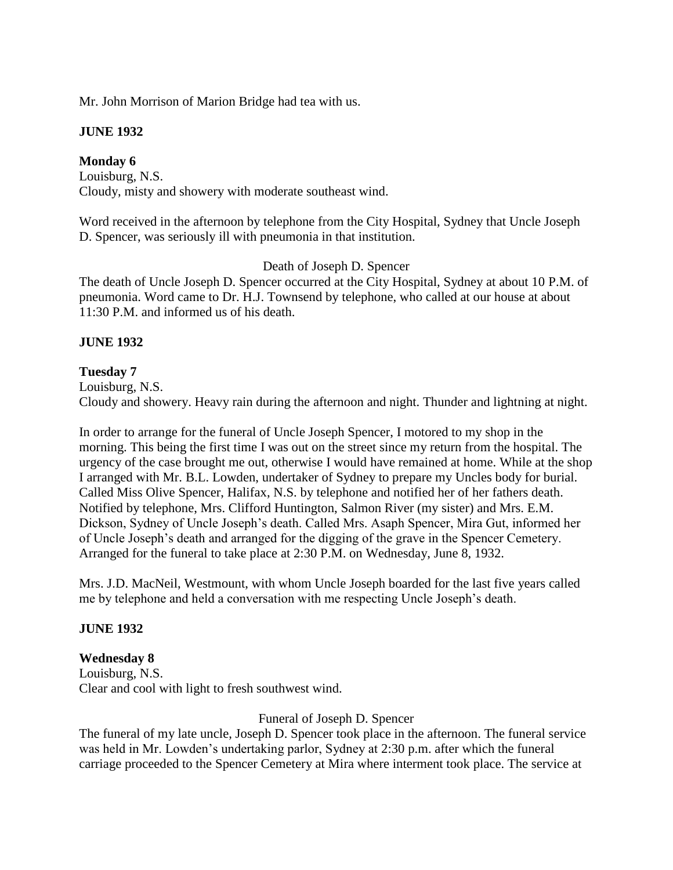Mr. John Morrison of Marion Bridge had tea with us.

### **JUNE 1932**

## **Monday 6**

Louisburg, N.S. Cloudy, misty and showery with moderate southeast wind.

Word received in the afternoon by telephone from the City Hospital, Sydney that Uncle Joseph D. Spencer, was seriously ill with pneumonia in that institution.

## Death of Joseph D. Spencer

The death of Uncle Joseph D. Spencer occurred at the City Hospital, Sydney at about 10 P.M. of pneumonia. Word came to Dr. H.J. Townsend by telephone, who called at our house at about 11:30 P.M. and informed us of his death.

## **JUNE 1932**

## **Tuesday 7**

Louisburg, N.S. Cloudy and showery. Heavy rain during the afternoon and night. Thunder and lightning at night.

In order to arrange for the funeral of Uncle Joseph Spencer, I motored to my shop in the morning. This being the first time I was out on the street since my return from the hospital. The urgency of the case brought me out, otherwise I would have remained at home. While at the shop I arranged with Mr. B.L. Lowden, undertaker of Sydney to prepare my Uncles body for burial. Called Miss Olive Spencer, Halifax, N.S. by telephone and notified her of her fathers death. Notified by telephone, Mrs. Clifford Huntington, Salmon River (my sister) and Mrs. E.M. Dickson, Sydney of Uncle Joseph's death. Called Mrs. Asaph Spencer, Mira Gut, informed her of Uncle Joseph's death and arranged for the digging of the grave in the Spencer Cemetery. Arranged for the funeral to take place at 2:30 P.M. on Wednesday, June 8, 1932.

Mrs. J.D. MacNeil, Westmount, with whom Uncle Joseph boarded for the last five years called me by telephone and held a conversation with me respecting Uncle Joseph's death.

## **JUNE 1932**

## **Wednesday 8**

Louisburg, N.S. Clear and cool with light to fresh southwest wind.

## Funeral of Joseph D. Spencer

The funeral of my late uncle, Joseph D. Spencer took place in the afternoon. The funeral service was held in Mr. Lowden's undertaking parlor, Sydney at 2:30 p.m. after which the funeral carriage proceeded to the Spencer Cemetery at Mira where interment took place. The service at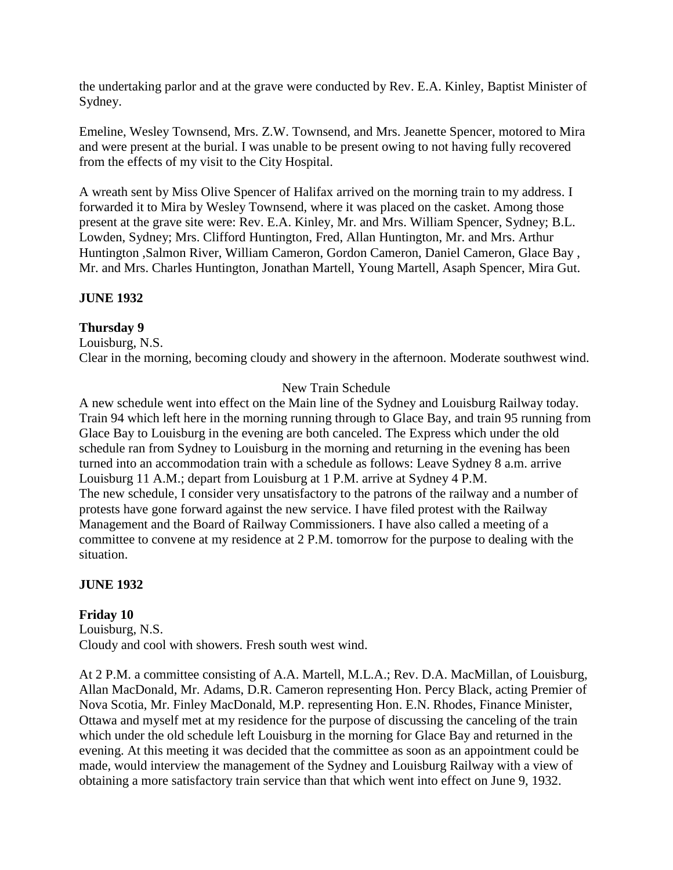the undertaking parlor and at the grave were conducted by Rev. E.A. Kinley, Baptist Minister of Sydney.

Emeline, Wesley Townsend, Mrs. Z.W. Townsend, and Mrs. Jeanette Spencer, motored to Mira and were present at the burial. I was unable to be present owing to not having fully recovered from the effects of my visit to the City Hospital.

A wreath sent by Miss Olive Spencer of Halifax arrived on the morning train to my address. I forwarded it to Mira by Wesley Townsend, where it was placed on the casket. Among those present at the grave site were: Rev. E.A. Kinley, Mr. and Mrs. William Spencer, Sydney; B.L. Lowden, Sydney; Mrs. Clifford Huntington, Fred, Allan Huntington, Mr. and Mrs. Arthur Huntington ,Salmon River, William Cameron, Gordon Cameron, Daniel Cameron, Glace Bay , Mr. and Mrs. Charles Huntington, Jonathan Martell, Young Martell, Asaph Spencer, Mira Gut.

## **JUNE 1932**

### **Thursday 9**

Louisburg, N.S. Clear in the morning, becoming cloudy and showery in the afternoon. Moderate southwest wind.

### New Train Schedule

A new schedule went into effect on the Main line of the Sydney and Louisburg Railway today. Train 94 which left here in the morning running through to Glace Bay, and train 95 running from Glace Bay to Louisburg in the evening are both canceled. The Express which under the old schedule ran from Sydney to Louisburg in the morning and returning in the evening has been turned into an accommodation train with a schedule as follows: Leave Sydney 8 a.m. arrive Louisburg 11 A.M.; depart from Louisburg at 1 P.M. arrive at Sydney 4 P.M. The new schedule, I consider very unsatisfactory to the patrons of the railway and a number of protests have gone forward against the new service. I have filed protest with the Railway Management and the Board of Railway Commissioners. I have also called a meeting of a committee to convene at my residence at 2 P.M. tomorrow for the purpose to dealing with the situation.

#### **JUNE 1932**

## **Friday 10**

Louisburg, N.S. Cloudy and cool with showers. Fresh south west wind.

At 2 P.M. a committee consisting of A.A. Martell, M.L.A.; Rev. D.A. MacMillan, of Louisburg, Allan MacDonald, Mr. Adams, D.R. Cameron representing Hon. Percy Black, acting Premier of Nova Scotia, Mr. Finley MacDonald, M.P. representing Hon. E.N. Rhodes, Finance Minister, Ottawa and myself met at my residence for the purpose of discussing the canceling of the train which under the old schedule left Louisburg in the morning for Glace Bay and returned in the evening. At this meeting it was decided that the committee as soon as an appointment could be made, would interview the management of the Sydney and Louisburg Railway with a view of obtaining a more satisfactory train service than that which went into effect on June 9, 1932.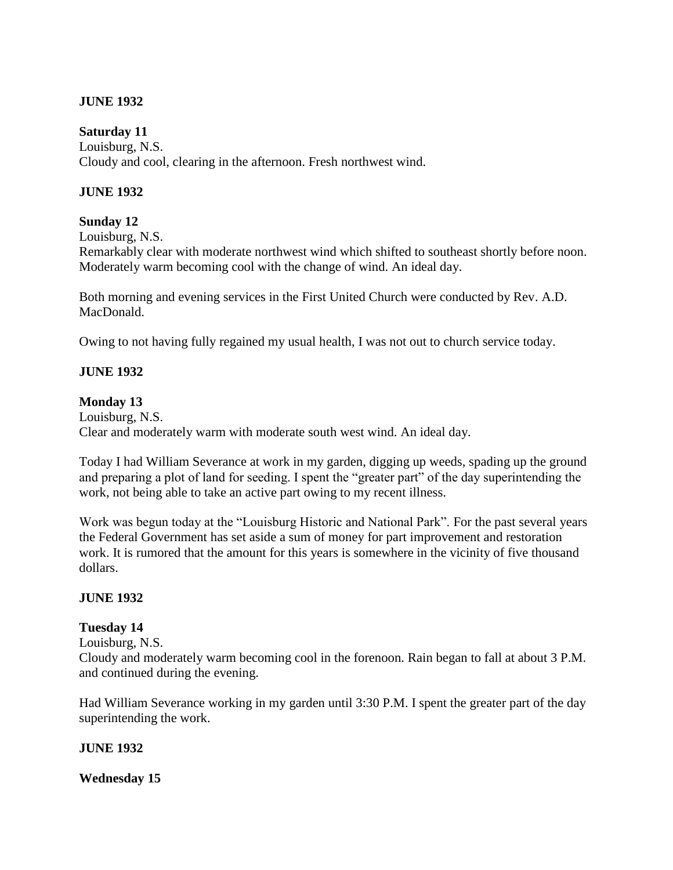### **JUNE 1932**

#### **Saturday 11**

Louisburg, N.S. Cloudy and cool, clearing in the afternoon. Fresh northwest wind.

#### **JUNE 1932**

#### **Sunday 12**

Louisburg, N.S.

Remarkably clear with moderate northwest wind which shifted to southeast shortly before noon. Moderately warm becoming cool with the change of wind. An ideal day.

Both morning and evening services in the First United Church were conducted by Rev. A.D. MacDonald.

Owing to not having fully regained my usual health, I was not out to church service today.

#### **JUNE 1932**

#### **Monday 13**

Louisburg, N.S. Clear and moderately warm with moderate south west wind. An ideal day.

Today I had William Severance at work in my garden, digging up weeds, spading up the ground and preparing a plot of land for seeding. I spent the "greater part" of the day superintending the work, not being able to take an active part owing to my recent illness.

Work was begun today at the "Louisburg Historic and National Park". For the past several years the Federal Government has set aside a sum of money for part improvement and restoration work. It is rumored that the amount for this years is somewhere in the vicinity of five thousand dollars.

#### **JUNE 1932**

#### **Tuesday 14**

Louisburg, N.S.

Cloudy and moderately warm becoming cool in the forenoon. Rain began to fall at about 3 P.M. and continued during the evening.

Had William Severance working in my garden until 3:30 P.M. I spent the greater part of the day superintending the work.

#### **JUNE 1932**

**Wednesday 15**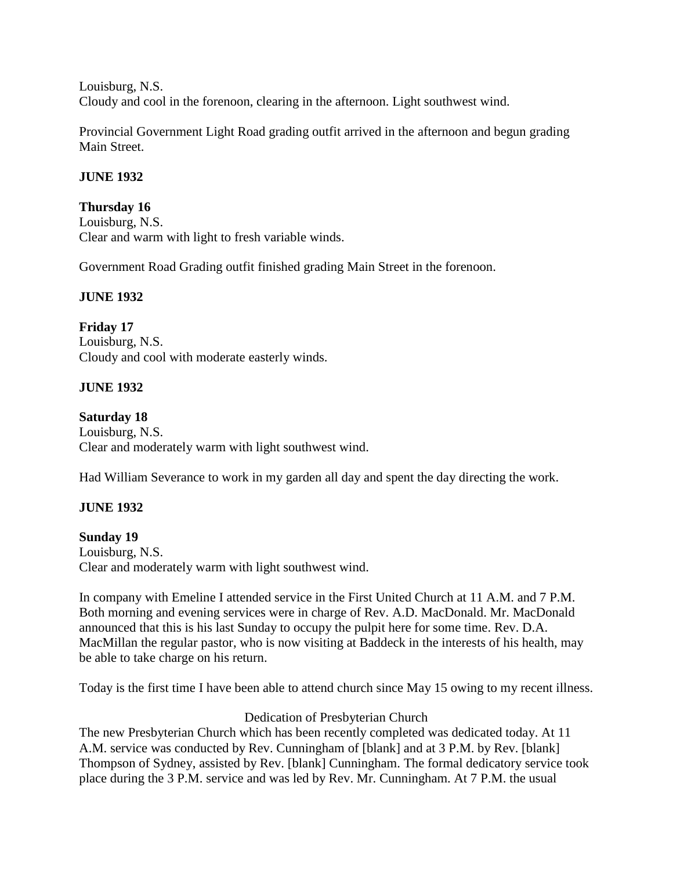Louisburg, N.S. Cloudy and cool in the forenoon, clearing in the afternoon. Light southwest wind.

Provincial Government Light Road grading outfit arrived in the afternoon and begun grading Main Street.

### **JUNE 1932**

#### **Thursday 16**

Louisburg, N.S. Clear and warm with light to fresh variable winds.

Government Road Grading outfit finished grading Main Street in the forenoon.

### **JUNE 1932**

**Friday 17** Louisburg, N.S. Cloudy and cool with moderate easterly winds.

### **JUNE 1932**

#### **Saturday 18**

Louisburg, N.S. Clear and moderately warm with light southwest wind.

Had William Severance to work in my garden all day and spent the day directing the work.

## **JUNE 1932**

## **Sunday 19**

Louisburg, N.S. Clear and moderately warm with light southwest wind.

In company with Emeline I attended service in the First United Church at 11 A.M. and 7 P.M. Both morning and evening services were in charge of Rev. A.D. MacDonald. Mr. MacDonald announced that this is his last Sunday to occupy the pulpit here for some time. Rev. D.A. MacMillan the regular pastor, who is now visiting at Baddeck in the interests of his health, may be able to take charge on his return.

Today is the first time I have been able to attend church since May 15 owing to my recent illness.

#### Dedication of Presbyterian Church

The new Presbyterian Church which has been recently completed was dedicated today. At 11 A.M. service was conducted by Rev. Cunningham of [blank] and at 3 P.M. by Rev. [blank] Thompson of Sydney, assisted by Rev. [blank] Cunningham. The formal dedicatory service took place during the 3 P.M. service and was led by Rev. Mr. Cunningham. At 7 P.M. the usual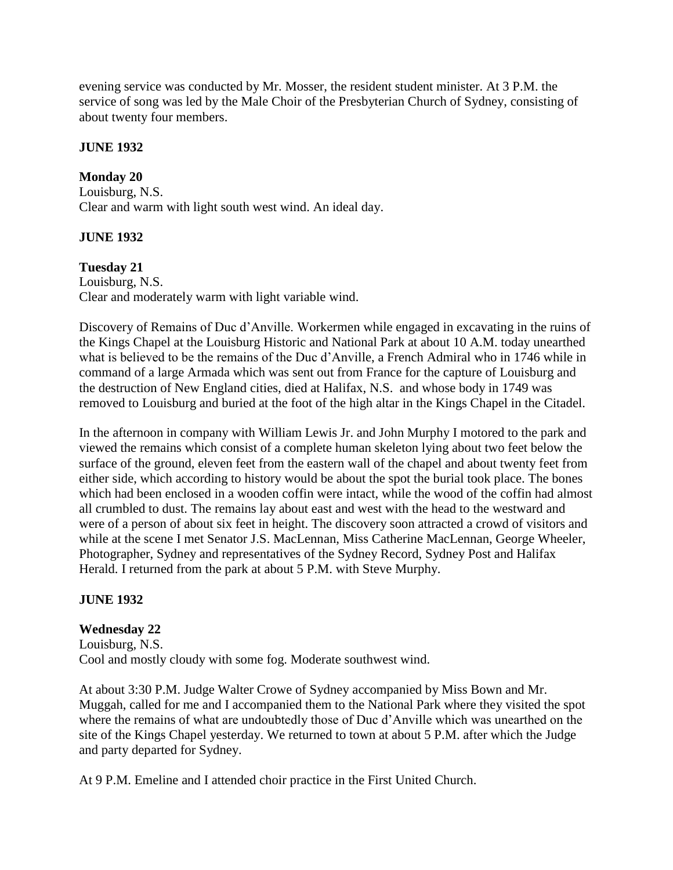evening service was conducted by Mr. Mosser, the resident student minister. At 3 P.M. the service of song was led by the Male Choir of the Presbyterian Church of Sydney, consisting of about twenty four members.

### **JUNE 1932**

### **Monday 20**

Louisburg, N.S. Clear and warm with light south west wind. An ideal day.

### **JUNE 1932**

### **Tuesday 21**

Louisburg, N.S. Clear and moderately warm with light variable wind.

Discovery of Remains of Duc d'Anville. Workermen while engaged in excavating in the ruins of the Kings Chapel at the Louisburg Historic and National Park at about 10 A.M. today unearthed what is believed to be the remains of the Duc d'Anville, a French Admiral who in 1746 while in command of a large Armada which was sent out from France for the capture of Louisburg and the destruction of New England cities, died at Halifax, N.S. and whose body in 1749 was removed to Louisburg and buried at the foot of the high altar in the Kings Chapel in the Citadel.

In the afternoon in company with William Lewis Jr. and John Murphy I motored to the park and viewed the remains which consist of a complete human skeleton lying about two feet below the surface of the ground, eleven feet from the eastern wall of the chapel and about twenty feet from either side, which according to history would be about the spot the burial took place. The bones which had been enclosed in a wooden coffin were intact, while the wood of the coffin had almost all crumbled to dust. The remains lay about east and west with the head to the westward and were of a person of about six feet in height. The discovery soon attracted a crowd of visitors and while at the scene I met Senator J.S. MacLennan, Miss Catherine MacLennan, George Wheeler, Photographer, Sydney and representatives of the Sydney Record, Sydney Post and Halifax Herald. I returned from the park at about 5 P.M. with Steve Murphy.

## **JUNE 1932**

## **Wednesday 22**

Louisburg, N.S. Cool and mostly cloudy with some fog. Moderate southwest wind.

At about 3:30 P.M. Judge Walter Crowe of Sydney accompanied by Miss Bown and Mr. Muggah, called for me and I accompanied them to the National Park where they visited the spot where the remains of what are undoubtedly those of Duc d'Anville which was unearthed on the site of the Kings Chapel yesterday. We returned to town at about 5 P.M. after which the Judge and party departed for Sydney.

At 9 P.M. Emeline and I attended choir practice in the First United Church.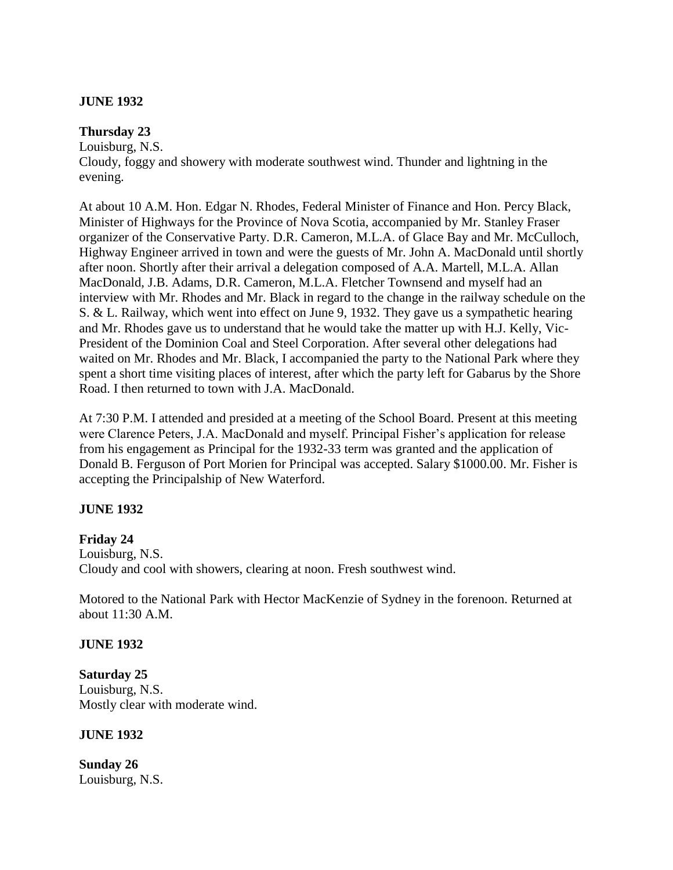#### **JUNE 1932**

#### **Thursday 23**

Louisburg, N.S. Cloudy, foggy and showery with moderate southwest wind. Thunder and lightning in the evening.

At about 10 A.M. Hon. Edgar N. Rhodes, Federal Minister of Finance and Hon. Percy Black, Minister of Highways for the Province of Nova Scotia, accompanied by Mr. Stanley Fraser organizer of the Conservative Party. D.R. Cameron, M.L.A. of Glace Bay and Mr. McCulloch, Highway Engineer arrived in town and were the guests of Mr. John A. MacDonald until shortly after noon. Shortly after their arrival a delegation composed of A.A. Martell, M.L.A. Allan MacDonald, J.B. Adams, D.R. Cameron, M.L.A. Fletcher Townsend and myself had an interview with Mr. Rhodes and Mr. Black in regard to the change in the railway schedule on the S. & L. Railway, which went into effect on June 9, 1932. They gave us a sympathetic hearing and Mr. Rhodes gave us to understand that he would take the matter up with H.J. Kelly, Vic-President of the Dominion Coal and Steel Corporation. After several other delegations had waited on Mr. Rhodes and Mr. Black, I accompanied the party to the National Park where they spent a short time visiting places of interest, after which the party left for Gabarus by the Shore Road. I then returned to town with J.A. MacDonald.

At 7:30 P.M. I attended and presided at a meeting of the School Board. Present at this meeting were Clarence Peters, J.A. MacDonald and myself. Principal Fisher's application for release from his engagement as Principal for the 1932-33 term was granted and the application of Donald B. Ferguson of Port Morien for Principal was accepted. Salary \$1000.00. Mr. Fisher is accepting the Principalship of New Waterford.

## **JUNE 1932**

## **Friday 24**

Louisburg, N.S. Cloudy and cool with showers, clearing at noon. Fresh southwest wind.

Motored to the National Park with Hector MacKenzie of Sydney in the forenoon. Returned at about 11:30 A.M.

#### **JUNE 1932**

**Saturday 25** Louisburg, N.S. Mostly clear with moderate wind.

## **JUNE 1932**

**Sunday 26** Louisburg, N.S.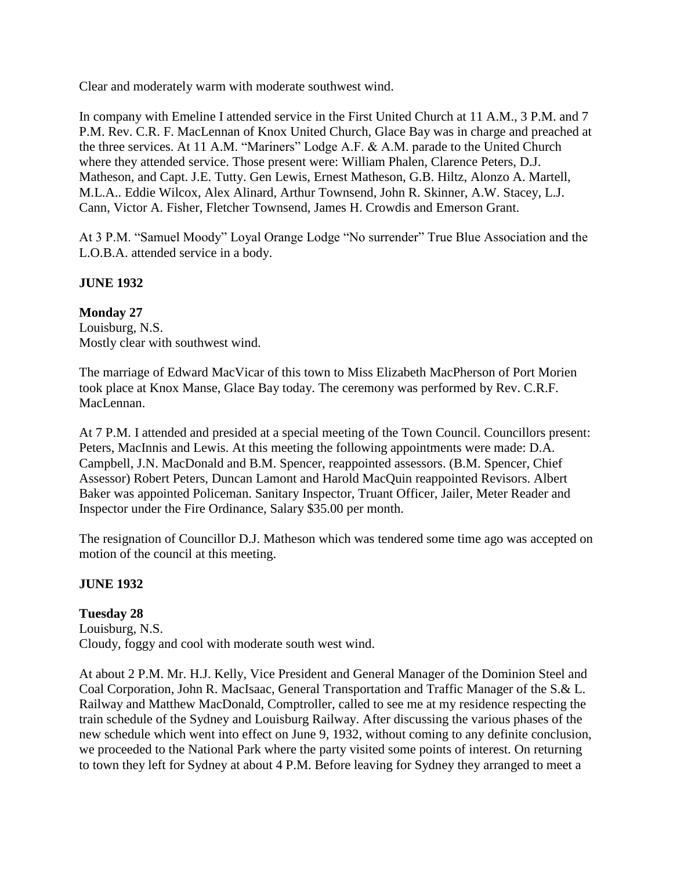Clear and moderately warm with moderate southwest wind.

In company with Emeline I attended service in the First United Church at 11 A.M., 3 P.M. and 7 P.M. Rev. C.R. F. MacLennan of Knox United Church, Glace Bay was in charge and preached at the three services. At 11 A.M. "Mariners" Lodge A.F. & A.M. parade to the United Church where they attended service. Those present were: William Phalen, Clarence Peters, D.J. Matheson, and Capt. J.E. Tutty. Gen Lewis, Ernest Matheson, G.B. Hiltz, Alonzo A. Martell, M.L.A.. Eddie Wilcox, Alex Alinard, Arthur Townsend, John R. Skinner, A.W. Stacey, L.J. Cann, Victor A. Fisher, Fletcher Townsend, James H. Crowdis and Emerson Grant.

At 3 P.M. "Samuel Moody" Loyal Orange Lodge "No surrender" True Blue Association and the L.O.B.A. attended service in a body.

# **JUNE 1932**

## **Monday 27**

Louisburg, N.S. Mostly clear with southwest wind.

The marriage of Edward MacVicar of this town to Miss Elizabeth MacPherson of Port Morien took place at Knox Manse, Glace Bay today. The ceremony was performed by Rev. C.R.F. MacLennan.

At 7 P.M. I attended and presided at a special meeting of the Town Council. Councillors present: Peters, MacInnis and Lewis. At this meeting the following appointments were made: D.A. Campbell, J.N. MacDonald and B.M. Spencer, reappointed assessors. (B.M. Spencer, Chief Assessor) Robert Peters, Duncan Lamont and Harold MacQuin reappointed Revisors. Albert Baker was appointed Policeman. Sanitary Inspector, Truant Officer, Jailer, Meter Reader and Inspector under the Fire Ordinance, Salary \$35.00 per month.

The resignation of Councillor D.J. Matheson which was tendered some time ago was accepted on motion of the council at this meeting.

# **JUNE 1932**

**Tuesday 28** Louisburg, N.S. Cloudy, foggy and cool with moderate south west wind.

At about 2 P.M. Mr. H.J. Kelly, Vice President and General Manager of the Dominion Steel and Coal Corporation, John R. MacIsaac, General Transportation and Traffic Manager of the S.& L. Railway and Matthew MacDonald, Comptroller, called to see me at my residence respecting the train schedule of the Sydney and Louisburg Railway. After discussing the various phases of the new schedule which went into effect on June 9, 1932, without coming to any definite conclusion, we proceeded to the National Park where the party visited some points of interest. On returning to town they left for Sydney at about 4 P.M. Before leaving for Sydney they arranged to meet a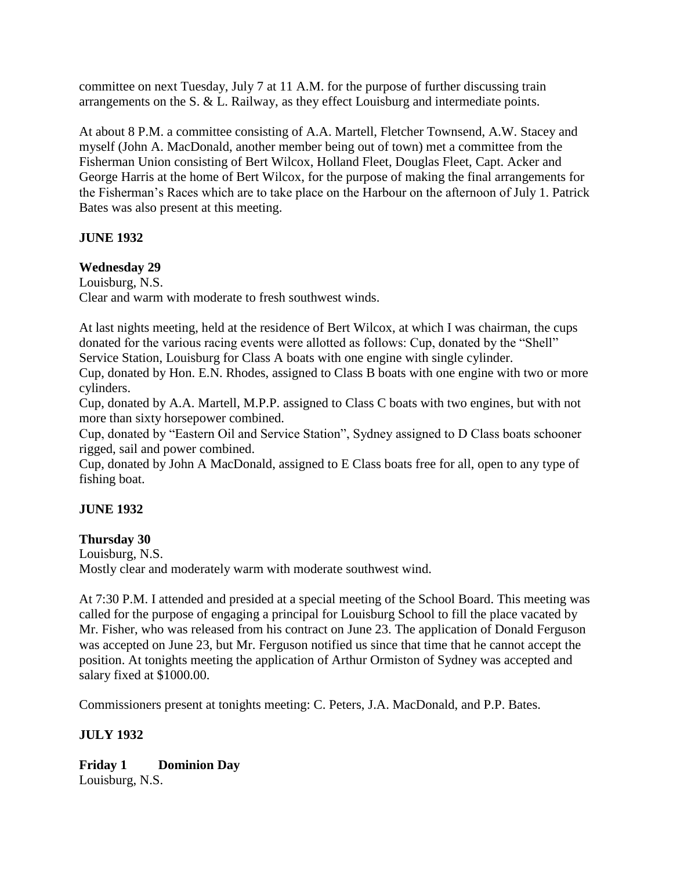committee on next Tuesday, July 7 at 11 A.M. for the purpose of further discussing train arrangements on the S. & L. Railway, as they effect Louisburg and intermediate points.

At about 8 P.M. a committee consisting of A.A. Martell, Fletcher Townsend, A.W. Stacey and myself (John A. MacDonald, another member being out of town) met a committee from the Fisherman Union consisting of Bert Wilcox, Holland Fleet, Douglas Fleet, Capt. Acker and George Harris at the home of Bert Wilcox, for the purpose of making the final arrangements for the Fisherman's Races which are to take place on the Harbour on the afternoon of July 1. Patrick Bates was also present at this meeting.

## **JUNE 1932**

### **Wednesday 29**

Louisburg, N.S. Clear and warm with moderate to fresh southwest winds.

At last nights meeting, held at the residence of Bert Wilcox, at which I was chairman, the cups donated for the various racing events were allotted as follows: Cup, donated by the "Shell" Service Station, Louisburg for Class A boats with one engine with single cylinder.

Cup, donated by Hon. E.N. Rhodes, assigned to Class B boats with one engine with two or more cylinders.

Cup, donated by A.A. Martell, M.P.P. assigned to Class C boats with two engines, but with not more than sixty horsepower combined.

Cup, donated by "Eastern Oil and Service Station", Sydney assigned to D Class boats schooner rigged, sail and power combined.

Cup, donated by John A MacDonald, assigned to E Class boats free for all, open to any type of fishing boat.

## **JUNE 1932**

#### **Thursday 30**

Louisburg, N.S. Mostly clear and moderately warm with moderate southwest wind.

At 7:30 P.M. I attended and presided at a special meeting of the School Board. This meeting was called for the purpose of engaging a principal for Louisburg School to fill the place vacated by Mr. Fisher, who was released from his contract on June 23. The application of Donald Ferguson was accepted on June 23, but Mr. Ferguson notified us since that time that he cannot accept the position. At tonights meeting the application of Arthur Ormiston of Sydney was accepted and salary fixed at \$1000.00.

Commissioners present at tonights meeting: C. Peters, J.A. MacDonald, and P.P. Bates.

#### **JULY 1932**

**Friday 1 Dominion Day** Louisburg, N.S.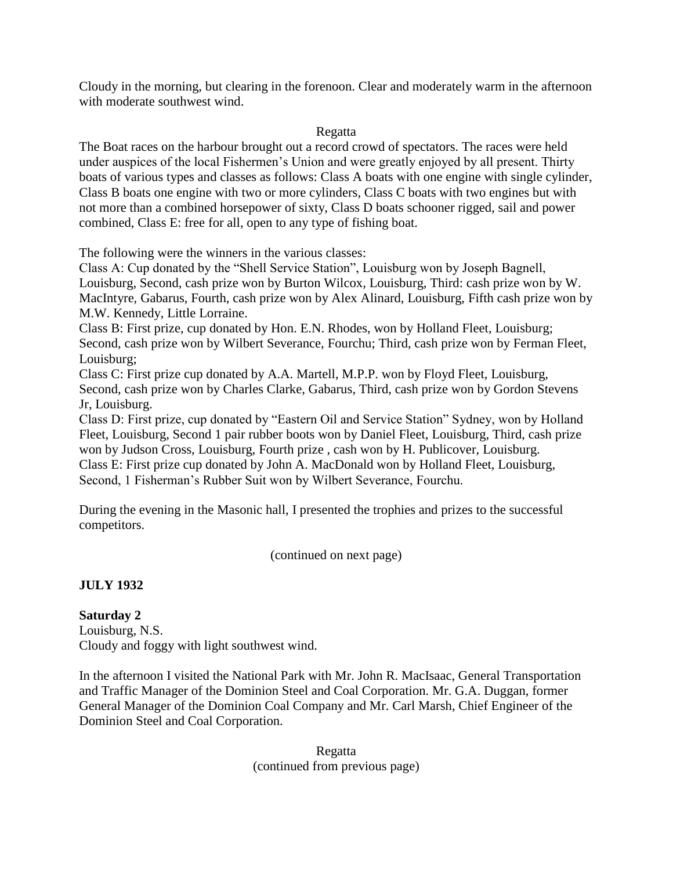Cloudy in the morning, but clearing in the forenoon. Clear and moderately warm in the afternoon with moderate southwest wind.

#### Regatta

The Boat races on the harbour brought out a record crowd of spectators. The races were held under auspices of the local Fishermen's Union and were greatly enjoyed by all present. Thirty boats of various types and classes as follows: Class A boats with one engine with single cylinder, Class B boats one engine with two or more cylinders, Class C boats with two engines but with not more than a combined horsepower of sixty, Class D boats schooner rigged, sail and power combined, Class E: free for all, open to any type of fishing boat.

The following were the winners in the various classes:

Class A: Cup donated by the "Shell Service Station", Louisburg won by Joseph Bagnell, Louisburg, Second, cash prize won by Burton Wilcox, Louisburg, Third: cash prize won by W. MacIntyre, Gabarus, Fourth, cash prize won by Alex Alinard, Louisburg, Fifth cash prize won by M.W. Kennedy, Little Lorraine.

Class B: First prize, cup donated by Hon. E.N. Rhodes, won by Holland Fleet, Louisburg; Second, cash prize won by Wilbert Severance, Fourchu; Third, cash prize won by Ferman Fleet, Louisburg;

Class C: First prize cup donated by A.A. Martell, M.P.P. won by Floyd Fleet, Louisburg, Second, cash prize won by Charles Clarke, Gabarus, Third, cash prize won by Gordon Stevens Jr, Louisburg.

Class D: First prize, cup donated by "Eastern Oil and Service Station" Sydney, won by Holland Fleet, Louisburg, Second 1 pair rubber boots won by Daniel Fleet, Louisburg, Third, cash prize won by Judson Cross, Louisburg, Fourth prize , cash won by H. Publicover, Louisburg. Class E: First prize cup donated by John A. MacDonald won by Holland Fleet, Louisburg, Second, 1 Fisherman's Rubber Suit won by Wilbert Severance, Fourchu.

During the evening in the Masonic hall, I presented the trophies and prizes to the successful competitors.

(continued on next page)

# **JULY 1932**

**Saturday 2** Louisburg, N.S. Cloudy and foggy with light southwest wind.

In the afternoon I visited the National Park with Mr. John R. MacIsaac, General Transportation and Traffic Manager of the Dominion Steel and Coal Corporation. Mr. G.A. Duggan, former General Manager of the Dominion Coal Company and Mr. Carl Marsh, Chief Engineer of the Dominion Steel and Coal Corporation.

> Regatta (continued from previous page)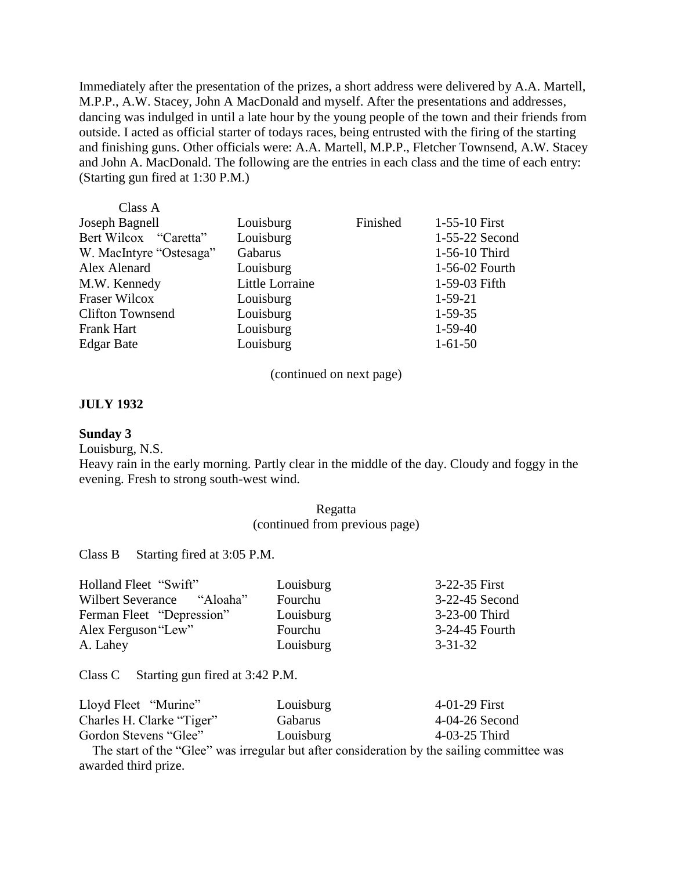Immediately after the presentation of the prizes, a short address were delivered by A.A. Martell, M.P.P., A.W. Stacey, John A MacDonald and myself. After the presentations and addresses, dancing was indulged in until a late hour by the young people of the town and their friends from outside. I acted as official starter of todays races, being entrusted with the firing of the starting and finishing guns. Other officials were: A.A. Martell, M.P.P., Fletcher Townsend, A.W. Stacey and John A. MacDonald. The following are the entries in each class and the time of each entry: (Starting gun fired at 1:30 P.M.)

| Class A                 |                 |          |                |
|-------------------------|-----------------|----------|----------------|
| Joseph Bagnell          | Louisburg       | Finished | 1-55-10 First  |
| Bert Wilcox "Caretta"   | Louisburg       |          | 1-55-22 Second |
| W. MacIntyre "Ostesaga" | Gabarus         |          | 1-56-10 Third  |
| Alex Alenard            | Louisburg       |          | 1-56-02 Fourth |
| M.W. Kennedy            | Little Lorraine |          | 1-59-03 Fifth  |
| <b>Fraser Wilcox</b>    | Louisburg       |          | $1-59-21$      |
| <b>Clifton Townsend</b> | Louisburg       |          | $1-59-35$      |
| <b>Frank Hart</b>       | Louisburg       |          | $1-59-40$      |
| <b>Edgar Bate</b>       | Louisburg       |          | $1-61-50$      |
|                         |                 |          |                |

(continued on next page)

#### **JULY 1932**

#### **Sunday 3**

Louisburg, N.S.

Heavy rain in the early morning. Partly clear in the middle of the day. Cloudy and foggy in the evening. Fresh to strong south-west wind.

> Regatta (continued from previous page)

Class B Starting fired at 3:05 P.M.

| Holland Fleet "Swift"      | Louisburg | 3-22-35 First  |
|----------------------------|-----------|----------------|
| Wilbert Severance "Aloaha" | Fourchu   | 3-22-45 Second |
| Ferman Fleet "Depression"  | Louisburg | 3-23-00 Third  |
| Alex Ferguson "Lew"        | Fourchu   | 3-24-45 Fourth |
| A. Lahey                   | Louisburg | $3 - 31 - 32$  |

Class C Starting gun fired at 3:42 P.M.

| Lloyd Fleet "Murine"      | Louisburg | 4-01-29 First  |
|---------------------------|-----------|----------------|
| Charles H. Clarke "Tiger" | Gabarus   | 4-04-26 Second |
| Gordon Stevens "Glee"     | Louisburg | 4-03-25 Third  |

 The start of the "Glee" was irregular but after consideration by the sailing committee was awarded third prize.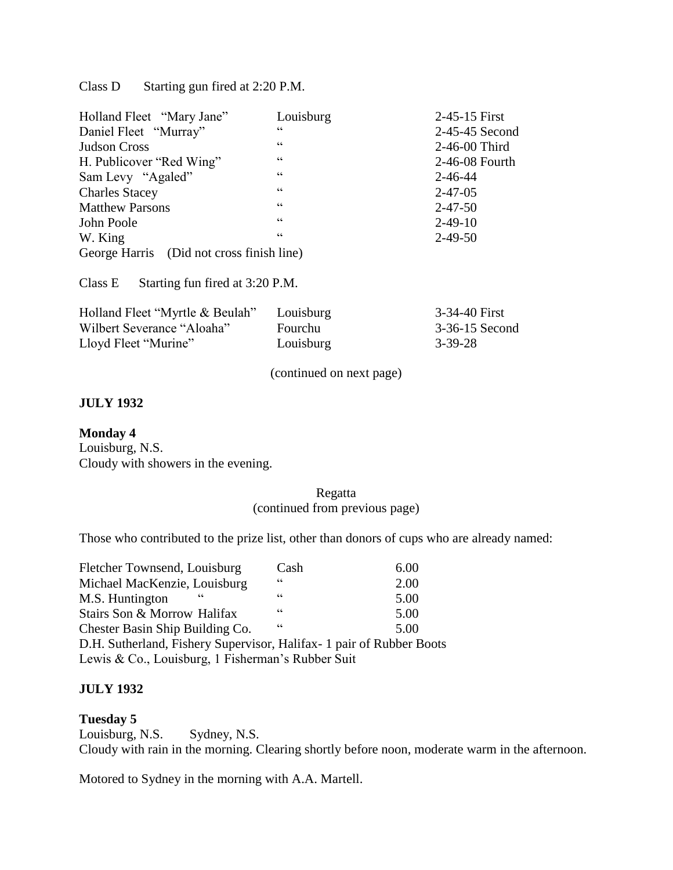Class D Starting gun fired at 2:20 P.M.

| Holland Fleet "Mary Jane"                 | Louisburg       | 2-45-15 First  |
|-------------------------------------------|-----------------|----------------|
| Daniel Fleet "Murray"                     | cc              | 2-45-45 Second |
| <b>Judson Cross</b>                       | C               | 2-46-00 Third  |
| H. Publicover "Red Wing"                  | C               | 2-46-08 Fourth |
| Sam Levy "Agaled"                         | C               | $2 - 46 - 44$  |
| <b>Charles Stacey</b>                     | $\zeta\,\zeta$  | $2 - 47 - 05$  |
| <b>Matthew Parsons</b>                    | cc              | $2 - 47 - 50$  |
| John Poole                                | $\zeta$ $\zeta$ | $2 - 49 - 10$  |
| W. King                                   | C               | $2 - 49 - 50$  |
| George Harris (Did not cross finish line) |                 |                |

Class E Starting fun fired at 3:20 P.M.

| Holland Fleet "Myrtle & Beulah" | Louisburg      | 3-34-40 First  |
|---------------------------------|----------------|----------------|
| Wilbert Severance "Aloaha"      | <b>Fourchu</b> | 3-36-15 Second |
| Lloyd Fleet "Murine"            | Louisburg      | 3-39-28        |

(continued on next page)

#### **JULY 1932**

#### **Monday 4**

Louisburg, N.S. Cloudy with showers in the evening.

#### Regatta (continued from previous page)

Those who contributed to the prize list, other than donors of cups who are already named:

| Fletcher Townsend, Louisburg                                          | Cash       | 6.00 |
|-----------------------------------------------------------------------|------------|------|
| Michael MacKenzie, Louisburg                                          | <b>66</b>  | 2.00 |
| M.S. Huntington                                                       | $\epsilon$ | 5.00 |
| Stairs Son & Morrow Halifax                                           | $\epsilon$ | 5.00 |
| Chester Basin Ship Building Co.                                       | $\epsilon$ | 5.00 |
| D.H. Sutherland, Fishery Supervisor, Halifax - 1 pair of Rubber Boots |            |      |
| Lewis & Co., Louisburg, 1 Fisherman's Rubber Suit                     |            |      |

## **JULY 1932**

#### **Tuesday 5**

Louisburg, N.S. Sydney, N.S. Cloudy with rain in the morning. Clearing shortly before noon, moderate warm in the afternoon.

Motored to Sydney in the morning with A.A. Martell.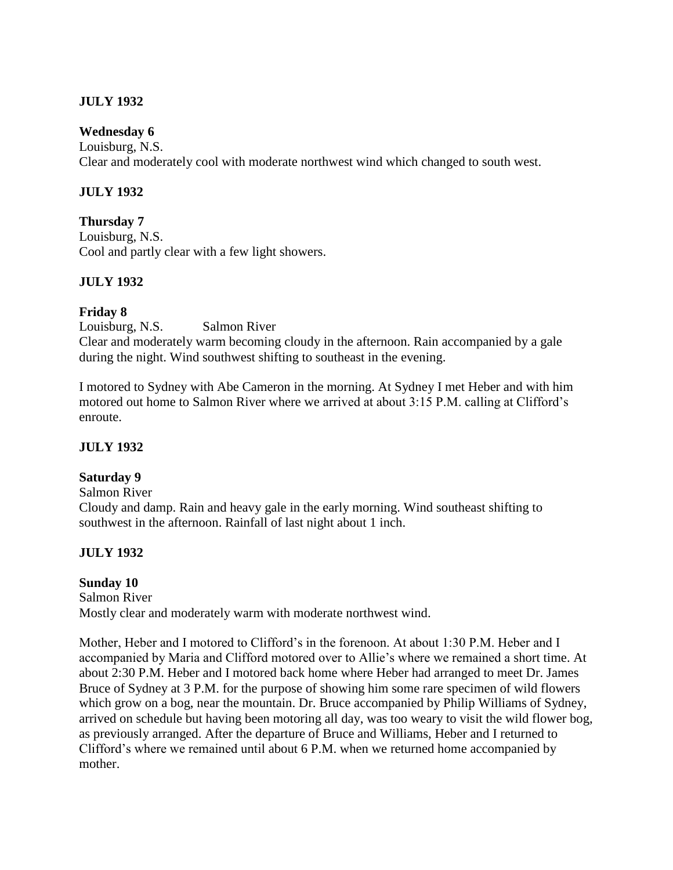## **JULY 1932**

### **Wednesday 6**

Louisburg, N.S. Clear and moderately cool with moderate northwest wind which changed to south west.

### **JULY 1932**

### **Thursday 7**

Louisburg, N.S. Cool and partly clear with a few light showers.

### **JULY 1932**

### **Friday 8**

Louisburg, N.S. Salmon River Clear and moderately warm becoming cloudy in the afternoon. Rain accompanied by a gale during the night. Wind southwest shifting to southeast in the evening.

I motored to Sydney with Abe Cameron in the morning. At Sydney I met Heber and with him motored out home to Salmon River where we arrived at about 3:15 P.M. calling at Clifford's enroute.

## **JULY 1932**

#### **Saturday 9**

Salmon River Cloudy and damp. Rain and heavy gale in the early morning. Wind southeast shifting to southwest in the afternoon. Rainfall of last night about 1 inch.

## **JULY 1932**

## **Sunday 10**

Salmon River Mostly clear and moderately warm with moderate northwest wind.

Mother, Heber and I motored to Clifford's in the forenoon. At about 1:30 P.M. Heber and I accompanied by Maria and Clifford motored over to Allie's where we remained a short time. At about 2:30 P.M. Heber and I motored back home where Heber had arranged to meet Dr. James Bruce of Sydney at 3 P.M. for the purpose of showing him some rare specimen of wild flowers which grow on a bog, near the mountain. Dr. Bruce accompanied by Philip Williams of Sydney, arrived on schedule but having been motoring all day, was too weary to visit the wild flower bog, as previously arranged. After the departure of Bruce and Williams, Heber and I returned to Clifford's where we remained until about 6 P.M. when we returned home accompanied by mother.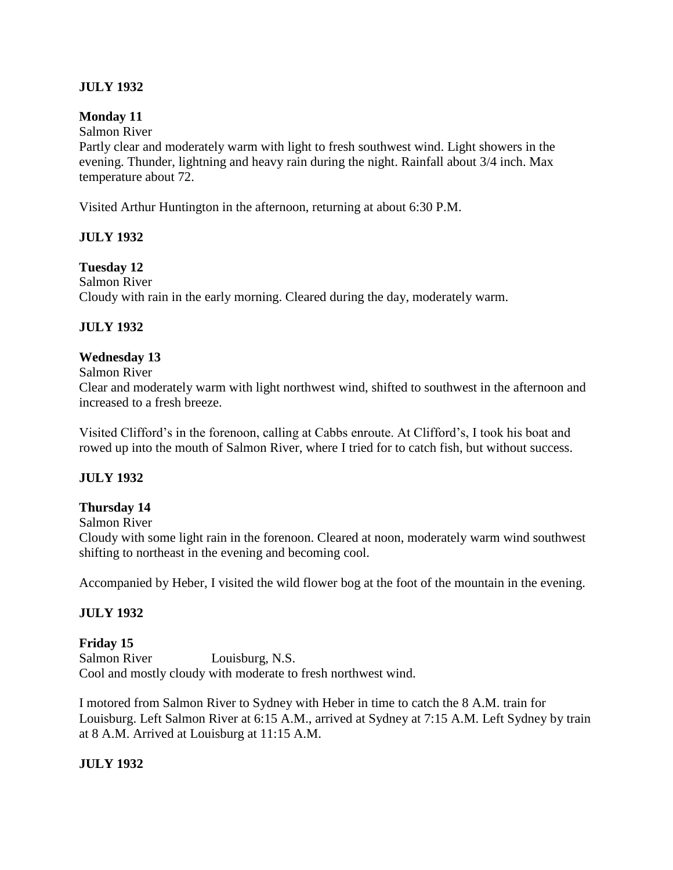# **JULY 1932**

### **Monday 11**

Salmon River

Partly clear and moderately warm with light to fresh southwest wind. Light showers in the evening. Thunder, lightning and heavy rain during the night. Rainfall about 3/4 inch. Max temperature about 72.

Visited Arthur Huntington in the afternoon, returning at about 6:30 P.M.

## **JULY 1932**

### **Tuesday 12**

Salmon River Cloudy with rain in the early morning. Cleared during the day, moderately warm.

## **JULY 1932**

### **Wednesday 13**

Salmon River

Clear and moderately warm with light northwest wind, shifted to southwest in the afternoon and increased to a fresh breeze.

Visited Clifford's in the forenoon, calling at Cabbs enroute. At Clifford's, I took his boat and rowed up into the mouth of Salmon River, where I tried for to catch fish, but without success.

## **JULY 1932**

## **Thursday 14**

Salmon River

Cloudy with some light rain in the forenoon. Cleared at noon, moderately warm wind southwest shifting to northeast in the evening and becoming cool.

Accompanied by Heber, I visited the wild flower bog at the foot of the mountain in the evening.

## **JULY 1932**

## **Friday 15**

Salmon River Louisburg, N.S. Cool and mostly cloudy with moderate to fresh northwest wind.

I motored from Salmon River to Sydney with Heber in time to catch the 8 A.M. train for Louisburg. Left Salmon River at 6:15 A.M., arrived at Sydney at 7:15 A.M. Left Sydney by train at 8 A.M. Arrived at Louisburg at 11:15 A.M.

## **JULY 1932**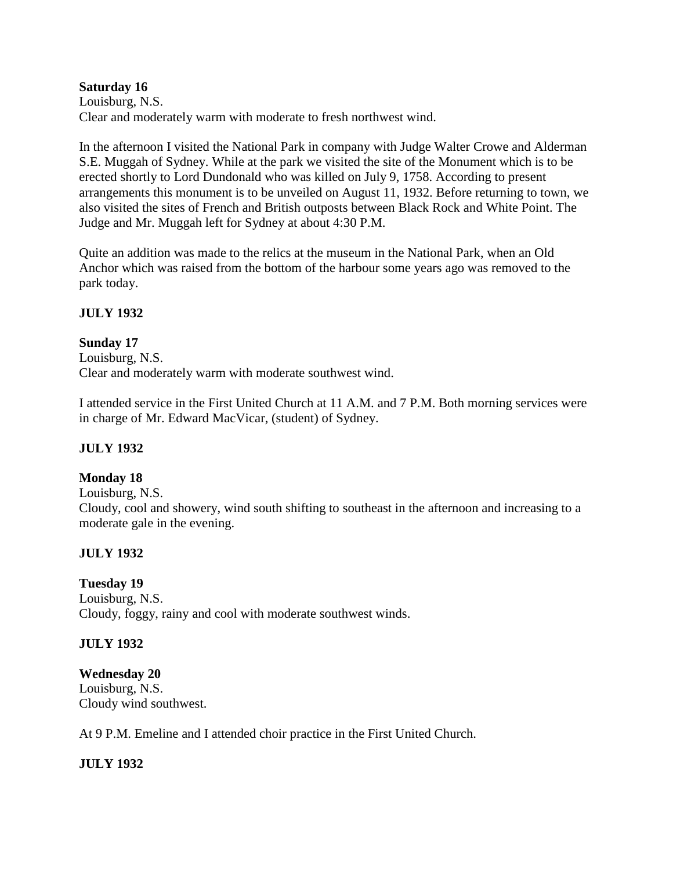### **Saturday 16**

Louisburg, N.S. Clear and moderately warm with moderate to fresh northwest wind.

In the afternoon I visited the National Park in company with Judge Walter Crowe and Alderman S.E. Muggah of Sydney. While at the park we visited the site of the Monument which is to be erected shortly to Lord Dundonald who was killed on July 9, 1758. According to present arrangements this monument is to be unveiled on August 11, 1932. Before returning to town, we also visited the sites of French and British outposts between Black Rock and White Point. The Judge and Mr. Muggah left for Sydney at about 4:30 P.M.

Quite an addition was made to the relics at the museum in the National Park, when an Old Anchor which was raised from the bottom of the harbour some years ago was removed to the park today.

### **JULY 1932**

### **Sunday 17**

Louisburg, N.S. Clear and moderately warm with moderate southwest wind.

I attended service in the First United Church at 11 A.M. and 7 P.M. Both morning services were in charge of Mr. Edward MacVicar, (student) of Sydney.

## **JULY 1932**

## **Monday 18**

Louisburg, N.S.

Cloudy, cool and showery, wind south shifting to southeast in the afternoon and increasing to a moderate gale in the evening.

## **JULY 1932**

## **Tuesday 19**

Louisburg, N.S. Cloudy, foggy, rainy and cool with moderate southwest winds.

## **JULY 1932**

## **Wednesday 20**

Louisburg, N.S. Cloudy wind southwest.

At 9 P.M. Emeline and I attended choir practice in the First United Church.

## **JULY 1932**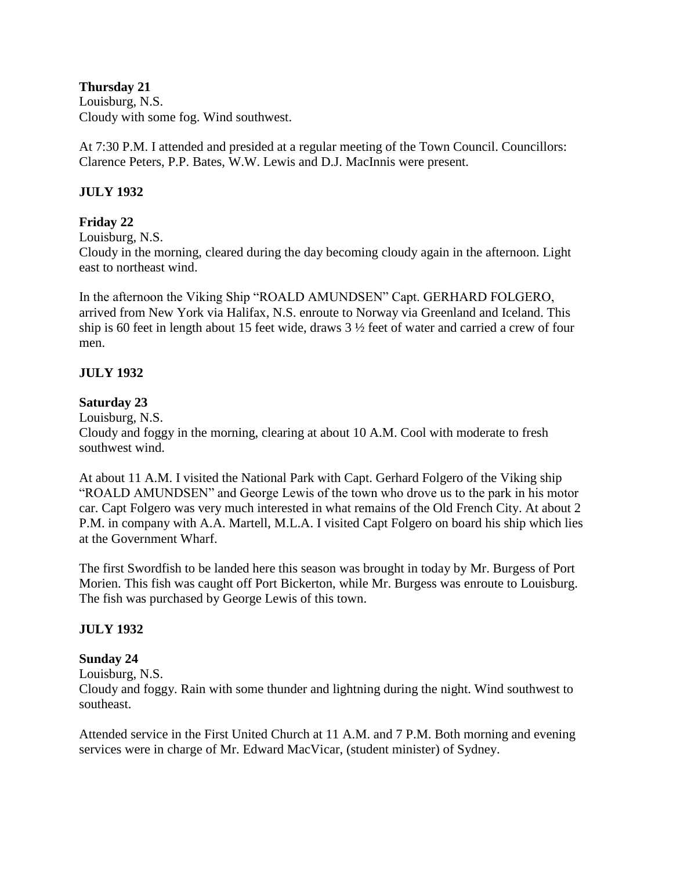**Thursday 21** Louisburg, N.S. Cloudy with some fog. Wind southwest.

At 7:30 P.M. I attended and presided at a regular meeting of the Town Council. Councillors: Clarence Peters, P.P. Bates, W.W. Lewis and D.J. MacInnis were present.

### **JULY 1932**

#### **Friday 22**

Louisburg, N.S.

Cloudy in the morning, cleared during the day becoming cloudy again in the afternoon. Light east to northeast wind.

In the afternoon the Viking Ship "ROALD AMUNDSEN" Capt. GERHARD FOLGERO, arrived from New York via Halifax, N.S. enroute to Norway via Greenland and Iceland. This ship is 60 feet in length about 15 feet wide, draws 3 ½ feet of water and carried a crew of four men.

#### **JULY 1932**

#### **Saturday 23**

Louisburg, N.S.

Cloudy and foggy in the morning, clearing at about 10 A.M. Cool with moderate to fresh southwest wind.

At about 11 A.M. I visited the National Park with Capt. Gerhard Folgero of the Viking ship "ROALD AMUNDSEN" and George Lewis of the town who drove us to the park in his motor car. Capt Folgero was very much interested in what remains of the Old French City. At about 2 P.M. in company with A.A. Martell, M.L.A. I visited Capt Folgero on board his ship which lies at the Government Wharf.

The first Swordfish to be landed here this season was brought in today by Mr. Burgess of Port Morien. This fish was caught off Port Bickerton, while Mr. Burgess was enroute to Louisburg. The fish was purchased by George Lewis of this town.

#### **JULY 1932**

#### **Sunday 24**

Louisburg, N.S.

Cloudy and foggy. Rain with some thunder and lightning during the night. Wind southwest to southeast.

Attended service in the First United Church at 11 A.M. and 7 P.M. Both morning and evening services were in charge of Mr. Edward MacVicar, (student minister) of Sydney.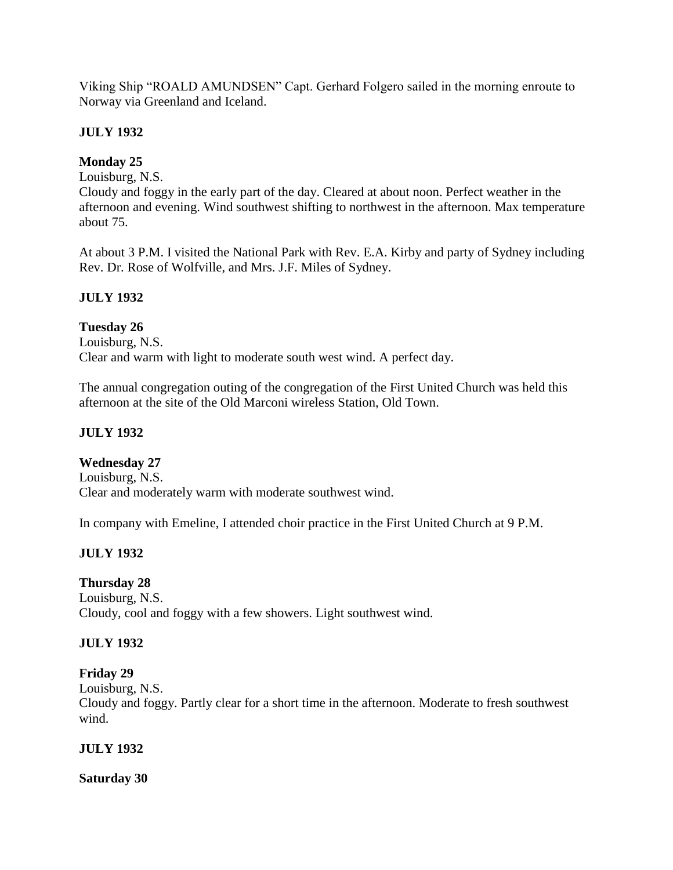Viking Ship "ROALD AMUNDSEN" Capt. Gerhard Folgero sailed in the morning enroute to Norway via Greenland and Iceland.

# **JULY 1932**

# **Monday 25**

Louisburg, N.S.

Cloudy and foggy in the early part of the day. Cleared at about noon. Perfect weather in the afternoon and evening. Wind southwest shifting to northwest in the afternoon. Max temperature about 75.

At about 3 P.M. I visited the National Park with Rev. E.A. Kirby and party of Sydney including Rev. Dr. Rose of Wolfville, and Mrs. J.F. Miles of Sydney.

# **JULY 1932**

**Tuesday 26** Louisburg, N.S. Clear and warm with light to moderate south west wind. A perfect day.

The annual congregation outing of the congregation of the First United Church was held this afternoon at the site of the Old Marconi wireless Station, Old Town.

# **JULY 1932**

## **Wednesday 27**

Louisburg, N.S. Clear and moderately warm with moderate southwest wind.

In company with Emeline, I attended choir practice in the First United Church at 9 P.M.

# **JULY 1932**

# **Thursday 28**

Louisburg, N.S. Cloudy, cool and foggy with a few showers. Light southwest wind.

# **JULY 1932**

## **Friday 29**

Louisburg, N.S.

Cloudy and foggy. Partly clear for a short time in the afternoon. Moderate to fresh southwest wind.

## **JULY 1932**

## **Saturday 30**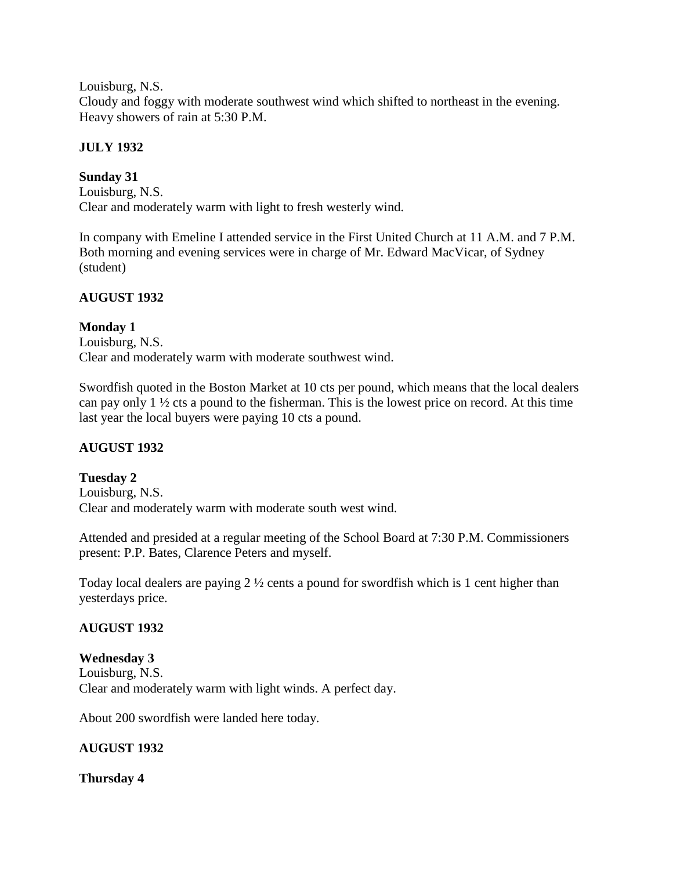Louisburg, N.S.

Cloudy and foggy with moderate southwest wind which shifted to northeast in the evening. Heavy showers of rain at 5:30 P.M.

## **JULY 1932**

# **Sunday 31**

Louisburg, N.S. Clear and moderately warm with light to fresh westerly wind.

In company with Emeline I attended service in the First United Church at 11 A.M. and 7 P.M. Both morning and evening services were in charge of Mr. Edward MacVicar, of Sydney (student)

# **AUGUST 1932**

**Monday 1** Louisburg, N.S. Clear and moderately warm with moderate southwest wind.

Swordfish quoted in the Boston Market at 10 cts per pound, which means that the local dealers can pay only 1 ½ cts a pound to the fisherman. This is the lowest price on record. At this time last year the local buyers were paying 10 cts a pound.

# **AUGUST 1932**

**Tuesday 2** Louisburg, N.S. Clear and moderately warm with moderate south west wind.

Attended and presided at a regular meeting of the School Board at 7:30 P.M. Commissioners present: P.P. Bates, Clarence Peters and myself.

Today local dealers are paying 2 ½ cents a pound for swordfish which is 1 cent higher than yesterdays price.

# **AUGUST 1932**

## **Wednesday 3**

Louisburg, N.S. Clear and moderately warm with light winds. A perfect day.

About 200 swordfish were landed here today.

## **AUGUST 1932**

## **Thursday 4**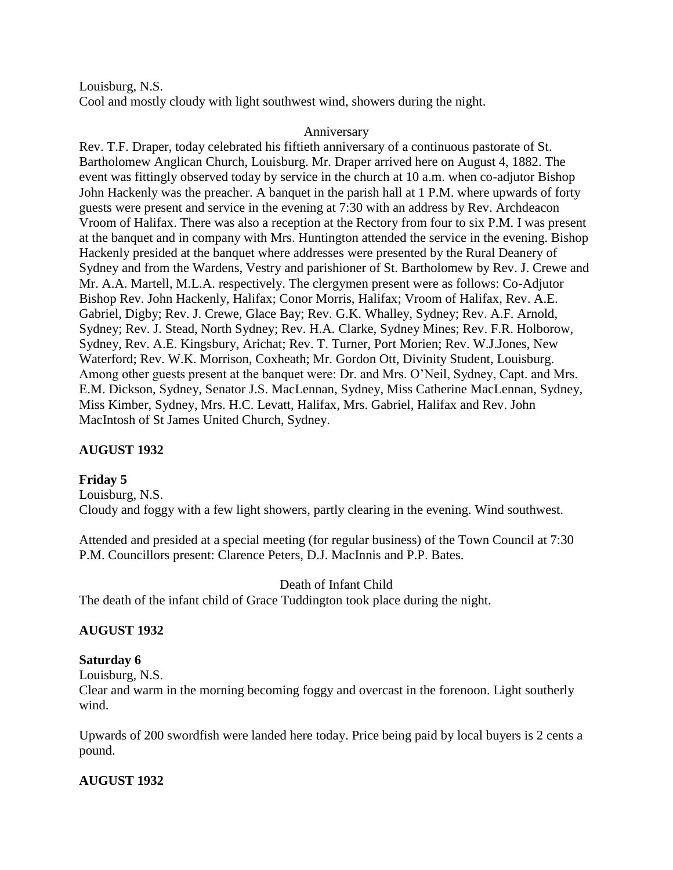Louisburg, N.S.

Cool and mostly cloudy with light southwest wind, showers during the night.

#### Anniversary

Rev. T.F. Draper, today celebrated his fiftieth anniversary of a continuous pastorate of St. Bartholomew Anglican Church, Louisburg. Mr. Draper arrived here on August 4, 1882. The event was fittingly observed today by service in the church at 10 a.m. when co-adjutor Bishop John Hackenly was the preacher. A banquet in the parish hall at 1 P.M. where upwards of forty guests were present and service in the evening at 7:30 with an address by Rev. Archdeacon Vroom of Halifax. There was also a reception at the Rectory from four to six P.M. I was present at the banquet and in company with Mrs. Huntington attended the service in the evening. Bishop Hackenly presided at the banquet where addresses were presented by the Rural Deanery of Sydney and from the Wardens, Vestry and parishioner of St. Bartholomew by Rev. J. Crewe and Mr. A.A. Martell, M.L.A. respectively. The clergymen present were as follows: Co-Adjutor Bishop Rev. John Hackenly, Halifax; Conor Morris, Halifax; Vroom of Halifax, Rev. A.E. Gabriel, Digby; Rev. J. Crewe, Glace Bay; Rev. G.K. Whalley, Sydney; Rev. A.F. Arnold, Sydney; Rev. J. Stead, North Sydney; Rev. H.A. Clarke, Sydney Mines; Rev. F.R. Holborow, Sydney, Rev. A.E. Kingsbury, Arichat; Rev. T. Turner, Port Morien; Rev. W.J.Jones, New Waterford; Rev. W.K. Morrison, Coxheath; Mr. Gordon Ott, Divinity Student, Louisburg. Among other guests present at the banquet were: Dr. and Mrs. O'Neil, Sydney, Capt. and Mrs. E.M. Dickson, Sydney, Senator J.S. MacLennan, Sydney, Miss Catherine MacLennan, Sydney, Miss Kimber, Sydney, Mrs. H.C. Levatt, Halifax, Mrs. Gabriel, Halifax and Rev. John MacIntosh of St James United Church, Sydney.

## **AUGUST 1932**

#### **Friday 5**

Louisburg, N.S. Cloudy and foggy with a few light showers, partly clearing in the evening. Wind southwest.

Attended and presided at a special meeting (for regular business) of the Town Council at 7:30 P.M. Councillors present: Clarence Peters, D.J. MacInnis and P.P. Bates.

Death of Infant Child

The death of the infant child of Grace Tuddington took place during the night.

#### **AUGUST 1932**

#### **Saturday 6**

Louisburg, N.S.

Clear and warm in the morning becoming foggy and overcast in the forenoon. Light southerly wind.

Upwards of 200 swordfish were landed here today. Price being paid by local buyers is 2 cents a pound.

#### **AUGUST 1932**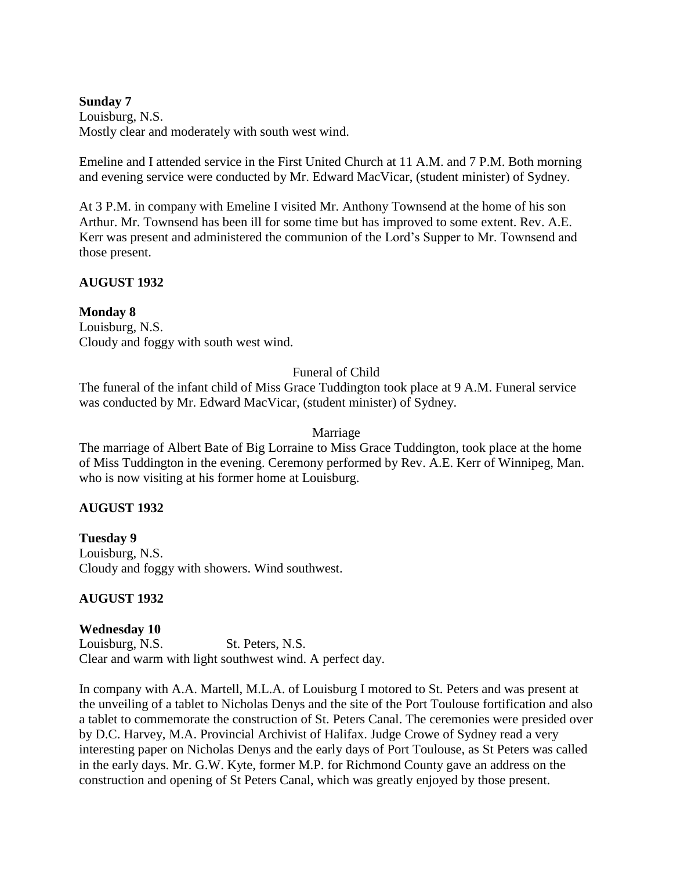#### **Sunday 7**

Louisburg, N.S. Mostly clear and moderately with south west wind.

Emeline and I attended service in the First United Church at 11 A.M. and 7 P.M. Both morning and evening service were conducted by Mr. Edward MacVicar, (student minister) of Sydney.

At 3 P.M. in company with Emeline I visited Mr. Anthony Townsend at the home of his son Arthur. Mr. Townsend has been ill for some time but has improved to some extent. Rev. A.E. Kerr was present and administered the communion of the Lord's Supper to Mr. Townsend and those present.

### **AUGUST 1932**

#### **Monday 8**

Louisburg, N.S. Cloudy and foggy with south west wind.

## Funeral of Child

The funeral of the infant child of Miss Grace Tuddington took place at 9 A.M. Funeral service was conducted by Mr. Edward MacVicar, (student minister) of Sydney.

#### Marriage

The marriage of Albert Bate of Big Lorraine to Miss Grace Tuddington, took place at the home of Miss Tuddington in the evening. Ceremony performed by Rev. A.E. Kerr of Winnipeg, Man. who is now visiting at his former home at Louisburg.

#### **AUGUST 1932**

**Tuesday 9** Louisburg, N.S. Cloudy and foggy with showers. Wind southwest.

#### **AUGUST 1932**

#### **Wednesday 10**

Louisburg, N.S. St. Peters, N.S. Clear and warm with light southwest wind. A perfect day.

In company with A.A. Martell, M.L.A. of Louisburg I motored to St. Peters and was present at the unveiling of a tablet to Nicholas Denys and the site of the Port Toulouse fortification and also a tablet to commemorate the construction of St. Peters Canal. The ceremonies were presided over by D.C. Harvey, M.A. Provincial Archivist of Halifax. Judge Crowe of Sydney read a very interesting paper on Nicholas Denys and the early days of Port Toulouse, as St Peters was called in the early days. Mr. G.W. Kyte, former M.P. for Richmond County gave an address on the construction and opening of St Peters Canal, which was greatly enjoyed by those present.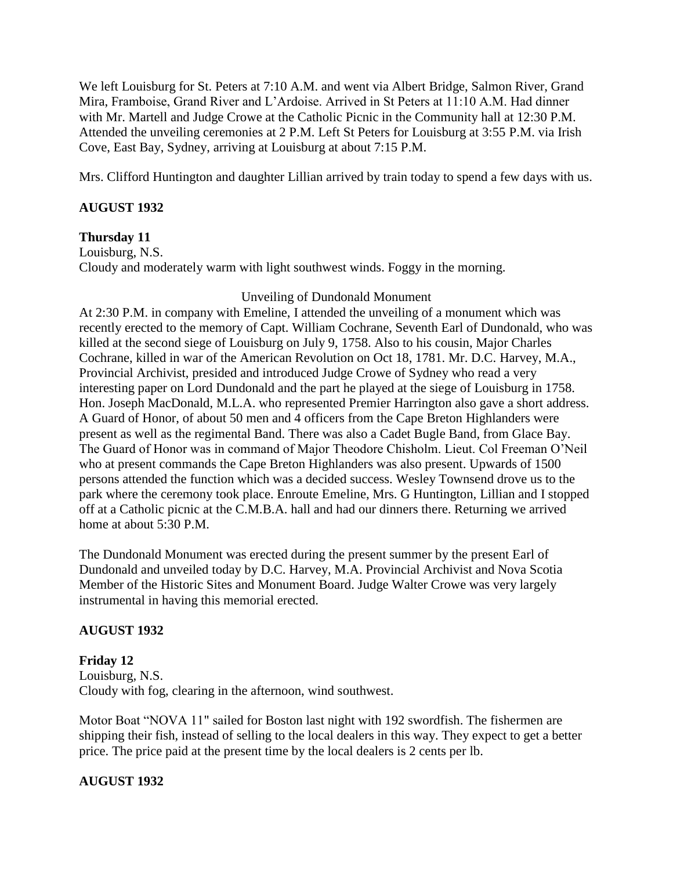We left Louisburg for St. Peters at 7:10 A.M. and went via Albert Bridge, Salmon River, Grand Mira, Framboise, Grand River and L'Ardoise. Arrived in St Peters at 11:10 A.M. Had dinner with Mr. Martell and Judge Crowe at the Catholic Picnic in the Community hall at 12:30 P.M. Attended the unveiling ceremonies at 2 P.M. Left St Peters for Louisburg at 3:55 P.M. via Irish Cove, East Bay, Sydney, arriving at Louisburg at about 7:15 P.M.

Mrs. Clifford Huntington and daughter Lillian arrived by train today to spend a few days with us.

## **AUGUST 1932**

## **Thursday 11**

Louisburg, N.S. Cloudy and moderately warm with light southwest winds. Foggy in the morning.

## Unveiling of Dundonald Monument

At 2:30 P.M. in company with Emeline, I attended the unveiling of a monument which was recently erected to the memory of Capt. William Cochrane, Seventh Earl of Dundonald, who was killed at the second siege of Louisburg on July 9, 1758. Also to his cousin, Major Charles Cochrane, killed in war of the American Revolution on Oct 18, 1781. Mr. D.C. Harvey, M.A., Provincial Archivist, presided and introduced Judge Crowe of Sydney who read a very interesting paper on Lord Dundonald and the part he played at the siege of Louisburg in 1758. Hon. Joseph MacDonald, M.L.A. who represented Premier Harrington also gave a short address. A Guard of Honor, of about 50 men and 4 officers from the Cape Breton Highlanders were present as well as the regimental Band. There was also a Cadet Bugle Band, from Glace Bay. The Guard of Honor was in command of Major Theodore Chisholm. Lieut. Col Freeman O'Neil who at present commands the Cape Breton Highlanders was also present. Upwards of 1500 persons attended the function which was a decided success. Wesley Townsend drove us to the park where the ceremony took place. Enroute Emeline, Mrs. G Huntington, Lillian and I stopped off at a Catholic picnic at the C.M.B.A. hall and had our dinners there. Returning we arrived home at about 5:30 P.M.

The Dundonald Monument was erected during the present summer by the present Earl of Dundonald and unveiled today by D.C. Harvey, M.A. Provincial Archivist and Nova Scotia Member of the Historic Sites and Monument Board. Judge Walter Crowe was very largely instrumental in having this memorial erected.

## **AUGUST 1932**

**Friday 12** Louisburg, N.S. Cloudy with fog, clearing in the afternoon, wind southwest.

Motor Boat "NOVA 11" sailed for Boston last night with 192 swordfish. The fishermen are shipping their fish, instead of selling to the local dealers in this way. They expect to get a better price. The price paid at the present time by the local dealers is 2 cents per lb.

## **AUGUST 1932**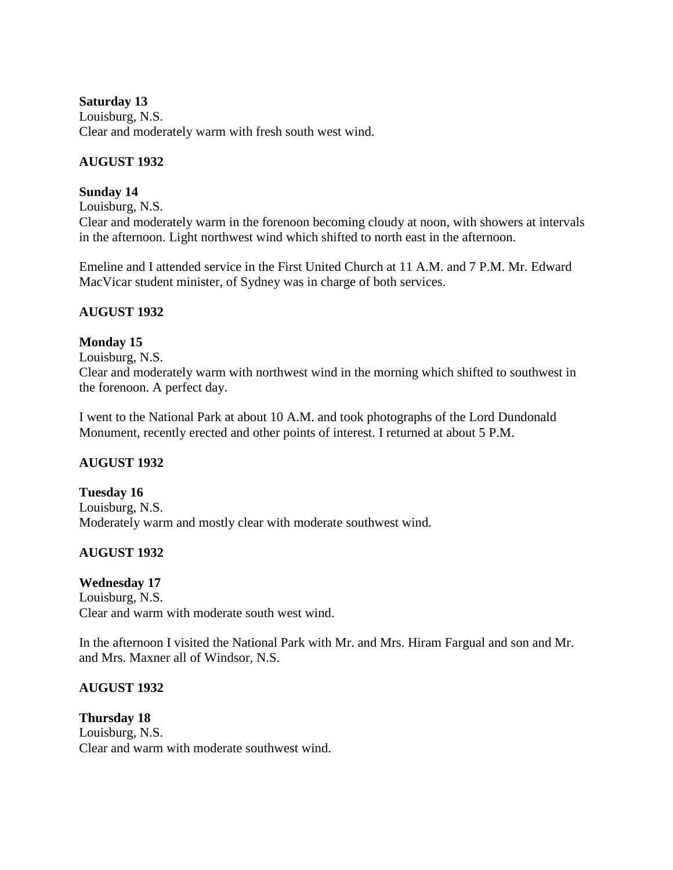#### **Saturday 13**

Louisburg, N.S. Clear and moderately warm with fresh south west wind.

### **AUGUST 1932**

### **Sunday 14**

Louisburg, N.S.

Clear and moderately warm in the forenoon becoming cloudy at noon, with showers at intervals in the afternoon. Light northwest wind which shifted to north east in the afternoon.

Emeline and I attended service in the First United Church at 11 A.M. and 7 P.M. Mr. Edward MacVicar student minister, of Sydney was in charge of both services.

### **AUGUST 1932**

### **Monday 15**

Louisburg, N.S.

Clear and moderately warm with northwest wind in the morning which shifted to southwest in the forenoon. A perfect day.

I went to the National Park at about 10 A.M. and took photographs of the Lord Dundonald Monument, recently erected and other points of interest. I returned at about 5 P.M.

## **AUGUST 1932**

**Tuesday 16** Louisburg, N.S. Moderately warm and mostly clear with moderate southwest wind.

# **AUGUST 1932**

## **Wednesday 17**

Louisburg, N.S. Clear and warm with moderate south west wind.

In the afternoon I visited the National Park with Mr. and Mrs. Hiram Fargual and son and Mr. and Mrs. Maxner all of Windsor, N.S.

#### **AUGUST 1932**

**Thursday 18** Louisburg, N.S. Clear and warm with moderate southwest wind.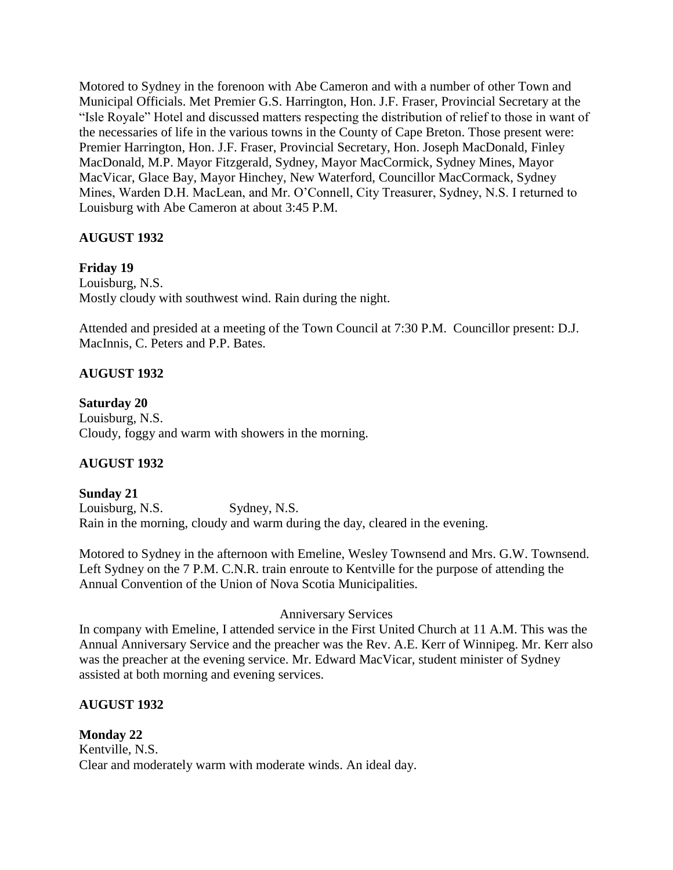Motored to Sydney in the forenoon with Abe Cameron and with a number of other Town and Municipal Officials. Met Premier G.S. Harrington, Hon. J.F. Fraser, Provincial Secretary at the "Isle Royale" Hotel and discussed matters respecting the distribution of relief to those in want of the necessaries of life in the various towns in the County of Cape Breton. Those present were: Premier Harrington, Hon. J.F. Fraser, Provincial Secretary, Hon. Joseph MacDonald, Finley MacDonald, M.P. Mayor Fitzgerald, Sydney, Mayor MacCormick, Sydney Mines, Mayor MacVicar, Glace Bay, Mayor Hinchey, New Waterford, Councillor MacCormack, Sydney Mines, Warden D.H. MacLean, and Mr. O'Connell, City Treasurer, Sydney, N.S. I returned to Louisburg with Abe Cameron at about 3:45 P.M.

# **AUGUST 1932**

# **Friday 19**

Louisburg, N.S. Mostly cloudy with southwest wind. Rain during the night.

Attended and presided at a meeting of the Town Council at 7:30 P.M. Councillor present: D.J. MacInnis, C. Peters and P.P. Bates.

# **AUGUST 1932**

### **Saturday 20**

Louisburg, N.S. Cloudy, foggy and warm with showers in the morning.

# **AUGUST 1932**

**Sunday 21** Louisburg, N.S. Sydney, N.S. Rain in the morning, cloudy and warm during the day, cleared in the evening.

Motored to Sydney in the afternoon with Emeline, Wesley Townsend and Mrs. G.W. Townsend. Left Sydney on the 7 P.M. C.N.R. train enroute to Kentville for the purpose of attending the Annual Convention of the Union of Nova Scotia Municipalities.

#### Anniversary Services

In company with Emeline, I attended service in the First United Church at 11 A.M. This was the Annual Anniversary Service and the preacher was the Rev. A.E. Kerr of Winnipeg. Mr. Kerr also was the preacher at the evening service. Mr. Edward MacVicar, student minister of Sydney assisted at both morning and evening services.

# **AUGUST 1932**

# **Monday 22**

Kentville, N.S. Clear and moderately warm with moderate winds. An ideal day.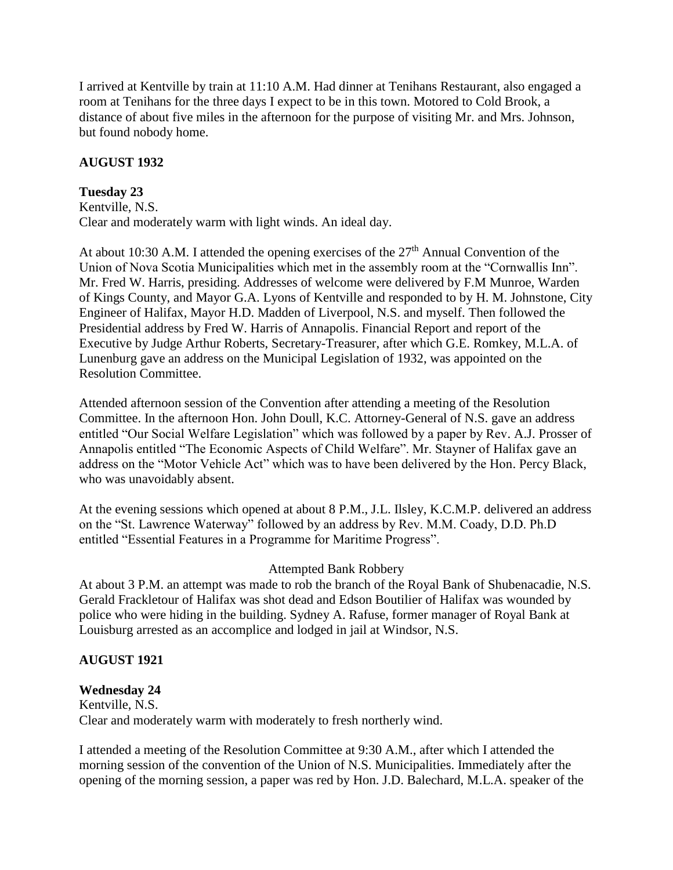I arrived at Kentville by train at 11:10 A.M. Had dinner at Tenihans Restaurant, also engaged a room at Tenihans for the three days I expect to be in this town. Motored to Cold Brook, a distance of about five miles in the afternoon for the purpose of visiting Mr. and Mrs. Johnson, but found nobody home.

### **AUGUST 1932**

# **Tuesday 23**

Kentville, N.S. Clear and moderately warm with light winds. An ideal day.

At about 10:30 A.M. I attended the opening exercises of the  $27<sup>th</sup>$  Annual Convention of the Union of Nova Scotia Municipalities which met in the assembly room at the "Cornwallis Inn". Mr. Fred W. Harris, presiding. Addresses of welcome were delivered by F.M Munroe, Warden of Kings County, and Mayor G.A. Lyons of Kentville and responded to by H. M. Johnstone, City Engineer of Halifax, Mayor H.D. Madden of Liverpool, N.S. and myself. Then followed the Presidential address by Fred W. Harris of Annapolis. Financial Report and report of the Executive by Judge Arthur Roberts, Secretary-Treasurer, after which G.E. Romkey, M.L.A. of Lunenburg gave an address on the Municipal Legislation of 1932, was appointed on the Resolution Committee.

Attended afternoon session of the Convention after attending a meeting of the Resolution Committee. In the afternoon Hon. John Doull, K.C. Attorney-General of N.S. gave an address entitled "Our Social Welfare Legislation" which was followed by a paper by Rev. A.J. Prosser of Annapolis entitled "The Economic Aspects of Child Welfare". Mr. Stayner of Halifax gave an address on the "Motor Vehicle Act" which was to have been delivered by the Hon. Percy Black, who was unavoidably absent.

At the evening sessions which opened at about 8 P.M., J.L. Ilsley, K.C.M.P. delivered an address on the "St. Lawrence Waterway" followed by an address by Rev. M.M. Coady, D.D. Ph.D entitled "Essential Features in a Programme for Maritime Progress".

#### Attempted Bank Robbery

At about 3 P.M. an attempt was made to rob the branch of the Royal Bank of Shubenacadie, N.S. Gerald Frackletour of Halifax was shot dead and Edson Boutilier of Halifax was wounded by police who were hiding in the building. Sydney A. Rafuse, former manager of Royal Bank at Louisburg arrested as an accomplice and lodged in jail at Windsor, N.S.

# **AUGUST 1921**

# **Wednesday 24**

Kentville, N.S. Clear and moderately warm with moderately to fresh northerly wind.

I attended a meeting of the Resolution Committee at 9:30 A.M., after which I attended the morning session of the convention of the Union of N.S. Municipalities. Immediately after the opening of the morning session, a paper was red by Hon. J.D. Balechard, M.L.A. speaker of the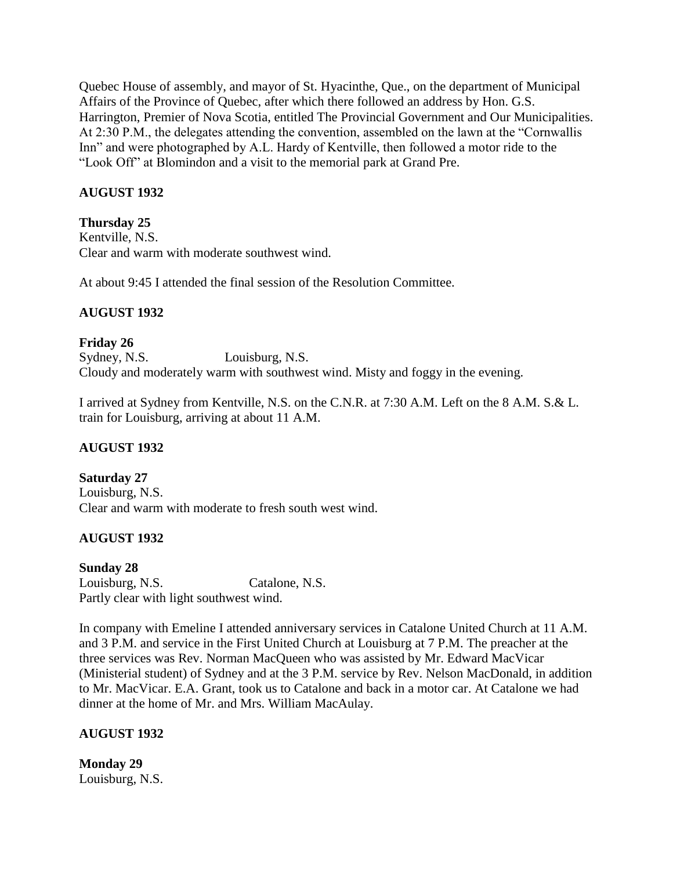Quebec House of assembly, and mayor of St. Hyacinthe, Que., on the department of Municipal Affairs of the Province of Quebec, after which there followed an address by Hon. G.S. Harrington, Premier of Nova Scotia, entitled The Provincial Government and Our Municipalities. At 2:30 P.M., the delegates attending the convention, assembled on the lawn at the "Cornwallis Inn" and were photographed by A.L. Hardy of Kentville, then followed a motor ride to the "Look Off" at Blomindon and a visit to the memorial park at Grand Pre.

# **AUGUST 1932**

# **Thursday 25**

Kentville, N.S. Clear and warm with moderate southwest wind.

At about 9:45 I attended the final session of the Resolution Committee.

# **AUGUST 1932**

# **Friday 26**

Sydney, N.S. Louisburg, N.S. Cloudy and moderately warm with southwest wind. Misty and foggy in the evening.

I arrived at Sydney from Kentville, N.S. on the C.N.R. at 7:30 A.M. Left on the 8 A.M. S.& L. train for Louisburg, arriving at about 11 A.M.

# **AUGUST 1932**

# **Saturday 27**

Louisburg, N.S. Clear and warm with moderate to fresh south west wind.

# **AUGUST 1932**

# **Sunday 28**

Louisburg, N.S. Catalone, N.S. Partly clear with light southwest wind.

In company with Emeline I attended anniversary services in Catalone United Church at 11 A.M. and 3 P.M. and service in the First United Church at Louisburg at 7 P.M. The preacher at the three services was Rev. Norman MacQueen who was assisted by Mr. Edward MacVicar (Ministerial student) of Sydney and at the 3 P.M. service by Rev. Nelson MacDonald, in addition to Mr. MacVicar. E.A. Grant, took us to Catalone and back in a motor car. At Catalone we had dinner at the home of Mr. and Mrs. William MacAulay.

# **AUGUST 1932**

**Monday 29** Louisburg, N.S.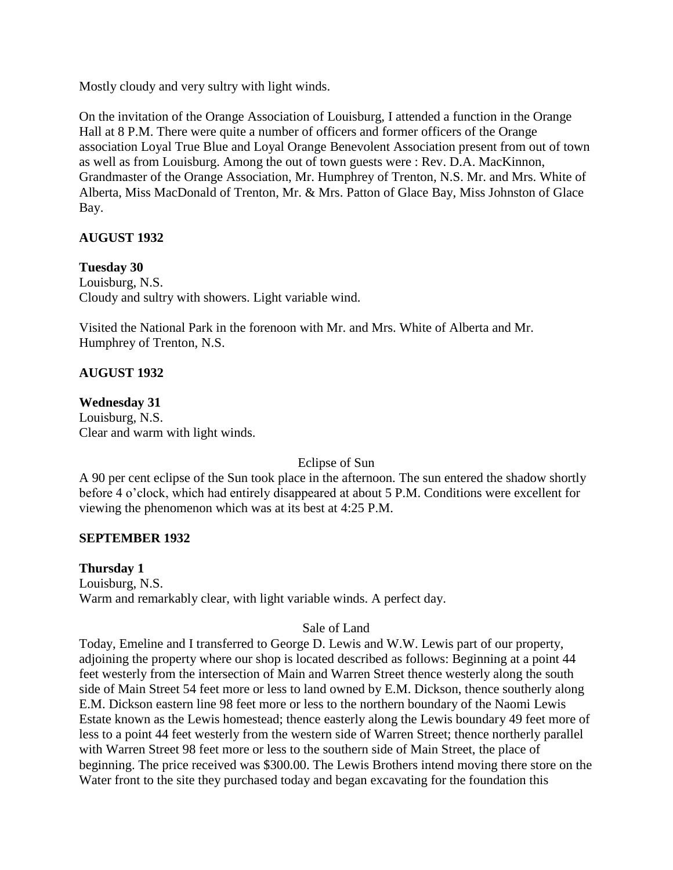Mostly cloudy and very sultry with light winds.

On the invitation of the Orange Association of Louisburg, I attended a function in the Orange Hall at 8 P.M. There were quite a number of officers and former officers of the Orange association Loyal True Blue and Loyal Orange Benevolent Association present from out of town as well as from Louisburg. Among the out of town guests were : Rev. D.A. MacKinnon, Grandmaster of the Orange Association, Mr. Humphrey of Trenton, N.S. Mr. and Mrs. White of Alberta, Miss MacDonald of Trenton, Mr. & Mrs. Patton of Glace Bay, Miss Johnston of Glace Bay.

# **AUGUST 1932**

**Tuesday 30** Louisburg, N.S. Cloudy and sultry with showers. Light variable wind.

Visited the National Park in the forenoon with Mr. and Mrs. White of Alberta and Mr. Humphrey of Trenton, N.S.

# **AUGUST 1932**

**Wednesday 31** Louisburg, N.S. Clear and warm with light winds.

Eclipse of Sun

A 90 per cent eclipse of the Sun took place in the afternoon. The sun entered the shadow shortly before 4 o'clock, which had entirely disappeared at about 5 P.M. Conditions were excellent for viewing the phenomenon which was at its best at 4:25 P.M.

# **SEPTEMBER 1932**

**Thursday 1** Louisburg, N.S. Warm and remarkably clear, with light variable winds. A perfect day.

# Sale of Land

Today, Emeline and I transferred to George D. Lewis and W.W. Lewis part of our property, adjoining the property where our shop is located described as follows: Beginning at a point 44 feet westerly from the intersection of Main and Warren Street thence westerly along the south side of Main Street 54 feet more or less to land owned by E.M. Dickson, thence southerly along E.M. Dickson eastern line 98 feet more or less to the northern boundary of the Naomi Lewis Estate known as the Lewis homestead; thence easterly along the Lewis boundary 49 feet more of less to a point 44 feet westerly from the western side of Warren Street; thence northerly parallel with Warren Street 98 feet more or less to the southern side of Main Street, the place of beginning. The price received was \$300.00. The Lewis Brothers intend moving there store on the Water front to the site they purchased today and began excavating for the foundation this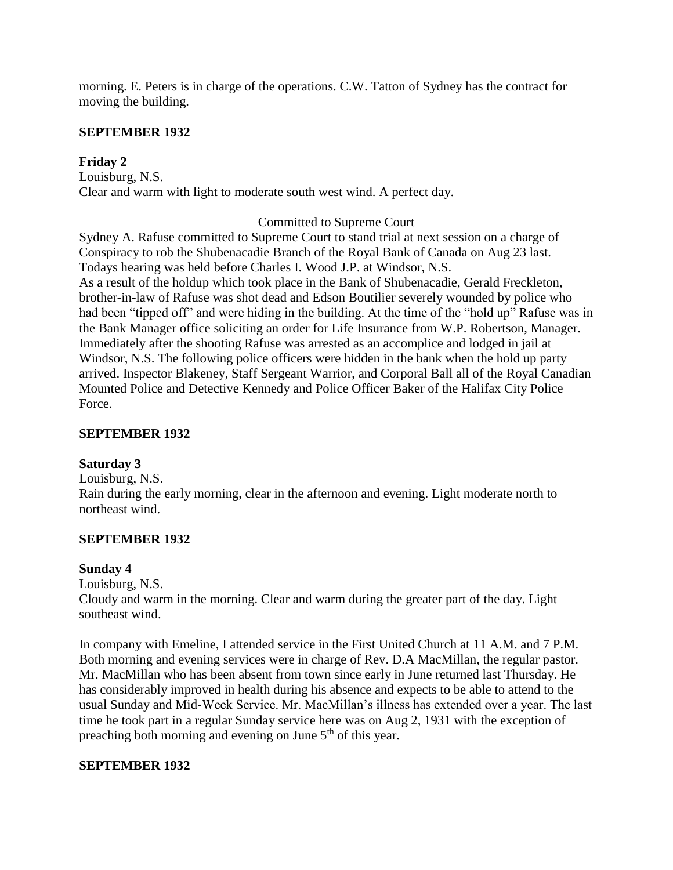morning. E. Peters is in charge of the operations. C.W. Tatton of Sydney has the contract for moving the building.

#### **SEPTEMBER 1932**

### **Friday 2**

Louisburg, N.S. Clear and warm with light to moderate south west wind. A perfect day.

#### Committed to Supreme Court

Sydney A. Rafuse committed to Supreme Court to stand trial at next session on a charge of Conspiracy to rob the Shubenacadie Branch of the Royal Bank of Canada on Aug 23 last. Todays hearing was held before Charles I. Wood J.P. at Windsor, N.S. As a result of the holdup which took place in the Bank of Shubenacadie, Gerald Freckleton, brother-in-law of Rafuse was shot dead and Edson Boutilier severely wounded by police who had been "tipped off" and were hiding in the building. At the time of the "hold up" Rafuse was in the Bank Manager office soliciting an order for Life Insurance from W.P. Robertson, Manager. Immediately after the shooting Rafuse was arrested as an accomplice and lodged in jail at Windsor, N.S. The following police officers were hidden in the bank when the hold up party arrived. Inspector Blakeney, Staff Sergeant Warrior, and Corporal Ball all of the Royal Canadian Mounted Police and Detective Kennedy and Police Officer Baker of the Halifax City Police Force.

#### **SEPTEMBER 1932**

#### **Saturday 3**

Louisburg, N.S. Rain during the early morning, clear in the afternoon and evening. Light moderate north to northeast wind.

#### **SEPTEMBER 1932**

#### **Sunday 4**

Louisburg, N.S.

Cloudy and warm in the morning. Clear and warm during the greater part of the day. Light southeast wind.

In company with Emeline, I attended service in the First United Church at 11 A.M. and 7 P.M. Both morning and evening services were in charge of Rev. D.A MacMillan, the regular pastor. Mr. MacMillan who has been absent from town since early in June returned last Thursday. He has considerably improved in health during his absence and expects to be able to attend to the usual Sunday and Mid-Week Service. Mr. MacMillan's illness has extended over a year. The last time he took part in a regular Sunday service here was on Aug 2, 1931 with the exception of preaching both morning and evening on June  $5<sup>th</sup>$  of this year.

#### **SEPTEMBER 1932**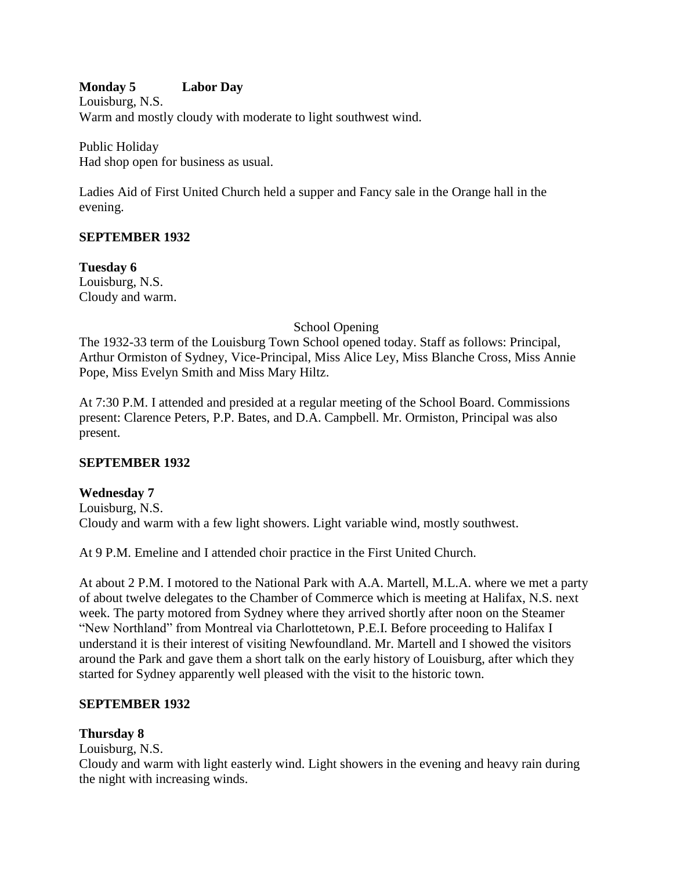# **Monday 5 Labor Day**

Louisburg, N.S. Warm and mostly cloudy with moderate to light southwest wind.

Public Holiday Had shop open for business as usual.

Ladies Aid of First United Church held a supper and Fancy sale in the Orange hall in the evening.

### **SEPTEMBER 1932**

**Tuesday 6** Louisburg, N.S. Cloudy and warm.

### School Opening

The 1932-33 term of the Louisburg Town School opened today. Staff as follows: Principal, Arthur Ormiston of Sydney, Vice-Principal, Miss Alice Ley, Miss Blanche Cross, Miss Annie Pope, Miss Evelyn Smith and Miss Mary Hiltz.

At 7:30 P.M. I attended and presided at a regular meeting of the School Board. Commissions present: Clarence Peters, P.P. Bates, and D.A. Campbell. Mr. Ormiston, Principal was also present.

# **SEPTEMBER 1932**

#### **Wednesday 7**

Louisburg, N.S. Cloudy and warm with a few light showers. Light variable wind, mostly southwest.

At 9 P.M. Emeline and I attended choir practice in the First United Church.

At about 2 P.M. I motored to the National Park with A.A. Martell, M.L.A. where we met a party of about twelve delegates to the Chamber of Commerce which is meeting at Halifax, N.S. next week. The party motored from Sydney where they arrived shortly after noon on the Steamer "New Northland" from Montreal via Charlottetown, P.E.I. Before proceeding to Halifax I understand it is their interest of visiting Newfoundland. Mr. Martell and I showed the visitors around the Park and gave them a short talk on the early history of Louisburg, after which they started for Sydney apparently well pleased with the visit to the historic town.

#### **SEPTEMBER 1932**

#### **Thursday 8**

Louisburg, N.S.

Cloudy and warm with light easterly wind. Light showers in the evening and heavy rain during the night with increasing winds.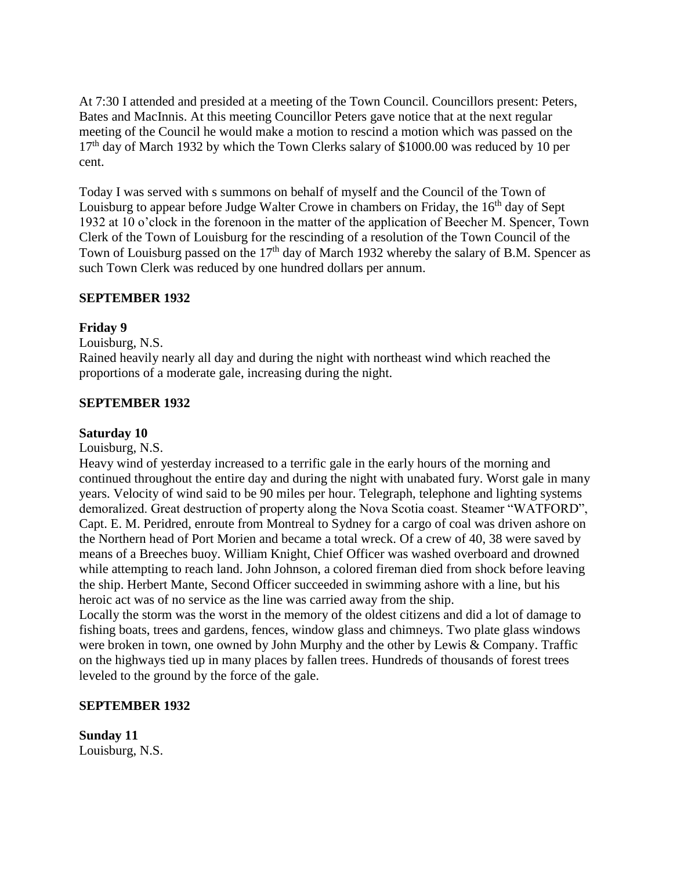At 7:30 I attended and presided at a meeting of the Town Council. Councillors present: Peters, Bates and MacInnis. At this meeting Councillor Peters gave notice that at the next regular meeting of the Council he would make a motion to rescind a motion which was passed on the 17<sup>th</sup> day of March 1932 by which the Town Clerks salary of \$1000.00 was reduced by 10 per cent.

Today I was served with s summons on behalf of myself and the Council of the Town of Louisburg to appear before Judge Walter Crowe in chambers on Friday, the 16<sup>th</sup> day of Sept 1932 at 10 o'clock in the forenoon in the matter of the application of Beecher M. Spencer, Town Clerk of the Town of Louisburg for the rescinding of a resolution of the Town Council of the Town of Louisburg passed on the 17<sup>th</sup> day of March 1932 whereby the salary of B.M. Spencer as such Town Clerk was reduced by one hundred dollars per annum.

### **SEPTEMBER 1932**

#### **Friday 9**

Louisburg, N.S.

Rained heavily nearly all day and during the night with northeast wind which reached the proportions of a moderate gale, increasing during the night.

#### **SEPTEMBER 1932**

#### **Saturday 10**

Louisburg, N.S.

Heavy wind of yesterday increased to a terrific gale in the early hours of the morning and continued throughout the entire day and during the night with unabated fury. Worst gale in many years. Velocity of wind said to be 90 miles per hour. Telegraph, telephone and lighting systems demoralized. Great destruction of property along the Nova Scotia coast. Steamer "WATFORD", Capt. E. M. Peridred, enroute from Montreal to Sydney for a cargo of coal was driven ashore on the Northern head of Port Morien and became a total wreck. Of a crew of 40, 38 were saved by means of a Breeches buoy. William Knight, Chief Officer was washed overboard and drowned while attempting to reach land. John Johnson, a colored fireman died from shock before leaving the ship. Herbert Mante, Second Officer succeeded in swimming ashore with a line, but his heroic act was of no service as the line was carried away from the ship.

Locally the storm was the worst in the memory of the oldest citizens and did a lot of damage to fishing boats, trees and gardens, fences, window glass and chimneys. Two plate glass windows were broken in town, one owned by John Murphy and the other by Lewis & Company. Traffic on the highways tied up in many places by fallen trees. Hundreds of thousands of forest trees leveled to the ground by the force of the gale.

#### **SEPTEMBER 1932**

**Sunday 11** Louisburg, N.S.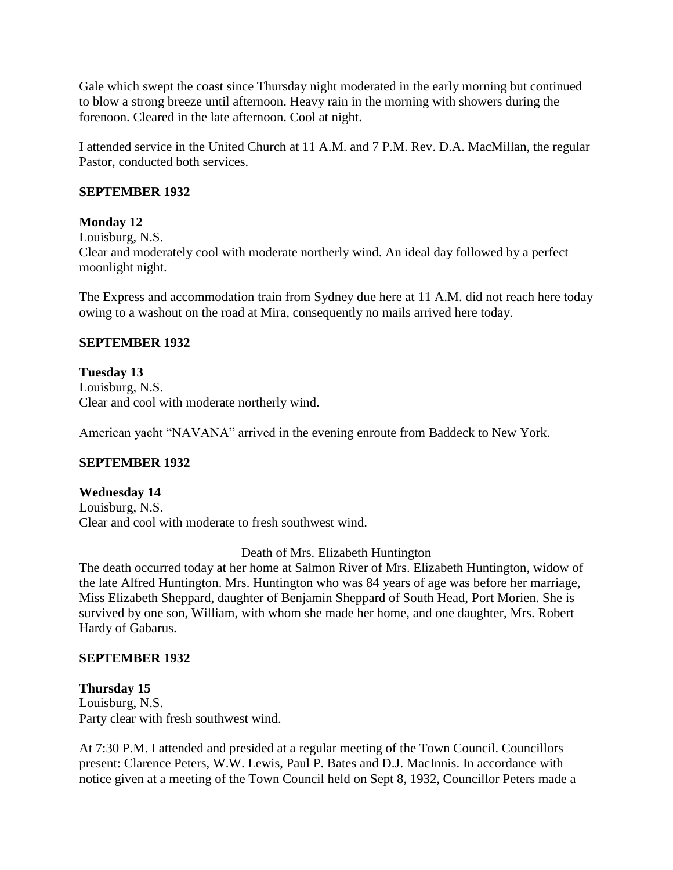Gale which swept the coast since Thursday night moderated in the early morning but continued to blow a strong breeze until afternoon. Heavy rain in the morning with showers during the forenoon. Cleared in the late afternoon. Cool at night.

I attended service in the United Church at 11 A.M. and 7 P.M. Rev. D.A. MacMillan, the regular Pastor, conducted both services.

### **SEPTEMBER 1932**

### **Monday 12**

Louisburg, N.S.

Clear and moderately cool with moderate northerly wind. An ideal day followed by a perfect moonlight night.

The Express and accommodation train from Sydney due here at 11 A.M. did not reach here today owing to a washout on the road at Mira, consequently no mails arrived here today.

### **SEPTEMBER 1932**

# **Tuesday 13**

Louisburg, N.S. Clear and cool with moderate northerly wind.

American yacht "NAVANA" arrived in the evening enroute from Baddeck to New York.

# **SEPTEMBER 1932**

# **Wednesday 14**

Louisburg, N.S. Clear and cool with moderate to fresh southwest wind.

#### Death of Mrs. Elizabeth Huntington

The death occurred today at her home at Salmon River of Mrs. Elizabeth Huntington, widow of the late Alfred Huntington. Mrs. Huntington who was 84 years of age was before her marriage, Miss Elizabeth Sheppard, daughter of Benjamin Sheppard of South Head, Port Morien. She is survived by one son, William, with whom she made her home, and one daughter, Mrs. Robert Hardy of Gabarus.

# **SEPTEMBER 1932**

**Thursday 15** Louisburg, N.S. Party clear with fresh southwest wind.

At 7:30 P.M. I attended and presided at a regular meeting of the Town Council. Councillors present: Clarence Peters, W.W. Lewis, Paul P. Bates and D.J. MacInnis. In accordance with notice given at a meeting of the Town Council held on Sept 8, 1932, Councillor Peters made a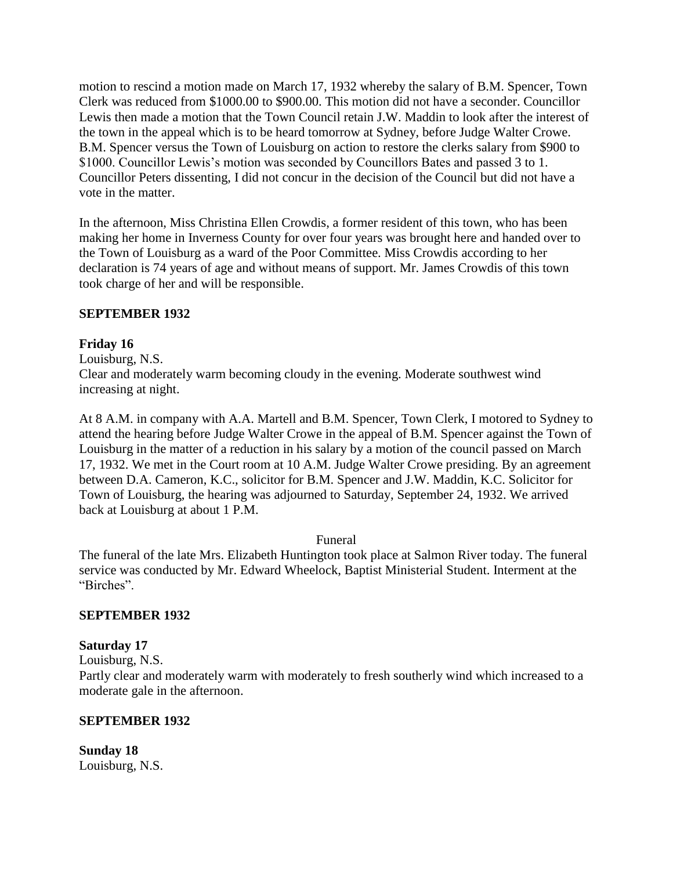motion to rescind a motion made on March 17, 1932 whereby the salary of B.M. Spencer, Town Clerk was reduced from \$1000.00 to \$900.00. This motion did not have a seconder. Councillor Lewis then made a motion that the Town Council retain J.W. Maddin to look after the interest of the town in the appeal which is to be heard tomorrow at Sydney, before Judge Walter Crowe. B.M. Spencer versus the Town of Louisburg on action to restore the clerks salary from \$900 to \$1000. Councillor Lewis's motion was seconded by Councillors Bates and passed 3 to 1. Councillor Peters dissenting, I did not concur in the decision of the Council but did not have a vote in the matter.

In the afternoon, Miss Christina Ellen Crowdis, a former resident of this town, who has been making her home in Inverness County for over four years was brought here and handed over to the Town of Louisburg as a ward of the Poor Committee. Miss Crowdis according to her declaration is 74 years of age and without means of support. Mr. James Crowdis of this town took charge of her and will be responsible.

# **SEPTEMBER 1932**

# **Friday 16**

Louisburg, N.S.

Clear and moderately warm becoming cloudy in the evening. Moderate southwest wind increasing at night.

At 8 A.M. in company with A.A. Martell and B.M. Spencer, Town Clerk, I motored to Sydney to attend the hearing before Judge Walter Crowe in the appeal of B.M. Spencer against the Town of Louisburg in the matter of a reduction in his salary by a motion of the council passed on March 17, 1932. We met in the Court room at 10 A.M. Judge Walter Crowe presiding. By an agreement between D.A. Cameron, K.C., solicitor for B.M. Spencer and J.W. Maddin, K.C. Solicitor for Town of Louisburg, the hearing was adjourned to Saturday, September 24, 1932. We arrived back at Louisburg at about 1 P.M.

#### Funeral

The funeral of the late Mrs. Elizabeth Huntington took place at Salmon River today. The funeral service was conducted by Mr. Edward Wheelock, Baptist Ministerial Student. Interment at the "Birches".

# **SEPTEMBER 1932**

# **Saturday 17**

Louisburg, N.S.

Partly clear and moderately warm with moderately to fresh southerly wind which increased to a moderate gale in the afternoon.

#### **SEPTEMBER 1932**

**Sunday 18** Louisburg, N.S.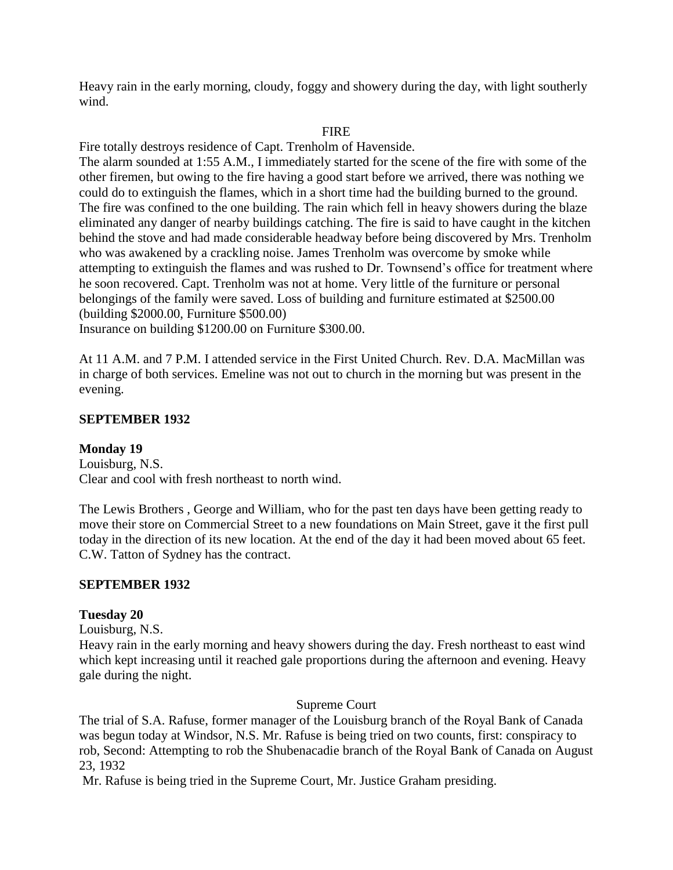Heavy rain in the early morning, cloudy, foggy and showery during the day, with light southerly wind.

#### FIRE

Fire totally destroys residence of Capt. Trenholm of Havenside.

The alarm sounded at 1:55 A.M., I immediately started for the scene of the fire with some of the other firemen, but owing to the fire having a good start before we arrived, there was nothing we could do to extinguish the flames, which in a short time had the building burned to the ground. The fire was confined to the one building. The rain which fell in heavy showers during the blaze eliminated any danger of nearby buildings catching. The fire is said to have caught in the kitchen behind the stove and had made considerable headway before being discovered by Mrs. Trenholm who was awakened by a crackling noise. James Trenholm was overcome by smoke while attempting to extinguish the flames and was rushed to Dr. Townsend's office for treatment where he soon recovered. Capt. Trenholm was not at home. Very little of the furniture or personal belongings of the family were saved. Loss of building and furniture estimated at \$2500.00 (building \$2000.00, Furniture \$500.00)

Insurance on building \$1200.00 on Furniture \$300.00.

At 11 A.M. and 7 P.M. I attended service in the First United Church. Rev. D.A. MacMillan was in charge of both services. Emeline was not out to church in the morning but was present in the evening.

#### **SEPTEMBER 1932**

#### **Monday 19**

Louisburg, N.S. Clear and cool with fresh northeast to north wind.

The Lewis Brothers , George and William, who for the past ten days have been getting ready to move their store on Commercial Street to a new foundations on Main Street, gave it the first pull today in the direction of its new location. At the end of the day it had been moved about 65 feet. C.W. Tatton of Sydney has the contract.

#### **SEPTEMBER 1932**

#### **Tuesday 20**

Louisburg, N.S.

Heavy rain in the early morning and heavy showers during the day. Fresh northeast to east wind which kept increasing until it reached gale proportions during the afternoon and evening. Heavy gale during the night.

#### Supreme Court

The trial of S.A. Rafuse, former manager of the Louisburg branch of the Royal Bank of Canada was begun today at Windsor, N.S. Mr. Rafuse is being tried on two counts, first: conspiracy to rob, Second: Attempting to rob the Shubenacadie branch of the Royal Bank of Canada on August 23, 1932

Mr. Rafuse is being tried in the Supreme Court, Mr. Justice Graham presiding.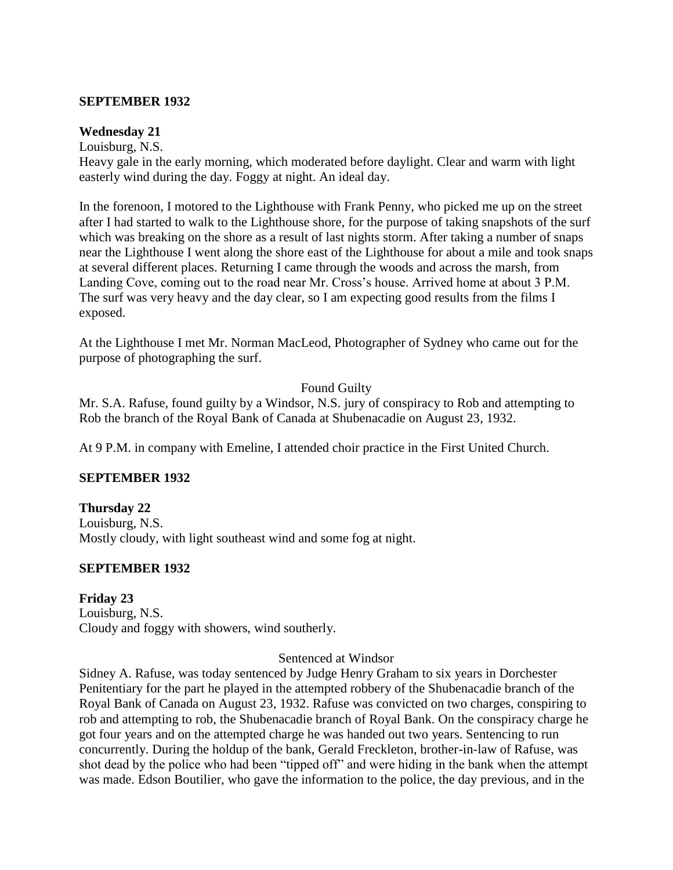#### **SEPTEMBER 1932**

#### **Wednesday 21**

Louisburg, N.S.

Heavy gale in the early morning, which moderated before daylight. Clear and warm with light easterly wind during the day. Foggy at night. An ideal day.

In the forenoon, I motored to the Lighthouse with Frank Penny, who picked me up on the street after I had started to walk to the Lighthouse shore, for the purpose of taking snapshots of the surf which was breaking on the shore as a result of last nights storm. After taking a number of snaps near the Lighthouse I went along the shore east of the Lighthouse for about a mile and took snaps at several different places. Returning I came through the woods and across the marsh, from Landing Cove, coming out to the road near Mr. Cross's house. Arrived home at about 3 P.M. The surf was very heavy and the day clear, so I am expecting good results from the films I exposed.

At the Lighthouse I met Mr. Norman MacLeod, Photographer of Sydney who came out for the purpose of photographing the surf.

#### Found Guilty

Mr. S.A. Rafuse, found guilty by a Windsor, N.S. jury of conspiracy to Rob and attempting to Rob the branch of the Royal Bank of Canada at Shubenacadie on August 23, 1932.

At 9 P.M. in company with Emeline, I attended choir practice in the First United Church.

# **SEPTEMBER 1932**

**Thursday 22** Louisburg, N.S. Mostly cloudy, with light southeast wind and some fog at night.

# **SEPTEMBER 1932**

**Friday 23** Louisburg, N.S. Cloudy and foggy with showers, wind southerly.

#### Sentenced at Windsor

Sidney A. Rafuse, was today sentenced by Judge Henry Graham to six years in Dorchester Penitentiary for the part he played in the attempted robbery of the Shubenacadie branch of the Royal Bank of Canada on August 23, 1932. Rafuse was convicted on two charges, conspiring to rob and attempting to rob, the Shubenacadie branch of Royal Bank. On the conspiracy charge he got four years and on the attempted charge he was handed out two years. Sentencing to run concurrently. During the holdup of the bank, Gerald Freckleton, brother-in-law of Rafuse, was shot dead by the police who had been "tipped off" and were hiding in the bank when the attempt was made. Edson Boutilier, who gave the information to the police, the day previous, and in the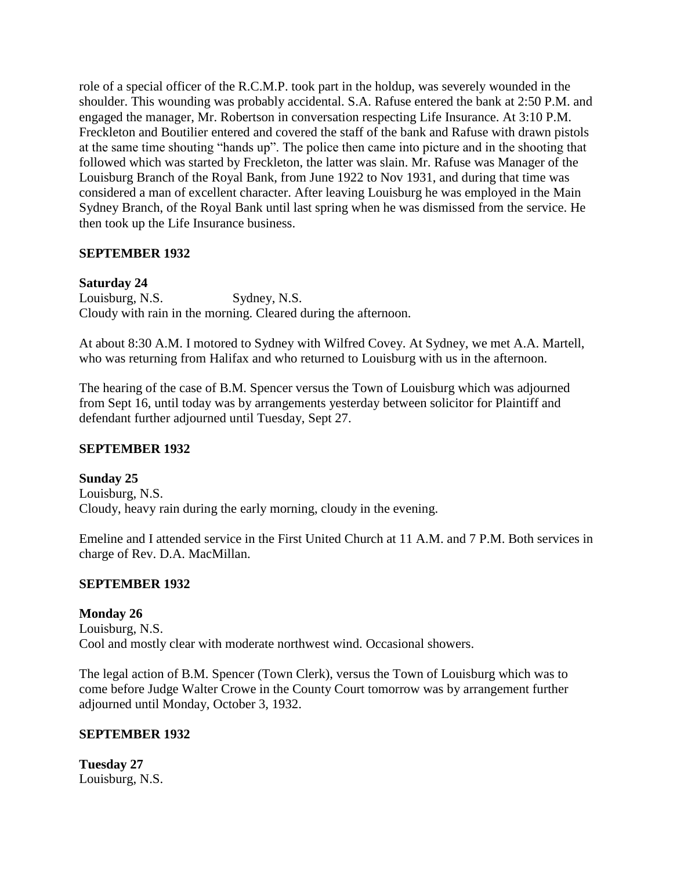role of a special officer of the R.C.M.P. took part in the holdup, was severely wounded in the shoulder. This wounding was probably accidental. S.A. Rafuse entered the bank at 2:50 P.M. and engaged the manager, Mr. Robertson in conversation respecting Life Insurance. At 3:10 P.M. Freckleton and Boutilier entered and covered the staff of the bank and Rafuse with drawn pistols at the same time shouting "hands up". The police then came into picture and in the shooting that followed which was started by Freckleton, the latter was slain. Mr. Rafuse was Manager of the Louisburg Branch of the Royal Bank, from June 1922 to Nov 1931, and during that time was considered a man of excellent character. After leaving Louisburg he was employed in the Main Sydney Branch, of the Royal Bank until last spring when he was dismissed from the service. He then took up the Life Insurance business.

# **SEPTEMBER 1932**

# **Saturday 24**

Louisburg, N.S. Sydney, N.S. Cloudy with rain in the morning. Cleared during the afternoon.

At about 8:30 A.M. I motored to Sydney with Wilfred Covey. At Sydney, we met A.A. Martell, who was returning from Halifax and who returned to Louisburg with us in the afternoon.

The hearing of the case of B.M. Spencer versus the Town of Louisburg which was adjourned from Sept 16, until today was by arrangements yesterday between solicitor for Plaintiff and defendant further adjourned until Tuesday, Sept 27.

# **SEPTEMBER 1932**

**Sunday 25** Louisburg, N.S. Cloudy, heavy rain during the early morning, cloudy in the evening.

Emeline and I attended service in the First United Church at 11 A.M. and 7 P.M. Both services in charge of Rev. D.A. MacMillan.

# **SEPTEMBER 1932**

# **Monday 26**

Louisburg, N.S. Cool and mostly clear with moderate northwest wind. Occasional showers.

The legal action of B.M. Spencer (Town Clerk), versus the Town of Louisburg which was to come before Judge Walter Crowe in the County Court tomorrow was by arrangement further adjourned until Monday, October 3, 1932.

# **SEPTEMBER 1932**

**Tuesday 27** Louisburg, N.S.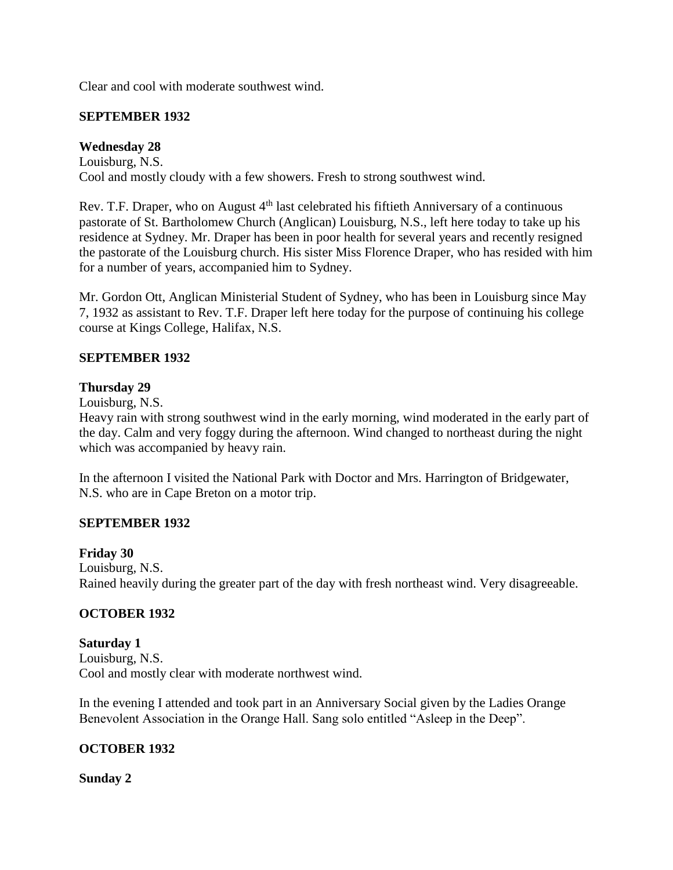Clear and cool with moderate southwest wind.

### **SEPTEMBER 1932**

### **Wednesday 28**

Louisburg, N.S. Cool and mostly cloudy with a few showers. Fresh to strong southwest wind.

Rev. T.F. Draper, who on August  $4<sup>th</sup>$  last celebrated his fiftieth Anniversary of a continuous pastorate of St. Bartholomew Church (Anglican) Louisburg, N.S., left here today to take up his residence at Sydney. Mr. Draper has been in poor health for several years and recently resigned the pastorate of the Louisburg church. His sister Miss Florence Draper, who has resided with him for a number of years, accompanied him to Sydney.

Mr. Gordon Ott, Anglican Ministerial Student of Sydney, who has been in Louisburg since May 7, 1932 as assistant to Rev. T.F. Draper left here today for the purpose of continuing his college course at Kings College, Halifax, N.S.

### **SEPTEMBER 1932**

#### **Thursday 29**

Louisburg, N.S.

Heavy rain with strong southwest wind in the early morning, wind moderated in the early part of the day. Calm and very foggy during the afternoon. Wind changed to northeast during the night which was accompanied by heavy rain.

In the afternoon I visited the National Park with Doctor and Mrs. Harrington of Bridgewater, N.S. who are in Cape Breton on a motor trip.

#### **SEPTEMBER 1932**

#### **Friday 30**

Louisburg, N.S. Rained heavily during the greater part of the day with fresh northeast wind. Very disagreeable.

#### **OCTOBER 1932**

**Saturday 1** Louisburg, N.S. Cool and mostly clear with moderate northwest wind.

In the evening I attended and took part in an Anniversary Social given by the Ladies Orange Benevolent Association in the Orange Hall. Sang solo entitled "Asleep in the Deep".

#### **OCTOBER 1932**

#### **Sunday 2**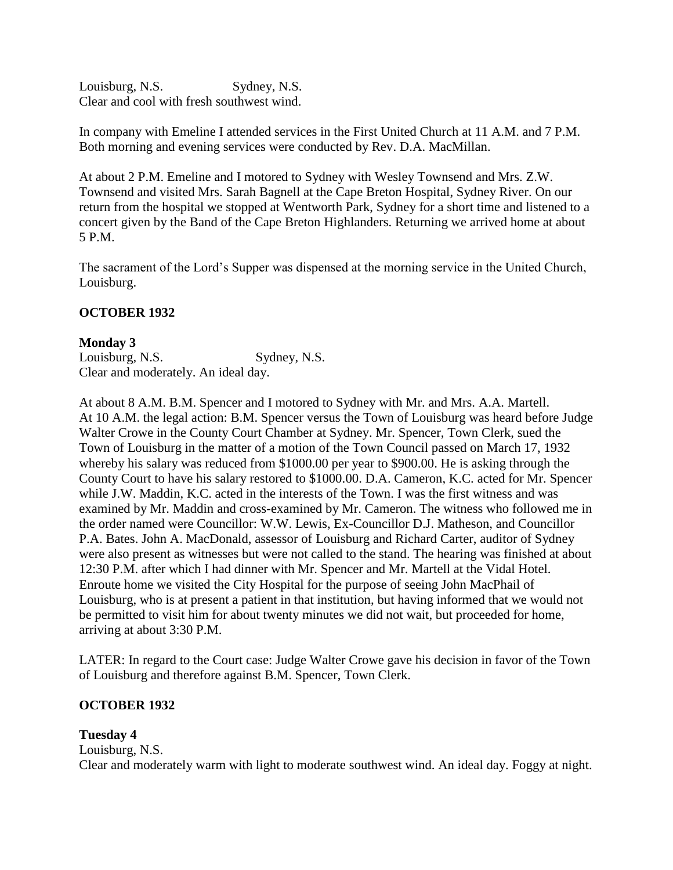Louisburg, N.S. Sydney, N.S. Clear and cool with fresh southwest wind.

In company with Emeline I attended services in the First United Church at 11 A.M. and 7 P.M. Both morning and evening services were conducted by Rev. D.A. MacMillan.

At about 2 P.M. Emeline and I motored to Sydney with Wesley Townsend and Mrs. Z.W. Townsend and visited Mrs. Sarah Bagnell at the Cape Breton Hospital, Sydney River. On our return from the hospital we stopped at Wentworth Park, Sydney for a short time and listened to a concert given by the Band of the Cape Breton Highlanders. Returning we arrived home at about 5 P.M.

The sacrament of the Lord's Supper was dispensed at the morning service in the United Church, Louisburg.

# **OCTOBER 1932**

#### **Monday 3**

Louisburg, N.S. Sydney, N.S. Clear and moderately. An ideal day.

At about 8 A.M. B.M. Spencer and I motored to Sydney with Mr. and Mrs. A.A. Martell. At 10 A.M. the legal action: B.M. Spencer versus the Town of Louisburg was heard before Judge Walter Crowe in the County Court Chamber at Sydney. Mr. Spencer, Town Clerk, sued the Town of Louisburg in the matter of a motion of the Town Council passed on March 17, 1932 whereby his salary was reduced from \$1000.00 per year to \$900.00. He is asking through the County Court to have his salary restored to \$1000.00. D.A. Cameron, K.C. acted for Mr. Spencer while J.W. Maddin, K.C. acted in the interests of the Town. I was the first witness and was examined by Mr. Maddin and cross-examined by Mr. Cameron. The witness who followed me in the order named were Councillor: W.W. Lewis, Ex-Councillor D.J. Matheson, and Councillor P.A. Bates. John A. MacDonald, assessor of Louisburg and Richard Carter, auditor of Sydney were also present as witnesses but were not called to the stand. The hearing was finished at about 12:30 P.M. after which I had dinner with Mr. Spencer and Mr. Martell at the Vidal Hotel. Enroute home we visited the City Hospital for the purpose of seeing John MacPhail of Louisburg, who is at present a patient in that institution, but having informed that we would not be permitted to visit him for about twenty minutes we did not wait, but proceeded for home, arriving at about 3:30 P.M.

LATER: In regard to the Court case: Judge Walter Crowe gave his decision in favor of the Town of Louisburg and therefore against B.M. Spencer, Town Clerk.

# **OCTOBER 1932**

#### **Tuesday 4**

Louisburg, N.S. Clear and moderately warm with light to moderate southwest wind. An ideal day. Foggy at night.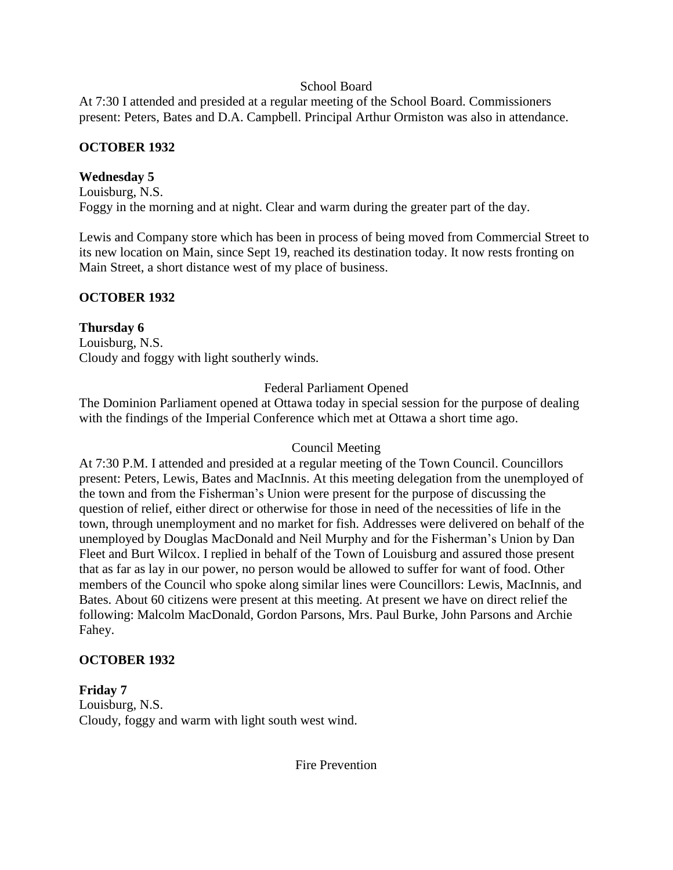### School Board

At 7:30 I attended and presided at a regular meeting of the School Board. Commissioners present: Peters, Bates and D.A. Campbell. Principal Arthur Ormiston was also in attendance.

# **OCTOBER 1932**

# **Wednesday 5**

Louisburg, N.S. Foggy in the morning and at night. Clear and warm during the greater part of the day.

Lewis and Company store which has been in process of being moved from Commercial Street to its new location on Main, since Sept 19, reached its destination today. It now rests fronting on Main Street, a short distance west of my place of business.

# **OCTOBER 1932**

**Thursday 6** Louisburg, N.S. Cloudy and foggy with light southerly winds.

Federal Parliament Opened

The Dominion Parliament opened at Ottawa today in special session for the purpose of dealing with the findings of the Imperial Conference which met at Ottawa a short time ago.

# Council Meeting

At 7:30 P.M. I attended and presided at a regular meeting of the Town Council. Councillors present: Peters, Lewis, Bates and MacInnis. At this meeting delegation from the unemployed of the town and from the Fisherman's Union were present for the purpose of discussing the question of relief, either direct or otherwise for those in need of the necessities of life in the town, through unemployment and no market for fish. Addresses were delivered on behalf of the unemployed by Douglas MacDonald and Neil Murphy and for the Fisherman's Union by Dan Fleet and Burt Wilcox. I replied in behalf of the Town of Louisburg and assured those present that as far as lay in our power, no person would be allowed to suffer for want of food. Other members of the Council who spoke along similar lines were Councillors: Lewis, MacInnis, and Bates. About 60 citizens were present at this meeting. At present we have on direct relief the following: Malcolm MacDonald, Gordon Parsons, Mrs. Paul Burke, John Parsons and Archie Fahey.

# **OCTOBER 1932**

**Friday 7** Louisburg, N.S. Cloudy, foggy and warm with light south west wind.

Fire Prevention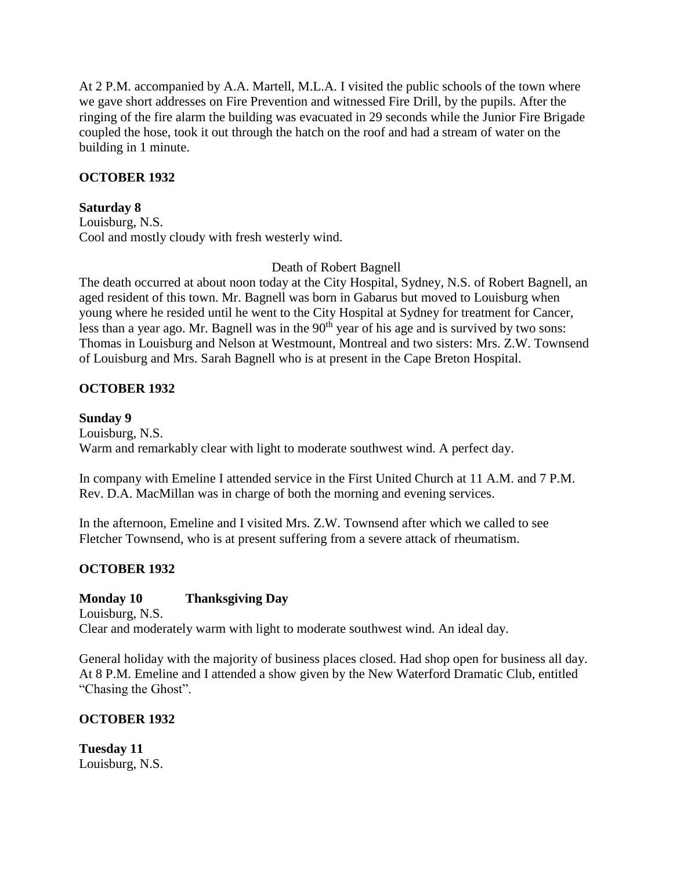At 2 P.M. accompanied by A.A. Martell, M.L.A. I visited the public schools of the town where we gave short addresses on Fire Prevention and witnessed Fire Drill, by the pupils. After the ringing of the fire alarm the building was evacuated in 29 seconds while the Junior Fire Brigade coupled the hose, took it out through the hatch on the roof and had a stream of water on the building in 1 minute.

# **OCTOBER 1932**

### **Saturday 8**

Louisburg, N.S. Cool and mostly cloudy with fresh westerly wind.

### Death of Robert Bagnell

The death occurred at about noon today at the City Hospital, Sydney, N.S. of Robert Bagnell, an aged resident of this town. Mr. Bagnell was born in Gabarus but moved to Louisburg when young where he resided until he went to the City Hospital at Sydney for treatment for Cancer, less than a year ago. Mr. Bagnell was in the  $90<sup>th</sup>$  year of his age and is survived by two sons: Thomas in Louisburg and Nelson at Westmount, Montreal and two sisters: Mrs. Z.W. Townsend of Louisburg and Mrs. Sarah Bagnell who is at present in the Cape Breton Hospital.

# **OCTOBER 1932**

### **Sunday 9**

Louisburg, N.S. Warm and remarkably clear with light to moderate southwest wind. A perfect day.

In company with Emeline I attended service in the First United Church at 11 A.M. and 7 P.M. Rev. D.A. MacMillan was in charge of both the morning and evening services.

In the afternoon, Emeline and I visited Mrs. Z.W. Townsend after which we called to see Fletcher Townsend, who is at present suffering from a severe attack of rheumatism.

# **OCTOBER 1932**

# **Monday 10 Thanksgiving Day**

Louisburg, N.S. Clear and moderately warm with light to moderate southwest wind. An ideal day.

General holiday with the majority of business places closed. Had shop open for business all day. At 8 P.M. Emeline and I attended a show given by the New Waterford Dramatic Club, entitled "Chasing the Ghost".

# **OCTOBER 1932**

**Tuesday 11** Louisburg, N.S.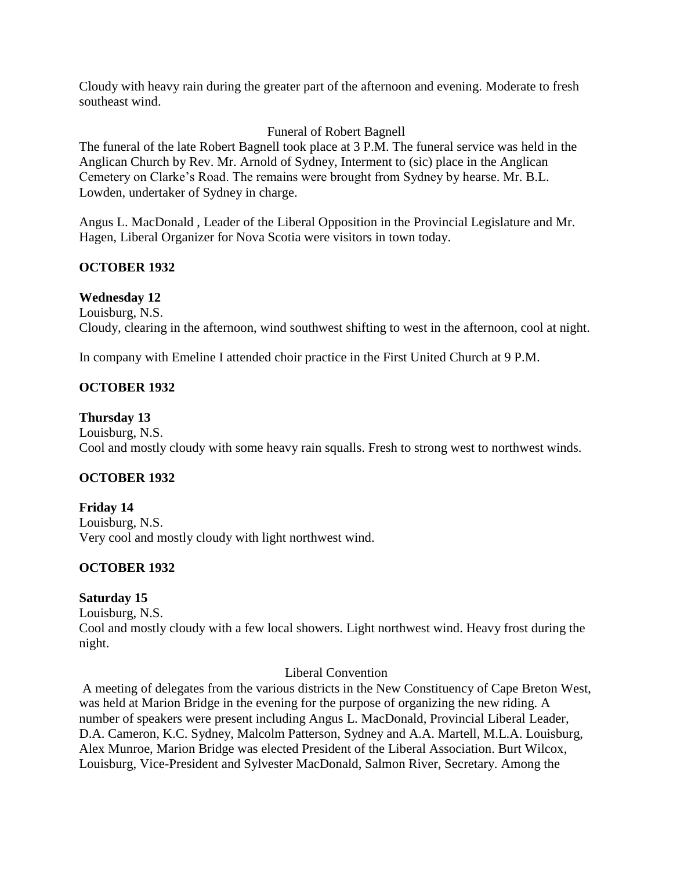Cloudy with heavy rain during the greater part of the afternoon and evening. Moderate to fresh southeast wind.

### Funeral of Robert Bagnell

The funeral of the late Robert Bagnell took place at 3 P.M. The funeral service was held in the Anglican Church by Rev. Mr. Arnold of Sydney, Interment to (sic) place in the Anglican Cemetery on Clarke's Road. The remains were brought from Sydney by hearse. Mr. B.L. Lowden, undertaker of Sydney in charge.

Angus L. MacDonald , Leader of the Liberal Opposition in the Provincial Legislature and Mr. Hagen, Liberal Organizer for Nova Scotia were visitors in town today.

### **OCTOBER 1932**

### **Wednesday 12**

Louisburg, N.S. Cloudy, clearing in the afternoon, wind southwest shifting to west in the afternoon, cool at night.

In company with Emeline I attended choir practice in the First United Church at 9 P.M.

# **OCTOBER 1932**

#### **Thursday 13**

Louisburg, N.S. Cool and mostly cloudy with some heavy rain squalls. Fresh to strong west to northwest winds.

# **OCTOBER 1932**

**Friday 14** Louisburg, N.S. Very cool and mostly cloudy with light northwest wind.

# **OCTOBER 1932**

# **Saturday 15**

Louisburg, N.S. Cool and mostly cloudy with a few local showers. Light northwest wind. Heavy frost during the night.

#### Liberal Convention

A meeting of delegates from the various districts in the New Constituency of Cape Breton West, was held at Marion Bridge in the evening for the purpose of organizing the new riding. A number of speakers were present including Angus L. MacDonald, Provincial Liberal Leader, D.A. Cameron, K.C. Sydney, Malcolm Patterson, Sydney and A.A. Martell, M.L.A. Louisburg, Alex Munroe, Marion Bridge was elected President of the Liberal Association. Burt Wilcox, Louisburg, Vice-President and Sylvester MacDonald, Salmon River, Secretary. Among the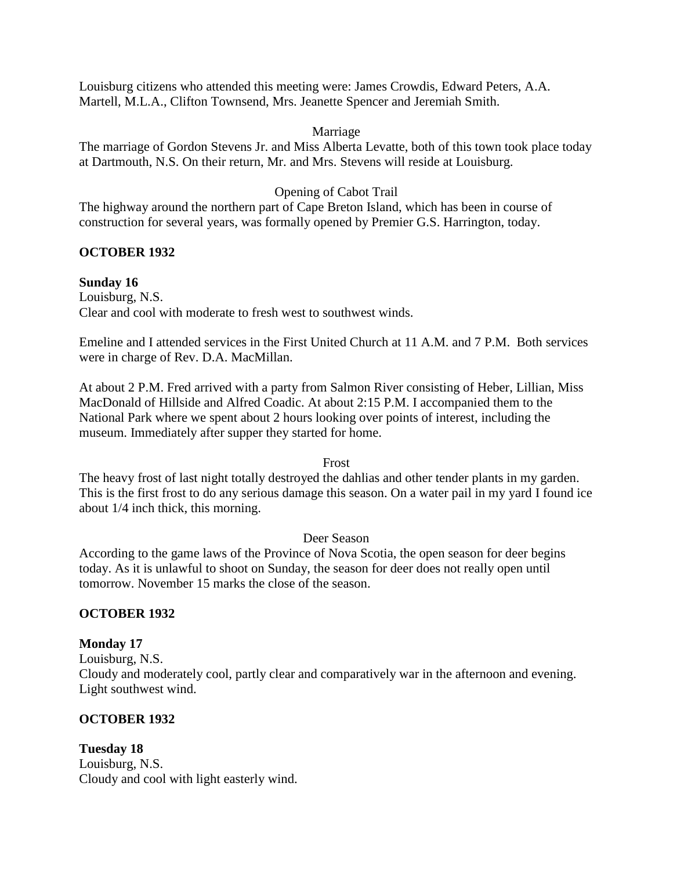Louisburg citizens who attended this meeting were: James Crowdis, Edward Peters, A.A. Martell, M.L.A., Clifton Townsend, Mrs. Jeanette Spencer and Jeremiah Smith.

#### Marriage

The marriage of Gordon Stevens Jr. and Miss Alberta Levatte, both of this town took place today at Dartmouth, N.S. On their return, Mr. and Mrs. Stevens will reside at Louisburg.

### Opening of Cabot Trail

The highway around the northern part of Cape Breton Island, which has been in course of construction for several years, was formally opened by Premier G.S. Harrington, today.

### **OCTOBER 1932**

#### **Sunday 16**

Louisburg, N.S. Clear and cool with moderate to fresh west to southwest winds.

Emeline and I attended services in the First United Church at 11 A.M. and 7 P.M. Both services were in charge of Rev. D.A. MacMillan.

At about 2 P.M. Fred arrived with a party from Salmon River consisting of Heber, Lillian, Miss MacDonald of Hillside and Alfred Coadic. At about 2:15 P.M. I accompanied them to the National Park where we spent about 2 hours looking over points of interest, including the museum. Immediately after supper they started for home.

#### Frost

The heavy frost of last night totally destroyed the dahlias and other tender plants in my garden. This is the first frost to do any serious damage this season. On a water pail in my yard I found ice about 1/4 inch thick, this morning.

#### Deer Season

According to the game laws of the Province of Nova Scotia, the open season for deer begins today. As it is unlawful to shoot on Sunday, the season for deer does not really open until tomorrow. November 15 marks the close of the season.

# **OCTOBER 1932**

# **Monday 17**

Louisburg, N.S. Cloudy and moderately cool, partly clear and comparatively war in the afternoon and evening. Light southwest wind.

# **OCTOBER 1932**

**Tuesday 18** Louisburg, N.S. Cloudy and cool with light easterly wind.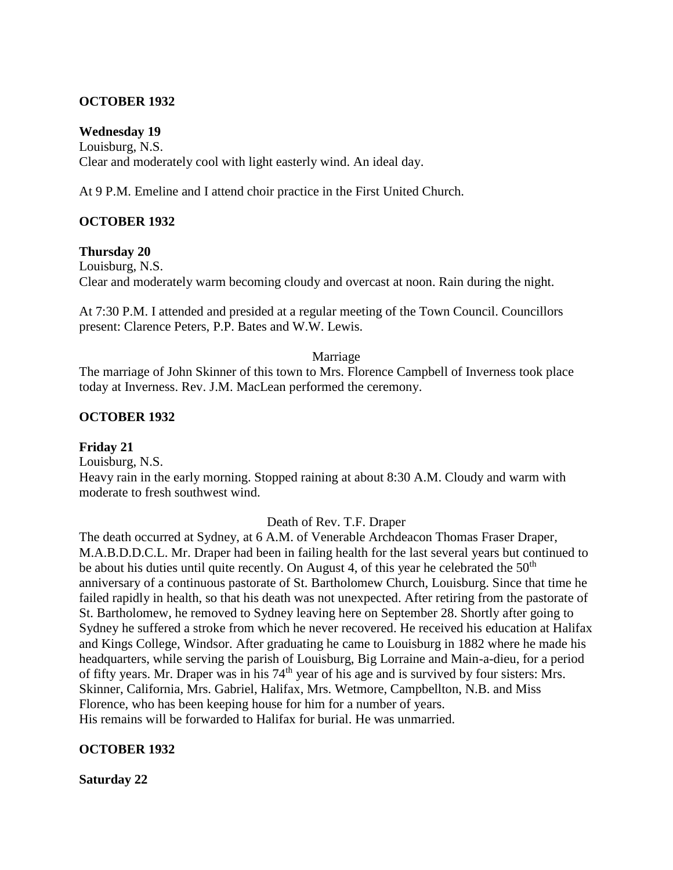### **OCTOBER 1932**

#### **Wednesday 19**

Louisburg, N.S. Clear and moderately cool with light easterly wind. An ideal day.

At 9 P.M. Emeline and I attend choir practice in the First United Church.

### **OCTOBER 1932**

#### **Thursday 20**

Louisburg, N.S. Clear and moderately warm becoming cloudy and overcast at noon. Rain during the night.

At 7:30 P.M. I attended and presided at a regular meeting of the Town Council. Councillors present: Clarence Peters, P.P. Bates and W.W. Lewis.

#### Marriage

The marriage of John Skinner of this town to Mrs. Florence Campbell of Inverness took place today at Inverness. Rev. J.M. MacLean performed the ceremony.

#### **OCTOBER 1932**

#### **Friday 21**

Louisburg, N.S.

Heavy rain in the early morning. Stopped raining at about 8:30 A.M. Cloudy and warm with moderate to fresh southwest wind.

#### Death of Rev. T.F. Draper

The death occurred at Sydney, at 6 A.M. of Venerable Archdeacon Thomas Fraser Draper, M.A.B.D.D.C.L. Mr. Draper had been in failing health for the last several years but continued to be about his duties until quite recently. On August 4, of this year he celebrated the  $50<sup>th</sup>$ anniversary of a continuous pastorate of St. Bartholomew Church, Louisburg. Since that time he failed rapidly in health, so that his death was not unexpected. After retiring from the pastorate of St. Bartholomew, he removed to Sydney leaving here on September 28. Shortly after going to Sydney he suffered a stroke from which he never recovered. He received his education at Halifax and Kings College, Windsor. After graduating he came to Louisburg in 1882 where he made his headquarters, while serving the parish of Louisburg, Big Lorraine and Main-a-dieu, for a period of fifty years. Mr. Draper was in his 74<sup>th</sup> year of his age and is survived by four sisters: Mrs. Skinner, California, Mrs. Gabriel, Halifax, Mrs. Wetmore, Campbellton, N.B. and Miss Florence, who has been keeping house for him for a number of years. His remains will be forwarded to Halifax for burial. He was unmarried.

#### **OCTOBER 1932**

#### **Saturday 22**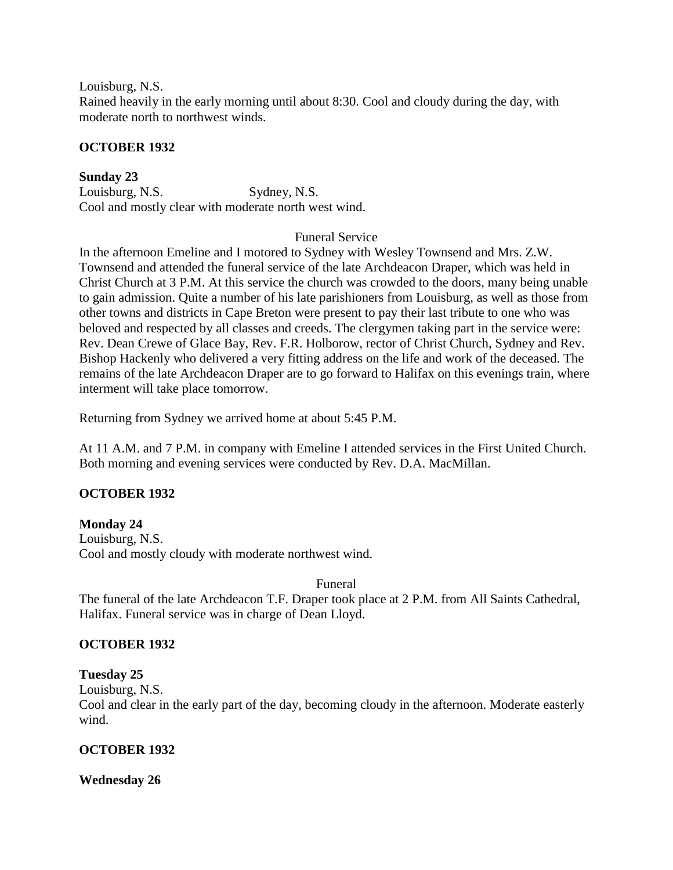Louisburg, N.S. Rained heavily in the early morning until about 8:30. Cool and cloudy during the day, with moderate north to northwest winds.

### **OCTOBER 1932**

**Sunday 23** Louisburg, N.S. Sydney, N.S. Cool and mostly clear with moderate north west wind.

#### Funeral Service

In the afternoon Emeline and I motored to Sydney with Wesley Townsend and Mrs. Z.W. Townsend and attended the funeral service of the late Archdeacon Draper, which was held in Christ Church at 3 P.M. At this service the church was crowded to the doors, many being unable to gain admission. Quite a number of his late parishioners from Louisburg, as well as those from other towns and districts in Cape Breton were present to pay their last tribute to one who was beloved and respected by all classes and creeds. The clergymen taking part in the service were: Rev. Dean Crewe of Glace Bay, Rev. F.R. Holborow, rector of Christ Church, Sydney and Rev. Bishop Hackenly who delivered a very fitting address on the life and work of the deceased. The remains of the late Archdeacon Draper are to go forward to Halifax on this evenings train, where interment will take place tomorrow.

Returning from Sydney we arrived home at about 5:45 P.M.

At 11 A.M. and 7 P.M. in company with Emeline I attended services in the First United Church. Both morning and evening services were conducted by Rev. D.A. MacMillan.

# **OCTOBER 1932**

**Monday 24** Louisburg, N.S. Cool and mostly cloudy with moderate northwest wind.

Funeral

The funeral of the late Archdeacon T.F. Draper took place at 2 P.M. from All Saints Cathedral, Halifax. Funeral service was in charge of Dean Lloyd.

#### **OCTOBER 1932**

#### **Tuesday 25**

Louisburg, N.S.

Cool and clear in the early part of the day, becoming cloudy in the afternoon. Moderate easterly wind.

# **OCTOBER 1932**

#### **Wednesday 26**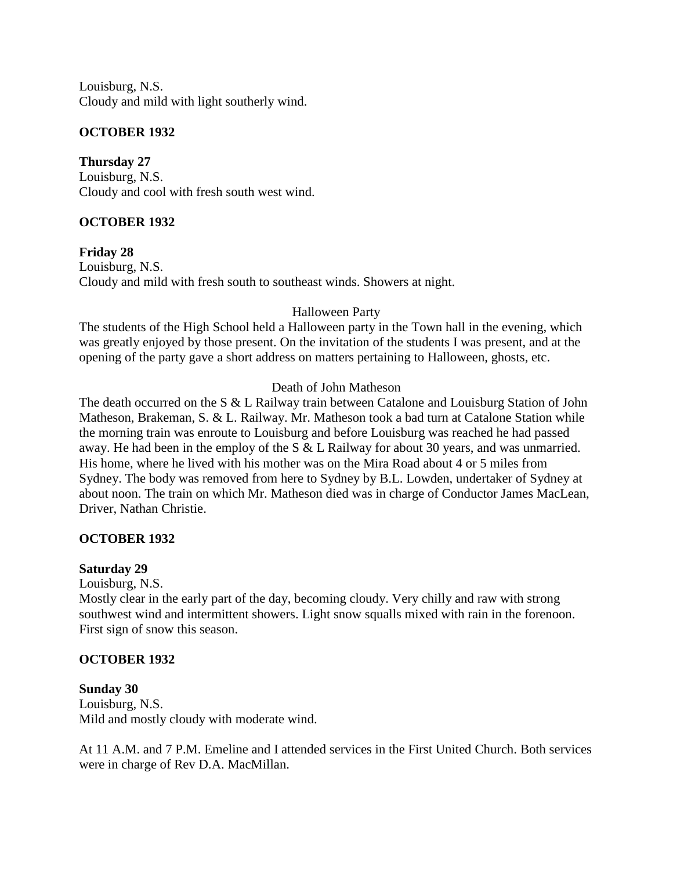Louisburg, N.S. Cloudy and mild with light southerly wind.

### **OCTOBER 1932**

**Thursday 27** Louisburg, N.S. Cloudy and cool with fresh south west wind.

# **OCTOBER 1932**

**Friday 28** Louisburg, N.S. Cloudy and mild with fresh south to southeast winds. Showers at night.

### Halloween Party

The students of the High School held a Halloween party in the Town hall in the evening, which was greatly enjoyed by those present. On the invitation of the students I was present, and at the opening of the party gave a short address on matters pertaining to Halloween, ghosts, etc.

#### Death of John Matheson

The death occurred on the S & L Railway train between Catalone and Louisburg Station of John Matheson, Brakeman, S. & L. Railway. Mr. Matheson took a bad turn at Catalone Station while the morning train was enroute to Louisburg and before Louisburg was reached he had passed away. He had been in the employ of the S & L Railway for about 30 years, and was unmarried. His home, where he lived with his mother was on the Mira Road about 4 or 5 miles from Sydney. The body was removed from here to Sydney by B.L. Lowden, undertaker of Sydney at about noon. The train on which Mr. Matheson died was in charge of Conductor James MacLean, Driver, Nathan Christie.

#### **OCTOBER 1932**

#### **Saturday 29**

Louisburg, N.S.

Mostly clear in the early part of the day, becoming cloudy. Very chilly and raw with strong southwest wind and intermittent showers. Light snow squalls mixed with rain in the forenoon. First sign of snow this season.

# **OCTOBER 1932**

# **Sunday 30**

Louisburg, N.S. Mild and mostly cloudy with moderate wind.

At 11 A.M. and 7 P.M. Emeline and I attended services in the First United Church. Both services were in charge of Rev D.A. MacMillan.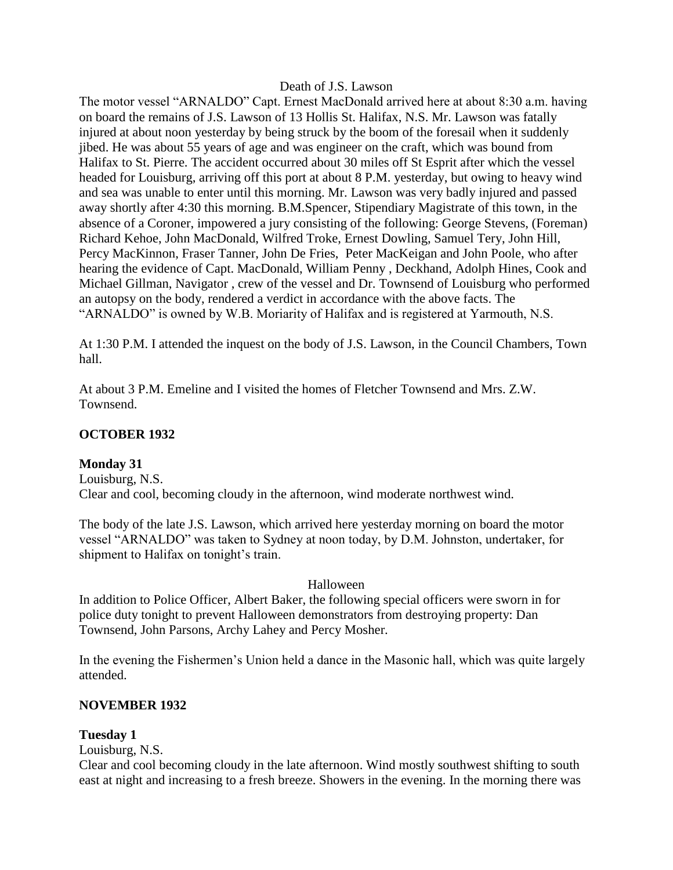#### Death of J.S. Lawson

The motor vessel "ARNALDO" Capt. Ernest MacDonald arrived here at about 8:30 a.m. having on board the remains of J.S. Lawson of 13 Hollis St. Halifax, N.S. Mr. Lawson was fatally injured at about noon yesterday by being struck by the boom of the foresail when it suddenly jibed. He was about 55 years of age and was engineer on the craft, which was bound from Halifax to St. Pierre. The accident occurred about 30 miles off St Esprit after which the vessel headed for Louisburg, arriving off this port at about 8 P.M. yesterday, but owing to heavy wind and sea was unable to enter until this morning. Mr. Lawson was very badly injured and passed away shortly after 4:30 this morning. B.M.Spencer, Stipendiary Magistrate of this town, in the absence of a Coroner, impowered a jury consisting of the following: George Stevens, (Foreman) Richard Kehoe, John MacDonald, Wilfred Troke, Ernest Dowling, Samuel Tery, John Hill, Percy MacKinnon, Fraser Tanner, John De Fries, Peter MacKeigan and John Poole, who after hearing the evidence of Capt. MacDonald, William Penny , Deckhand, Adolph Hines, Cook and Michael Gillman, Navigator , crew of the vessel and Dr. Townsend of Louisburg who performed an autopsy on the body, rendered a verdict in accordance with the above facts. The "ARNALDO" is owned by W.B. Moriarity of Halifax and is registered at Yarmouth, N.S.

At 1:30 P.M. I attended the inquest on the body of J.S. Lawson, in the Council Chambers, Town hall.

At about 3 P.M. Emeline and I visited the homes of Fletcher Townsend and Mrs. Z.W. Townsend.

### **OCTOBER 1932**

#### **Monday 31**

Louisburg, N.S. Clear and cool, becoming cloudy in the afternoon, wind moderate northwest wind.

The body of the late J.S. Lawson, which arrived here yesterday morning on board the motor vessel "ARNALDO" was taken to Sydney at noon today, by D.M. Johnston, undertaker, for shipment to Halifax on tonight's train.

#### Halloween

In addition to Police Officer, Albert Baker, the following special officers were sworn in for police duty tonight to prevent Halloween demonstrators from destroying property: Dan Townsend, John Parsons, Archy Lahey and Percy Mosher.

In the evening the Fishermen's Union held a dance in the Masonic hall, which was quite largely attended.

#### **NOVEMBER 1932**

#### **Tuesday 1**

Louisburg, N.S.

Clear and cool becoming cloudy in the late afternoon. Wind mostly southwest shifting to south east at night and increasing to a fresh breeze. Showers in the evening. In the morning there was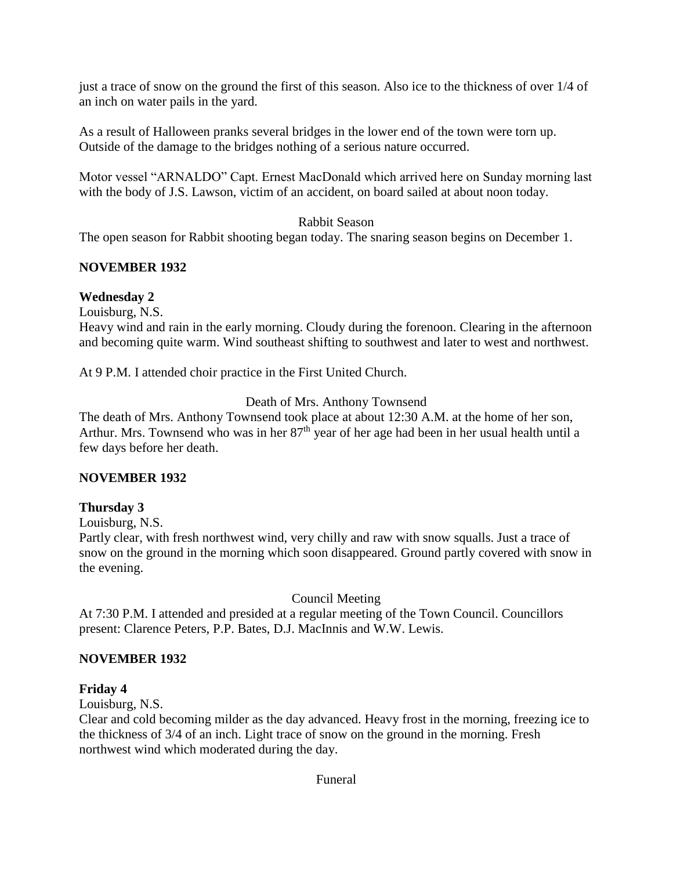just a trace of snow on the ground the first of this season. Also ice to the thickness of over 1/4 of an inch on water pails in the yard.

As a result of Halloween pranks several bridges in the lower end of the town were torn up. Outside of the damage to the bridges nothing of a serious nature occurred.

Motor vessel "ARNALDO" Capt. Ernest MacDonald which arrived here on Sunday morning last with the body of J.S. Lawson, victim of an accident, on board sailed at about noon today.

### Rabbit Season

The open season for Rabbit shooting began today. The snaring season begins on December 1.

### **NOVEMBER 1932**

### **Wednesday 2**

Louisburg, N.S.

Heavy wind and rain in the early morning. Cloudy during the forenoon. Clearing in the afternoon and becoming quite warm. Wind southeast shifting to southwest and later to west and northwest.

At 9 P.M. I attended choir practice in the First United Church.

# Death of Mrs. Anthony Townsend

The death of Mrs. Anthony Townsend took place at about 12:30 A.M. at the home of her son, Arthur. Mrs. Townsend who was in her  $87<sup>th</sup>$  year of her age had been in her usual health until a few days before her death.

# **NOVEMBER 1932**

# **Thursday 3**

Louisburg, N.S.

Partly clear, with fresh northwest wind, very chilly and raw with snow squalls. Just a trace of snow on the ground in the morning which soon disappeared. Ground partly covered with snow in the evening.

Council Meeting

At 7:30 P.M. I attended and presided at a regular meeting of the Town Council. Councillors present: Clarence Peters, P.P. Bates, D.J. MacInnis and W.W. Lewis.

# **NOVEMBER 1932**

# **Friday 4**

Louisburg, N.S.

Clear and cold becoming milder as the day advanced. Heavy frost in the morning, freezing ice to the thickness of 3/4 of an inch. Light trace of snow on the ground in the morning. Fresh northwest wind which moderated during the day.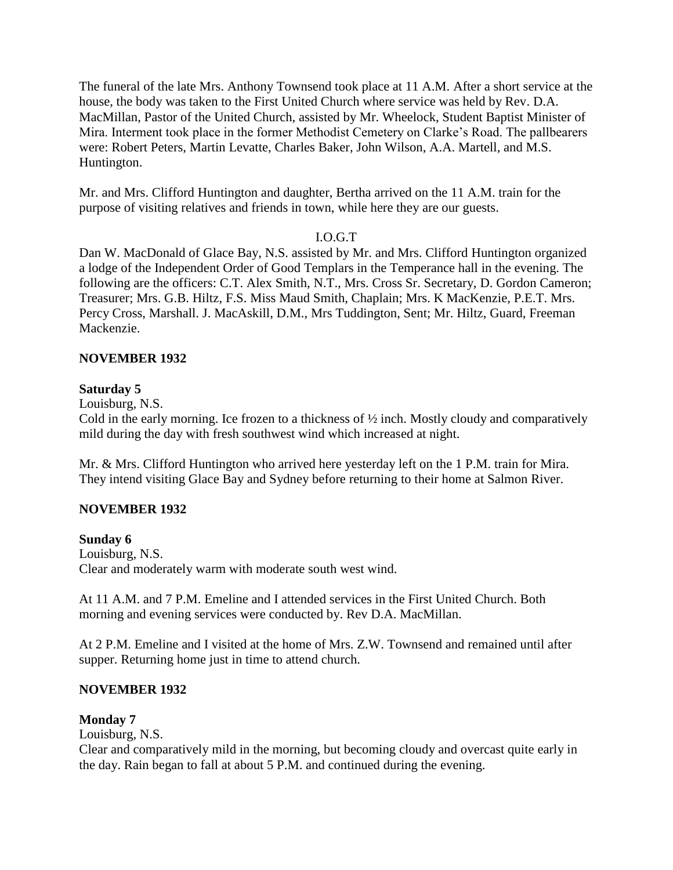The funeral of the late Mrs. Anthony Townsend took place at 11 A.M. After a short service at the house, the body was taken to the First United Church where service was held by Rev. D.A. MacMillan, Pastor of the United Church, assisted by Mr. Wheelock, Student Baptist Minister of Mira. Interment took place in the former Methodist Cemetery on Clarke's Road. The pallbearers were: Robert Peters, Martin Levatte, Charles Baker, John Wilson, A.A. Martell, and M.S. Huntington.

Mr. and Mrs. Clifford Huntington and daughter, Bertha arrived on the 11 A.M. train for the purpose of visiting relatives and friends in town, while here they are our guests.

### I.O.G.T

Dan W. MacDonald of Glace Bay, N.S. assisted by Mr. and Mrs. Clifford Huntington organized a lodge of the Independent Order of Good Templars in the Temperance hall in the evening. The following are the officers: C.T. Alex Smith, N.T., Mrs. Cross Sr. Secretary, D. Gordon Cameron; Treasurer; Mrs. G.B. Hiltz, F.S. Miss Maud Smith, Chaplain; Mrs. K MacKenzie, P.E.T. Mrs. Percy Cross, Marshall. J. MacAskill, D.M., Mrs Tuddington, Sent; Mr. Hiltz, Guard, Freeman Mackenzie.

### **NOVEMBER 1932**

### **Saturday 5**

Louisburg, N.S.

Cold in the early morning. Ice frozen to a thickness of ½ inch. Mostly cloudy and comparatively mild during the day with fresh southwest wind which increased at night.

Mr. & Mrs. Clifford Huntington who arrived here yesterday left on the 1 P.M. train for Mira. They intend visiting Glace Bay and Sydney before returning to their home at Salmon River.

# **NOVEMBER 1932**

#### **Sunday 6**

Louisburg, N.S. Clear and moderately warm with moderate south west wind.

At 11 A.M. and 7 P.M. Emeline and I attended services in the First United Church. Both morning and evening services were conducted by. Rev D.A. MacMillan.

At 2 P.M. Emeline and I visited at the home of Mrs. Z.W. Townsend and remained until after supper. Returning home just in time to attend church.

# **NOVEMBER 1932**

# **Monday 7**

Louisburg, N.S.

Clear and comparatively mild in the morning, but becoming cloudy and overcast quite early in the day. Rain began to fall at about 5 P.M. and continued during the evening.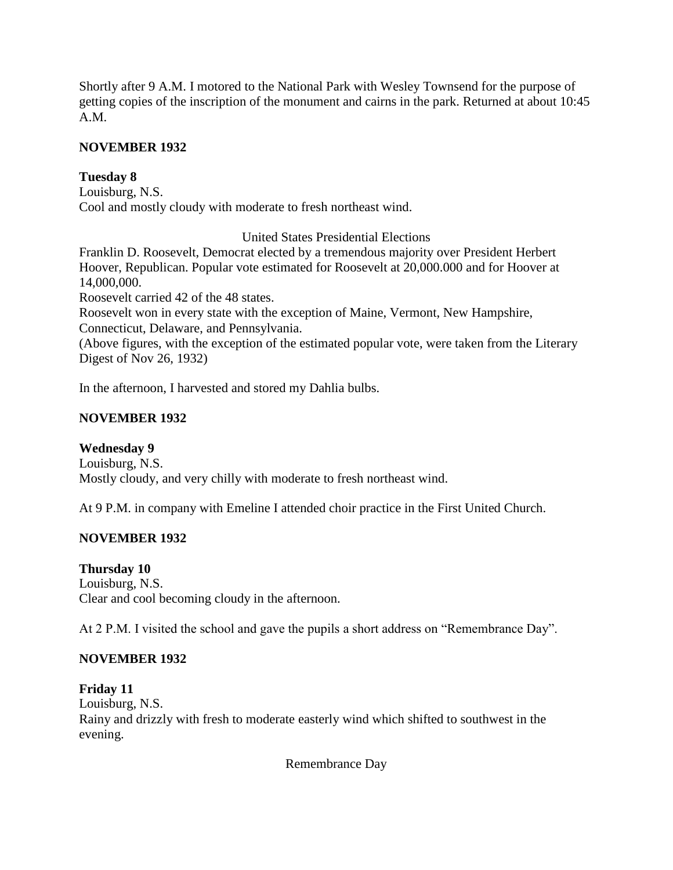Shortly after 9 A.M. I motored to the National Park with Wesley Townsend for the purpose of getting copies of the inscription of the monument and cairns in the park. Returned at about 10:45 A.M.

### **NOVEMBER 1932**

### **Tuesday 8**

Louisburg, N.S. Cool and mostly cloudy with moderate to fresh northeast wind.

United States Presidential Elections

Franklin D. Roosevelt, Democrat elected by a tremendous majority over President Herbert Hoover, Republican. Popular vote estimated for Roosevelt at 20,000.000 and for Hoover at 14,000,000.

Roosevelt carried 42 of the 48 states.

Roosevelt won in every state with the exception of Maine, Vermont, New Hampshire, Connecticut, Delaware, and Pennsylvania.

(Above figures, with the exception of the estimated popular vote, were taken from the Literary Digest of Nov 26, 1932)

In the afternoon, I harvested and stored my Dahlia bulbs.

### **NOVEMBER 1932**

# **Wednesday 9**

Louisburg, N.S. Mostly cloudy, and very chilly with moderate to fresh northeast wind.

At 9 P.M. in company with Emeline I attended choir practice in the First United Church.

# **NOVEMBER 1932**

#### **Thursday 10**

Louisburg, N.S. Clear and cool becoming cloudy in the afternoon.

At 2 P.M. I visited the school and gave the pupils a short address on "Remembrance Day".

# **NOVEMBER 1932**

### **Friday 11** Louisburg, N.S. Rainy and drizzly with fresh to moderate easterly wind which shifted to southwest in the evening.

Remembrance Day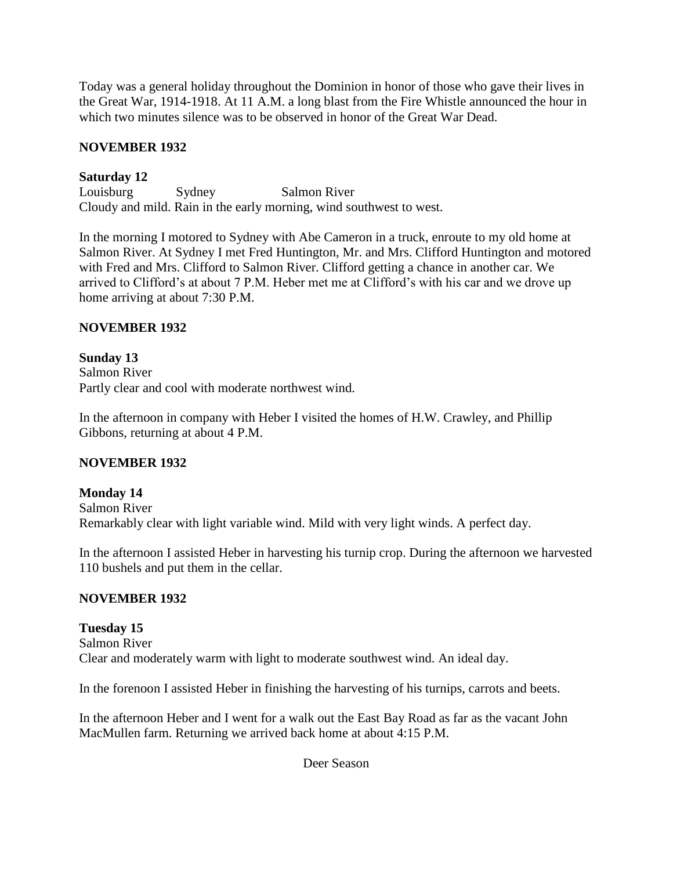Today was a general holiday throughout the Dominion in honor of those who gave their lives in the Great War, 1914-1918. At 11 A.M. a long blast from the Fire Whistle announced the hour in which two minutes silence was to be observed in honor of the Great War Dead.

### **NOVEMBER 1932**

### **Saturday 12**

Louisburg Sydney Salmon River Cloudy and mild. Rain in the early morning, wind southwest to west.

In the morning I motored to Sydney with Abe Cameron in a truck, enroute to my old home at Salmon River. At Sydney I met Fred Huntington, Mr. and Mrs. Clifford Huntington and motored with Fred and Mrs. Clifford to Salmon River. Clifford getting a chance in another car. We arrived to Clifford's at about 7 P.M. Heber met me at Clifford's with his car and we drove up home arriving at about 7:30 P.M.

### **NOVEMBER 1932**

# **Sunday 13** Salmon River Partly clear and cool with moderate northwest wind.

In the afternoon in company with Heber I visited the homes of H.W. Crawley, and Phillip Gibbons, returning at about 4 P.M.

# **NOVEMBER 1932**

### **Monday 14** Salmon River Remarkably clear with light variable wind. Mild with very light winds. A perfect day.

In the afternoon I assisted Heber in harvesting his turnip crop. During the afternoon we harvested 110 bushels and put them in the cellar.

# **NOVEMBER 1932**

# **Tuesday 15** Salmon River Clear and moderately warm with light to moderate southwest wind. An ideal day.

In the forenoon I assisted Heber in finishing the harvesting of his turnips, carrots and beets.

In the afternoon Heber and I went for a walk out the East Bay Road as far as the vacant John MacMullen farm. Returning we arrived back home at about 4:15 P.M.

Deer Season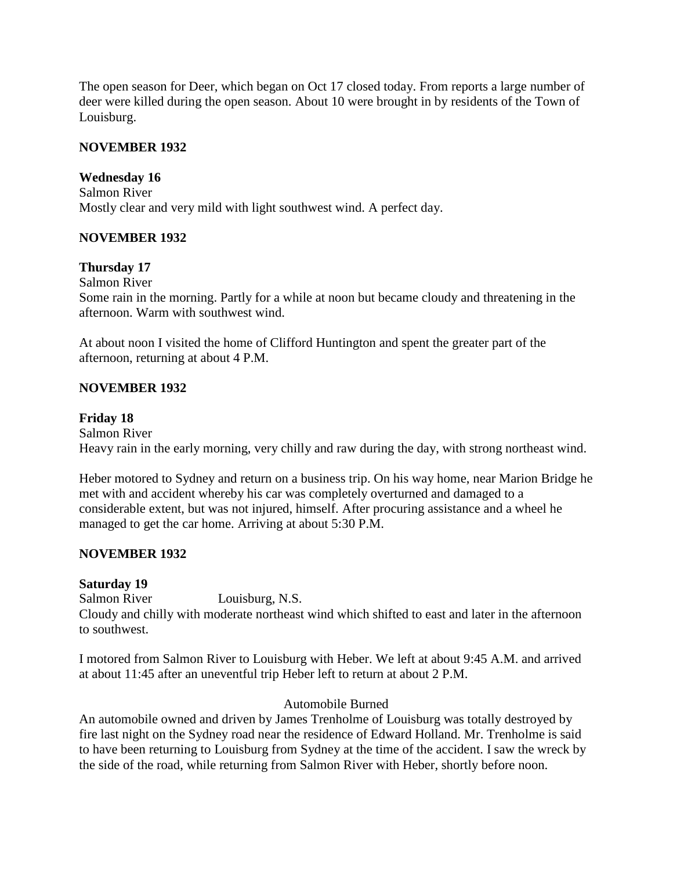The open season for Deer, which began on Oct 17 closed today. From reports a large number of deer were killed during the open season. About 10 were brought in by residents of the Town of Louisburg.

### **NOVEMBER 1932**

#### **Wednesday 16**

Salmon River Mostly clear and very mild with light southwest wind. A perfect day.

#### **NOVEMBER 1932**

### **Thursday 17**

Salmon River

Some rain in the morning. Partly for a while at noon but became cloudy and threatening in the afternoon. Warm with southwest wind.

At about noon I visited the home of Clifford Huntington and spent the greater part of the afternoon, returning at about 4 P.M.

### **NOVEMBER 1932**

#### **Friday 18**

Salmon River Heavy rain in the early morning, very chilly and raw during the day, with strong northeast wind.

Heber motored to Sydney and return on a business trip. On his way home, near Marion Bridge he met with and accident whereby his car was completely overturned and damaged to a considerable extent, but was not injured, himself. After procuring assistance and a wheel he managed to get the car home. Arriving at about 5:30 P.M.

#### **NOVEMBER 1932**

#### **Saturday 19**

Salmon River Louisburg, N.S. Cloudy and chilly with moderate northeast wind which shifted to east and later in the afternoon to southwest.

I motored from Salmon River to Louisburg with Heber. We left at about 9:45 A.M. and arrived at about 11:45 after an uneventful trip Heber left to return at about 2 P.M.

#### Automobile Burned

An automobile owned and driven by James Trenholme of Louisburg was totally destroyed by fire last night on the Sydney road near the residence of Edward Holland. Mr. Trenholme is said to have been returning to Louisburg from Sydney at the time of the accident. I saw the wreck by the side of the road, while returning from Salmon River with Heber, shortly before noon.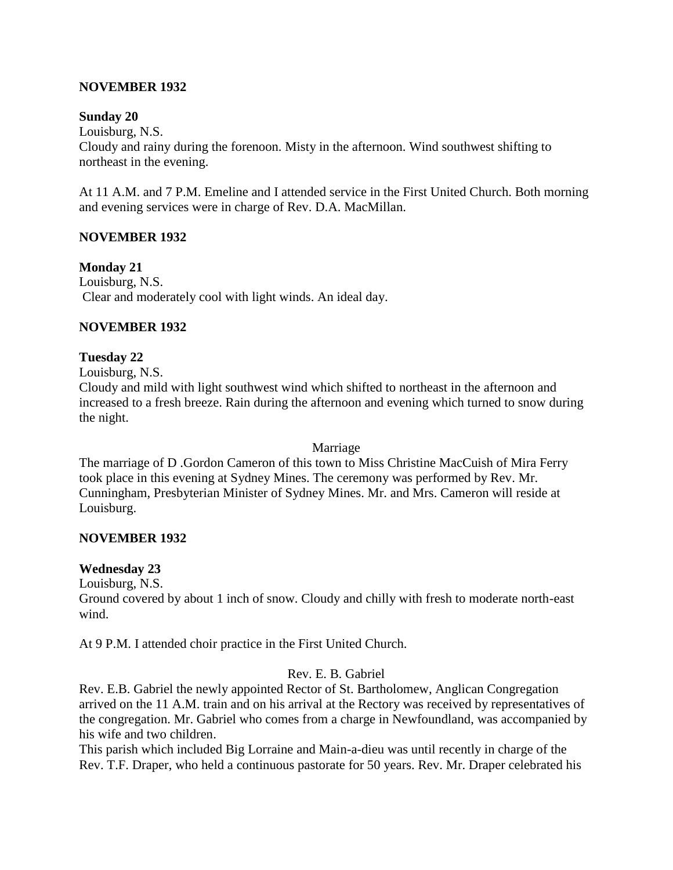### **NOVEMBER 1932**

#### **Sunday 20**

Louisburg, N.S.

Cloudy and rainy during the forenoon. Misty in the afternoon. Wind southwest shifting to northeast in the evening.

At 11 A.M. and 7 P.M. Emeline and I attended service in the First United Church. Both morning and evening services were in charge of Rev. D.A. MacMillan.

#### **NOVEMBER 1932**

**Monday 21**

Louisburg, N.S. Clear and moderately cool with light winds. An ideal day.

#### **NOVEMBER 1932**

#### **Tuesday 22**

Louisburg, N.S.

Cloudy and mild with light southwest wind which shifted to northeast in the afternoon and increased to a fresh breeze. Rain during the afternoon and evening which turned to snow during the night.

#### Marriage

The marriage of D .Gordon Cameron of this town to Miss Christine MacCuish of Mira Ferry took place in this evening at Sydney Mines. The ceremony was performed by Rev. Mr. Cunningham, Presbyterian Minister of Sydney Mines. Mr. and Mrs. Cameron will reside at Louisburg.

#### **NOVEMBER 1932**

#### **Wednesday 23**

Louisburg, N.S.

Ground covered by about 1 inch of snow. Cloudy and chilly with fresh to moderate north-east wind.

At 9 P.M. I attended choir practice in the First United Church.

#### Rev. E. B. Gabriel

Rev. E.B. Gabriel the newly appointed Rector of St. Bartholomew, Anglican Congregation arrived on the 11 A.M. train and on his arrival at the Rectory was received by representatives of the congregation. Mr. Gabriel who comes from a charge in Newfoundland, was accompanied by his wife and two children.

This parish which included Big Lorraine and Main-a-dieu was until recently in charge of the Rev. T.F. Draper, who held a continuous pastorate for 50 years. Rev. Mr. Draper celebrated his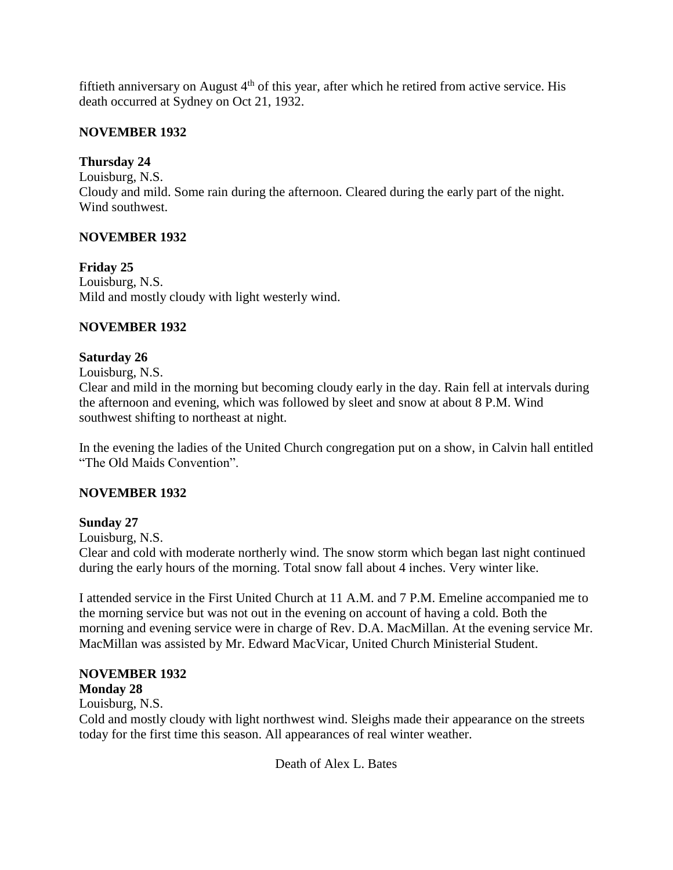fiftieth anniversary on August  $4<sup>th</sup>$  of this year, after which he retired from active service. His death occurred at Sydney on Oct 21, 1932.

# **NOVEMBER 1932**

# **Thursday 24**

Louisburg, N.S. Cloudy and mild. Some rain during the afternoon. Cleared during the early part of the night. Wind southwest.

# **NOVEMBER 1932**

**Friday 25** Louisburg, N.S. Mild and mostly cloudy with light westerly wind.

# **NOVEMBER 1932**

# **Saturday 26**

Louisburg, N.S.

Clear and mild in the morning but becoming cloudy early in the day. Rain fell at intervals during the afternoon and evening, which was followed by sleet and snow at about 8 P.M. Wind southwest shifting to northeast at night.

In the evening the ladies of the United Church congregation put on a show, in Calvin hall entitled "The Old Maids Convention".

# **NOVEMBER 1932**

# **Sunday 27**

Louisburg, N.S.

Clear and cold with moderate northerly wind. The snow storm which began last night continued during the early hours of the morning. Total snow fall about 4 inches. Very winter like.

I attended service in the First United Church at 11 A.M. and 7 P.M. Emeline accompanied me to the morning service but was not out in the evening on account of having a cold. Both the morning and evening service were in charge of Rev. D.A. MacMillan. At the evening service Mr. MacMillan was assisted by Mr. Edward MacVicar, United Church Ministerial Student.

#### **NOVEMBER 1932 Monday 28**

Louisburg, N.S.

Cold and mostly cloudy with light northwest wind. Sleighs made their appearance on the streets today for the first time this season. All appearances of real winter weather.

Death of Alex L. Bates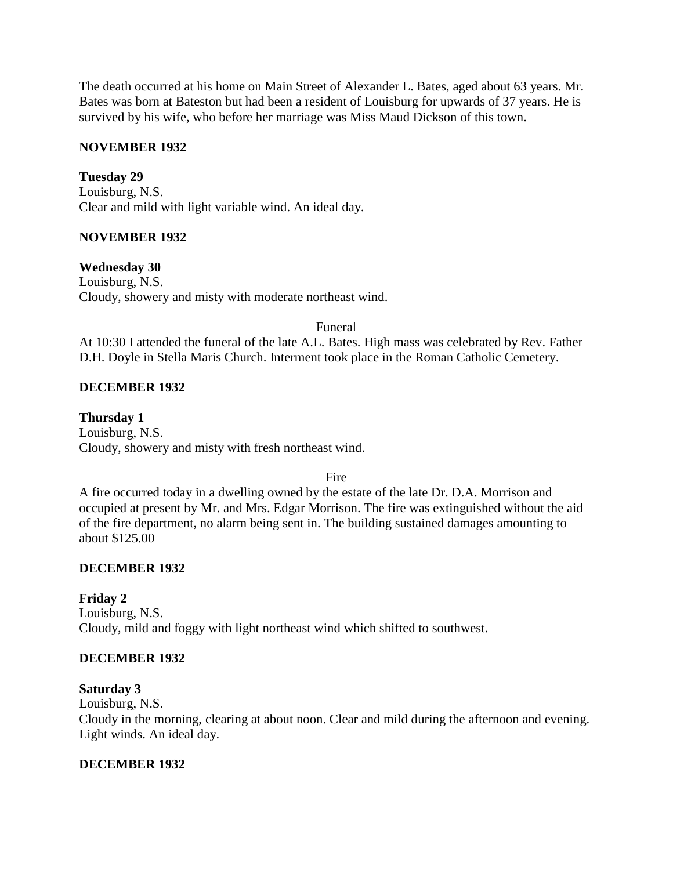The death occurred at his home on Main Street of Alexander L. Bates, aged about 63 years. Mr. Bates was born at Bateston but had been a resident of Louisburg for upwards of 37 years. He is survived by his wife, who before her marriage was Miss Maud Dickson of this town.

### **NOVEMBER 1932**

**Tuesday 29** Louisburg, N.S. Clear and mild with light variable wind. An ideal day.

### **NOVEMBER 1932**

**Wednesday 30**

Louisburg, N.S. Cloudy, showery and misty with moderate northeast wind.

#### Funeral

At 10:30 I attended the funeral of the late A.L. Bates. High mass was celebrated by Rev. Father D.H. Doyle in Stella Maris Church. Interment took place in the Roman Catholic Cemetery.

### **DECEMBER 1932**

**Thursday 1** Louisburg, N.S. Cloudy, showery and misty with fresh northeast wind.

Fire

A fire occurred today in a dwelling owned by the estate of the late Dr. D.A. Morrison and occupied at present by Mr. and Mrs. Edgar Morrison. The fire was extinguished without the aid of the fire department, no alarm being sent in. The building sustained damages amounting to about \$125.00

#### **DECEMBER 1932**

# **Friday 2**

Louisburg, N.S. Cloudy, mild and foggy with light northeast wind which shifted to southwest.

# **DECEMBER 1932**

#### **Saturday 3**

Louisburg, N.S.

Cloudy in the morning, clearing at about noon. Clear and mild during the afternoon and evening. Light winds. An ideal day.

### **DECEMBER 1932**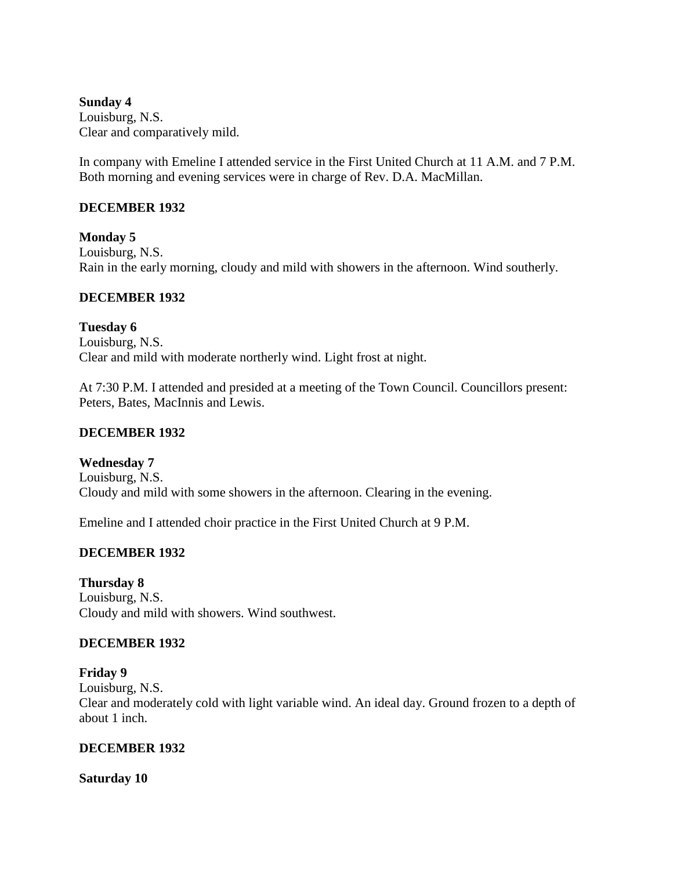**Sunday 4** Louisburg, N.S. Clear and comparatively mild.

In company with Emeline I attended service in the First United Church at 11 A.M. and 7 P.M. Both morning and evening services were in charge of Rev. D.A. MacMillan.

### **DECEMBER 1932**

**Monday 5** Louisburg, N.S. Rain in the early morning, cloudy and mild with showers in the afternoon. Wind southerly.

### **DECEMBER 1932**

**Tuesday 6** Louisburg, N.S. Clear and mild with moderate northerly wind. Light frost at night.

At 7:30 P.M. I attended and presided at a meeting of the Town Council. Councillors present: Peters, Bates, MacInnis and Lewis.

### **DECEMBER 1932**

**Wednesday 7**

Louisburg, N.S. Cloudy and mild with some showers in the afternoon. Clearing in the evening.

Emeline and I attended choir practice in the First United Church at 9 P.M.

# **DECEMBER 1932**

**Thursday 8** Louisburg, N.S. Cloudy and mild with showers. Wind southwest.

# **DECEMBER 1932**

**Friday 9** Louisburg, N.S. Clear and moderately cold with light variable wind. An ideal day. Ground frozen to a depth of about 1 inch.

#### **DECEMBER 1932**

**Saturday 10**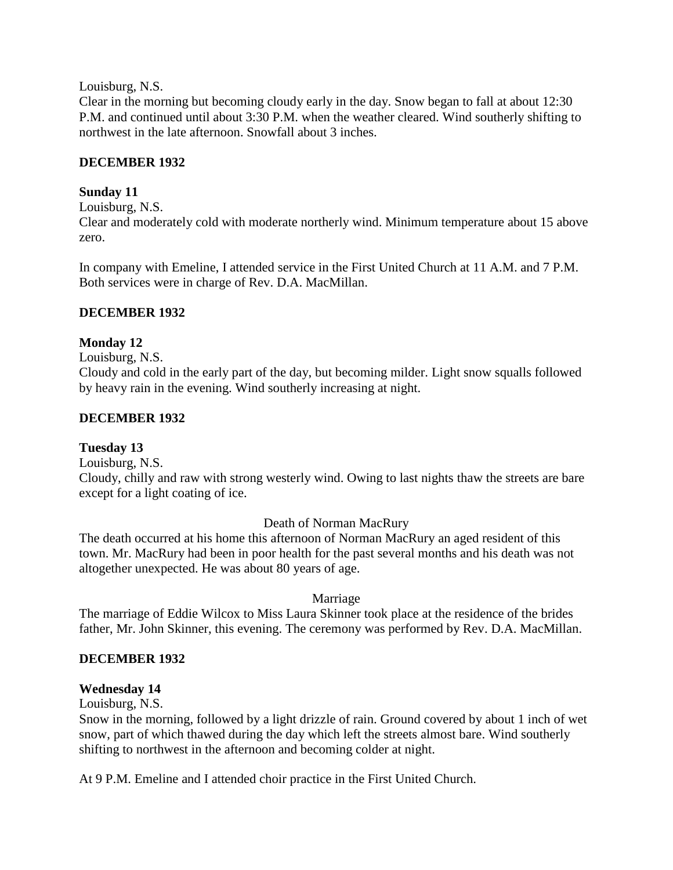Louisburg, N.S.

Clear in the morning but becoming cloudy early in the day. Snow began to fall at about 12:30 P.M. and continued until about 3:30 P.M. when the weather cleared. Wind southerly shifting to northwest in the late afternoon. Snowfall about 3 inches.

### **DECEMBER 1932**

### **Sunday 11**

Louisburg, N.S.

Clear and moderately cold with moderate northerly wind. Minimum temperature about 15 above zero.

In company with Emeline, I attended service in the First United Church at 11 A.M. and 7 P.M. Both services were in charge of Rev. D.A. MacMillan.

### **DECEMBER 1932**

### **Monday 12**

Louisburg, N.S.

Cloudy and cold in the early part of the day, but becoming milder. Light snow squalls followed by heavy rain in the evening. Wind southerly increasing at night.

### **DECEMBER 1932**

#### **Tuesday 13**

Louisburg, N.S.

Cloudy, chilly and raw with strong westerly wind. Owing to last nights thaw the streets are bare except for a light coating of ice.

#### Death of Norman MacRury

The death occurred at his home this afternoon of Norman MacRury an aged resident of this town. Mr. MacRury had been in poor health for the past several months and his death was not altogether unexpected. He was about 80 years of age.

# Marriage

The marriage of Eddie Wilcox to Miss Laura Skinner took place at the residence of the brides father, Mr. John Skinner, this evening. The ceremony was performed by Rev. D.A. MacMillan.

# **DECEMBER 1932**

# **Wednesday 14**

Louisburg, N.S.

Snow in the morning, followed by a light drizzle of rain. Ground covered by about 1 inch of wet snow, part of which thawed during the day which left the streets almost bare. Wind southerly shifting to northwest in the afternoon and becoming colder at night.

At 9 P.M. Emeline and I attended choir practice in the First United Church.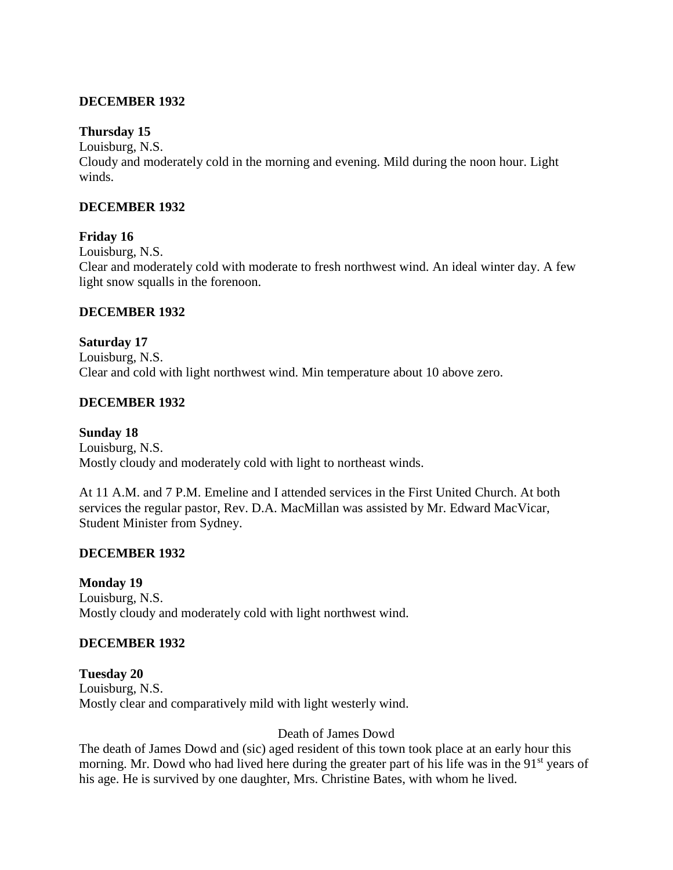### **DECEMBER 1932**

#### **Thursday 15**

Louisburg, N.S.

Cloudy and moderately cold in the morning and evening. Mild during the noon hour. Light winds.

#### **DECEMBER 1932**

#### **Friday 16**

Louisburg, N.S. Clear and moderately cold with moderate to fresh northwest wind. An ideal winter day. A few light snow squalls in the forenoon.

#### **DECEMBER 1932**

**Saturday 17** Louisburg, N.S. Clear and cold with light northwest wind. Min temperature about 10 above zero.

#### **DECEMBER 1932**

**Sunday 18** Louisburg, N.S. Mostly cloudy and moderately cold with light to northeast winds.

At 11 A.M. and 7 P.M. Emeline and I attended services in the First United Church. At both services the regular pastor, Rev. D.A. MacMillan was assisted by Mr. Edward MacVicar, Student Minister from Sydney.

#### **DECEMBER 1932**

**Monday 19**

Louisburg, N.S. Mostly cloudy and moderately cold with light northwest wind.

#### **DECEMBER 1932**

**Tuesday 20** Louisburg, N.S. Mostly clear and comparatively mild with light westerly wind.

#### Death of James Dowd

The death of James Dowd and (sic) aged resident of this town took place at an early hour this morning. Mr. Dowd who had lived here during the greater part of his life was in the 91<sup>st</sup> years of his age. He is survived by one daughter, Mrs. Christine Bates, with whom he lived.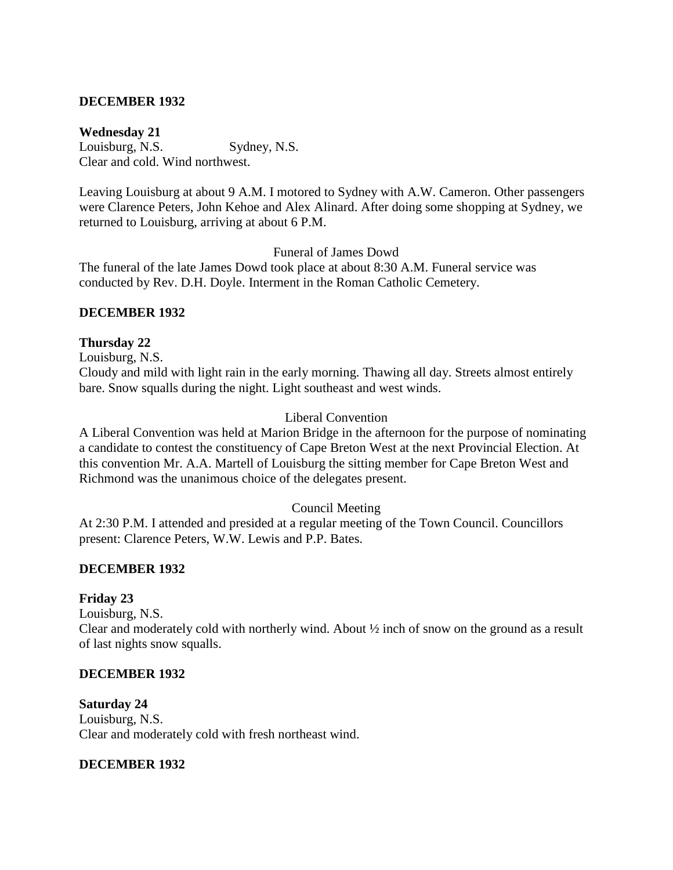### **DECEMBER 1932**

#### **Wednesday 21**

Louisburg, N.S. Sydney, N.S. Clear and cold. Wind northwest.

Leaving Louisburg at about 9 A.M. I motored to Sydney with A.W. Cameron. Other passengers were Clarence Peters, John Kehoe and Alex Alinard. After doing some shopping at Sydney, we returned to Louisburg, arriving at about 6 P.M.

Funeral of James Dowd

The funeral of the late James Dowd took place at about 8:30 A.M. Funeral service was conducted by Rev. D.H. Doyle. Interment in the Roman Catholic Cemetery.

#### **DECEMBER 1932**

#### **Thursday 22**

Louisburg, N.S.

Cloudy and mild with light rain in the early morning. Thawing all day. Streets almost entirely bare. Snow squalls during the night. Light southeast and west winds.

#### Liberal Convention

A Liberal Convention was held at Marion Bridge in the afternoon for the purpose of nominating a candidate to contest the constituency of Cape Breton West at the next Provincial Election. At this convention Mr. A.A. Martell of Louisburg the sitting member for Cape Breton West and Richmond was the unanimous choice of the delegates present.

#### Council Meeting

At 2:30 P.M. I attended and presided at a regular meeting of the Town Council. Councillors present: Clarence Peters, W.W. Lewis and P.P. Bates.

#### **DECEMBER 1932**

#### **Friday 23**

Louisburg, N.S. Clear and moderately cold with northerly wind. About ½ inch of snow on the ground as a result of last nights snow squalls.

#### **DECEMBER 1932**

**Saturday 24** Louisburg, N.S. Clear and moderately cold with fresh northeast wind.

#### **DECEMBER 1932**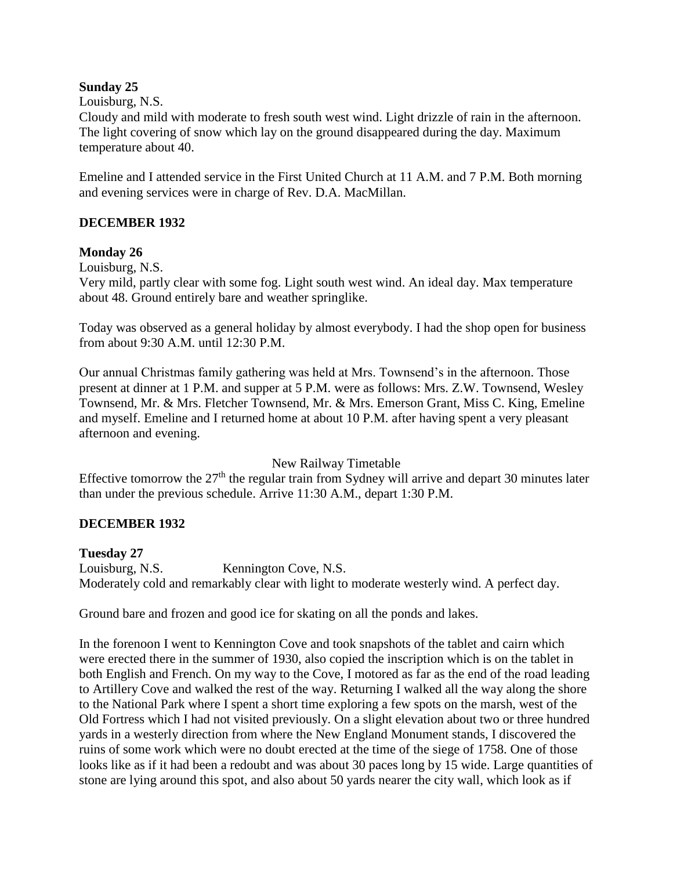### **Sunday 25**

### Louisburg, N.S.

Cloudy and mild with moderate to fresh south west wind. Light drizzle of rain in the afternoon. The light covering of snow which lay on the ground disappeared during the day. Maximum temperature about 40.

Emeline and I attended service in the First United Church at 11 A.M. and 7 P.M. Both morning and evening services were in charge of Rev. D.A. MacMillan.

# **DECEMBER 1932**

### **Monday 26**

Louisburg, N.S.

Very mild, partly clear with some fog. Light south west wind. An ideal day. Max temperature about 48. Ground entirely bare and weather springlike.

Today was observed as a general holiday by almost everybody. I had the shop open for business from about 9:30 A.M. until 12:30 P.M.

Our annual Christmas family gathering was held at Mrs. Townsend's in the afternoon. Those present at dinner at 1 P.M. and supper at 5 P.M. were as follows: Mrs. Z.W. Townsend, Wesley Townsend, Mr. & Mrs. Fletcher Townsend, Mr. & Mrs. Emerson Grant, Miss C. King, Emeline and myself. Emeline and I returned home at about 10 P.M. after having spent a very pleasant afternoon and evening.

New Railway Timetable

Effective tomorrow the  $27<sup>th</sup>$  the regular train from Sydney will arrive and depart 30 minutes later than under the previous schedule. Arrive 11:30 A.M., depart 1:30 P.M.

# **DECEMBER 1932**

#### **Tuesday 27**

Louisburg, N.S. Kennington Cove, N.S. Moderately cold and remarkably clear with light to moderate westerly wind. A perfect day.

Ground bare and frozen and good ice for skating on all the ponds and lakes.

In the forenoon I went to Kennington Cove and took snapshots of the tablet and cairn which were erected there in the summer of 1930, also copied the inscription which is on the tablet in both English and French. On my way to the Cove, I motored as far as the end of the road leading to Artillery Cove and walked the rest of the way. Returning I walked all the way along the shore to the National Park where I spent a short time exploring a few spots on the marsh, west of the Old Fortress which I had not visited previously. On a slight elevation about two or three hundred yards in a westerly direction from where the New England Monument stands, I discovered the ruins of some work which were no doubt erected at the time of the siege of 1758. One of those looks like as if it had been a redoubt and was about 30 paces long by 15 wide. Large quantities of stone are lying around this spot, and also about 50 yards nearer the city wall, which look as if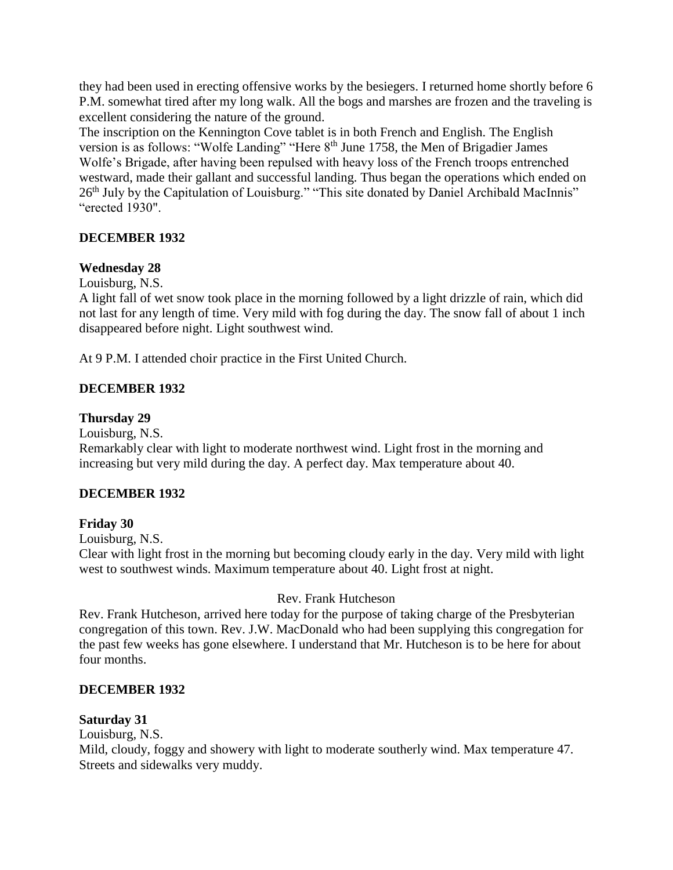they had been used in erecting offensive works by the besiegers. I returned home shortly before 6 P.M. somewhat tired after my long walk. All the bogs and marshes are frozen and the traveling is excellent considering the nature of the ground.

The inscription on the Kennington Cove tablet is in both French and English. The English version is as follows: "Wolfe Landing" "Here 8<sup>th</sup> June 1758, the Men of Brigadier James Wolfe's Brigade, after having been repulsed with heavy loss of the French troops entrenched westward, made their gallant and successful landing. Thus began the operations which ended on 26<sup>th</sup> July by the Capitulation of Louisburg." "This site donated by Daniel Archibald MacInnis" "erected 1930".

# **DECEMBER 1932**

### **Wednesday 28**

Louisburg, N.S.

A light fall of wet snow took place in the morning followed by a light drizzle of rain, which did not last for any length of time. Very mild with fog during the day. The snow fall of about 1 inch disappeared before night. Light southwest wind.

At 9 P.M. I attended choir practice in the First United Church.

# **DECEMBER 1932**

### **Thursday 29**

Louisburg, N.S.

Remarkably clear with light to moderate northwest wind. Light frost in the morning and increasing but very mild during the day. A perfect day. Max temperature about 40.

# **DECEMBER 1932**

#### **Friday 30**

Louisburg, N.S.

Clear with light frost in the morning but becoming cloudy early in the day. Very mild with light west to southwest winds. Maximum temperature about 40. Light frost at night.

# Rev. Frank Hutcheson

Rev. Frank Hutcheson, arrived here today for the purpose of taking charge of the Presbyterian congregation of this town. Rev. J.W. MacDonald who had been supplying this congregation for the past few weeks has gone elsewhere. I understand that Mr. Hutcheson is to be here for about four months.

# **DECEMBER 1932**

#### **Saturday 31**

Louisburg, N.S.

Mild, cloudy, foggy and showery with light to moderate southerly wind. Max temperature 47. Streets and sidewalks very muddy.